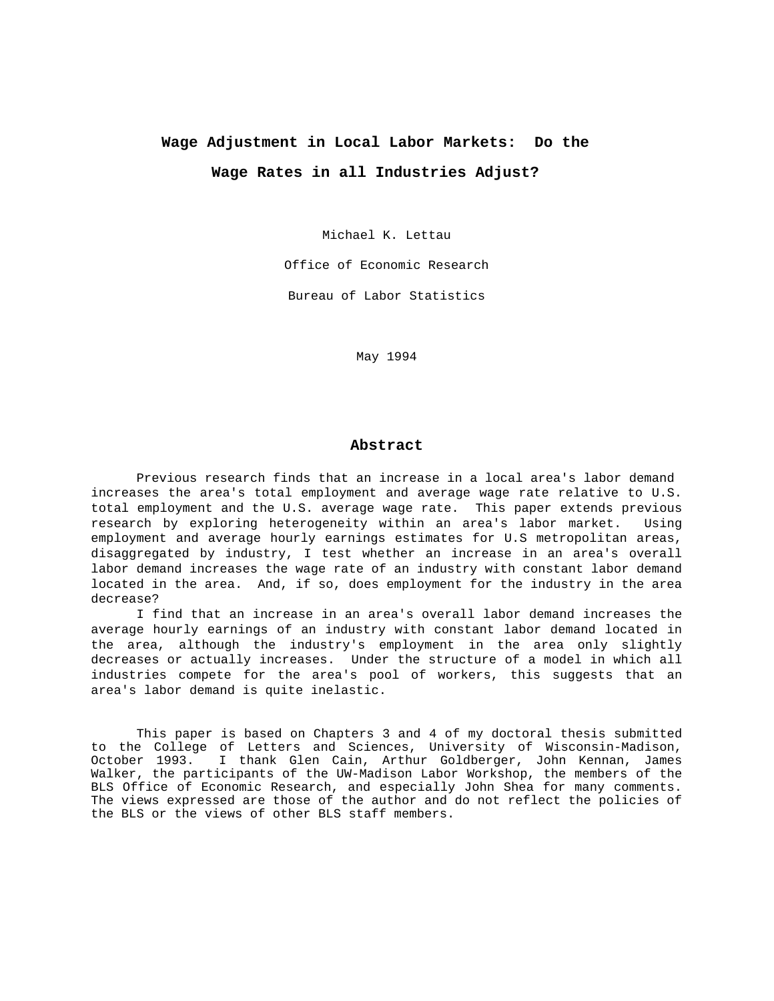# **Wage Adjustment in Local Labor Markets: Do the Wage Rates in all Industries Adjust?**

Michael K. Lettau

Office of Economic Research

Bureau of Labor Statistics

May 1994

#### **Abstract**

Previous research finds that an increase in a local area's labor demand increases the area's total employment and average wage rate relative to U.S. total employment and the U.S. average wage rate. This paper extends previous research by exploring heterogeneity within an area's labor market. Using employment and average hourly earnings estimates for U.S metropolitan areas, disaggregated by industry, I test whether an increase in an area's overall labor demand increases the wage rate of an industry with constant labor demand located in the area. And, if so, does employment for the industry in the area decrease?

I find that an increase in an area's overall labor demand increases the average hourly earnings of an industry with constant labor demand located in the area, although the industry's employment in the area only slightly decreases or actually increases. Under the structure of a model in which all industries compete for the area's pool of workers, this suggests that an area's labor demand is quite inelastic.

This paper is based on Chapters 3 and 4 of my doctoral thesis submitted to the College of Letters and Sciences, University of Wisconsin-Madison, October 1993. I thank Glen Cain, Arthur Goldberger, John Kennan, James Walker, the participants of the UW-Madison Labor Workshop, the members of the BLS Office of Economic Research, and especially John Shea for many comments. The views expressed are those of the author and do not reflect the policies of the BLS or the views of other BLS staff members.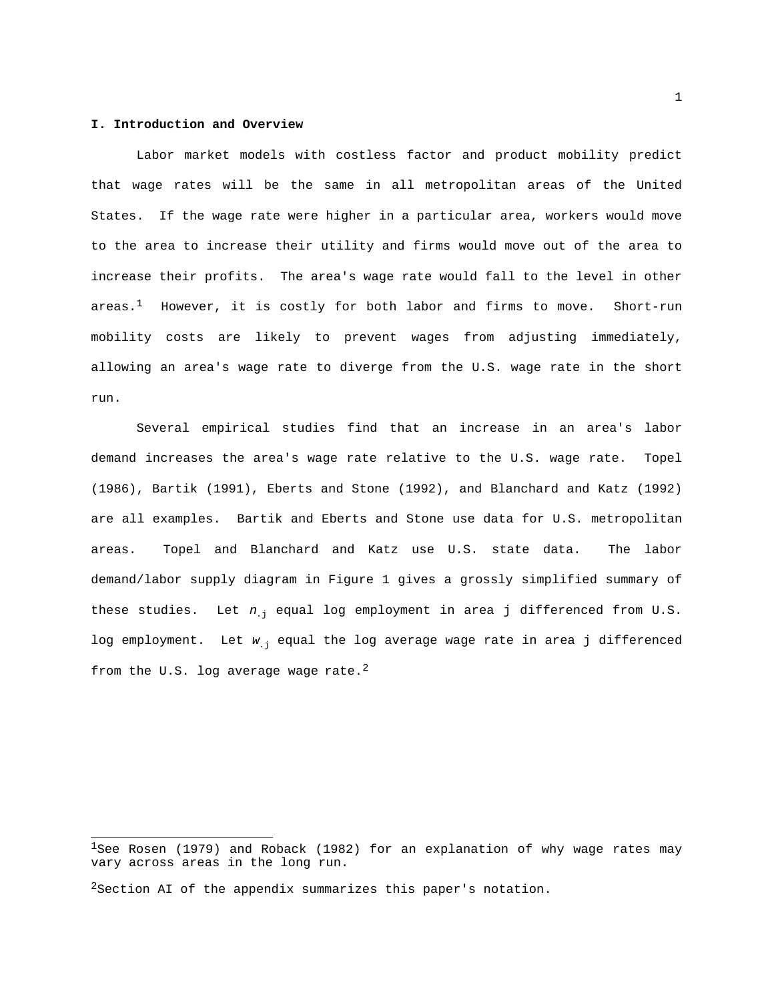#### **I. Introduction and Overview**

Labor market models with costless factor and product mobility predict that wage rates will be the same in all metropolitan areas of the United States. If the wage rate were higher in a particular area, workers would move to the area to increase their utility and firms would move out of the area to increase their profits. The area's wage rate would fall to the level in other areas.<sup>1</sup> However, it is costly for both labor and firms to move. Short-run mobility costs are likely to prevent wages from adjusting immediately, allowing an area's wage rate to diverge from the U.S. wage rate in the short run.

Several empirical studies find that an increase in an area's labor demand increases the area's wage rate relative to the U.S. wage rate. Topel (1986), Bartik (1991), Eberts and Stone (1992), and Blanchard and Katz (1992) are all examples. Bartik and Eberts and Stone use data for U.S. metropolitan areas. Topel and Blanchard and Katz use U.S. state data. The labor demand/labor supply diagram in Figure 1 gives a grossly simplified summary of these studies. Let  $n_{i}$  equal log employment in area j differenced from U.S. log employment. Let  $w_i$  equal the log average wage rate in area j differenced from the U.S. log average wage rate.<sup>2</sup>

 $2$ Section AI of the appendix summarizes this paper's notation.

÷,

 $^1$ See Rosen (1979) and Roback (1982) for an explanation of why wage rates may vary across areas in the long run.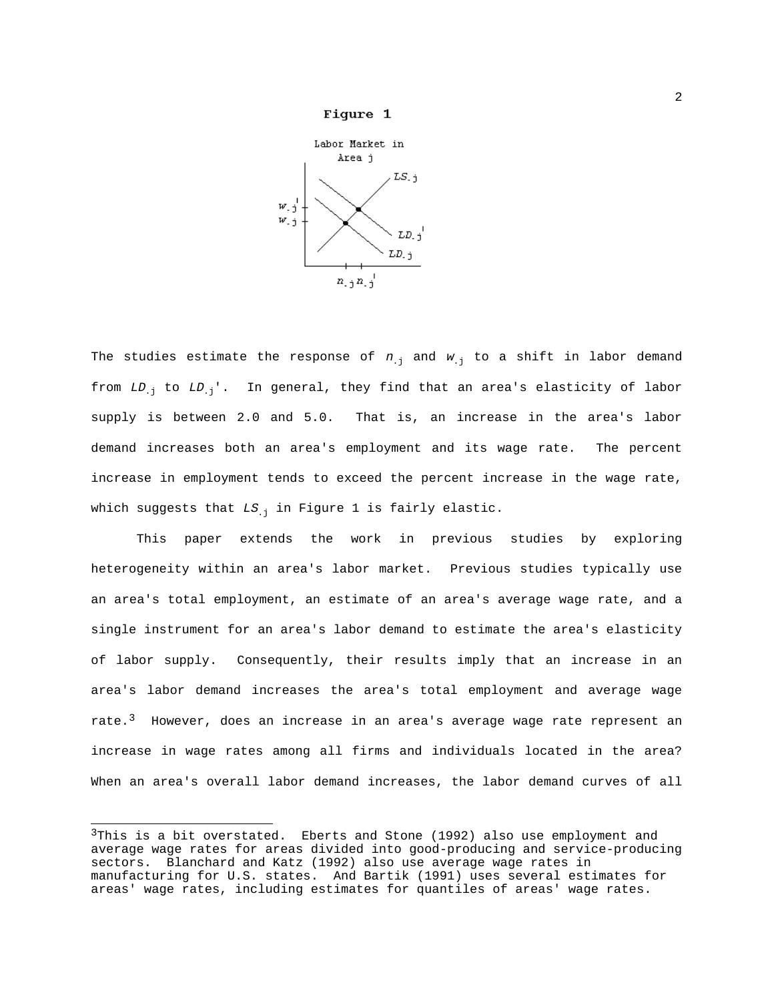



The studies estimate the response of  $n_{ij}$  and  $w_{ij}$  to a shift in labor demand from  $LD_{i}$  to  $LD_{i}$ . In general, they find that an area's elasticity of labor supply is between 2.0 and 5.0. That is, an increase in the area's labor demand increases both an area's employment and its wage rate. The percent increase in employment tends to exceed the percent increase in the wage rate, which suggests that  $LS$ , in Figure 1 is fairly elastic.

This paper extends the work in previous studies by exploring heterogeneity within an area's labor market. Previous studies typically use an area's total employment, an estimate of an area's average wage rate, and a single instrument for an area's labor demand to estimate the area's elasticity of labor supply. Consequently, their results imply that an increase in an area's labor demand increases the area's total employment and average wage rate.<sup>3</sup> However, does an increase in an area's average wage rate represent an increase in wage rates among all firms and individuals located in the area? When an area's overall labor demand increases, the labor demand curves of all

i<br>L

<sup>&</sup>lt;sup>3</sup>This is a bit overstated. Eberts and Stone (1992) also use employment and average wage rates for areas divided into good-producing and service-producing sectors. Blanchard and Katz (1992) also use average wage rates in manufacturing for U.S. states. And Bartik (1991) uses several estimates for areas' wage rates, including estimates for quantiles of areas' wage rates.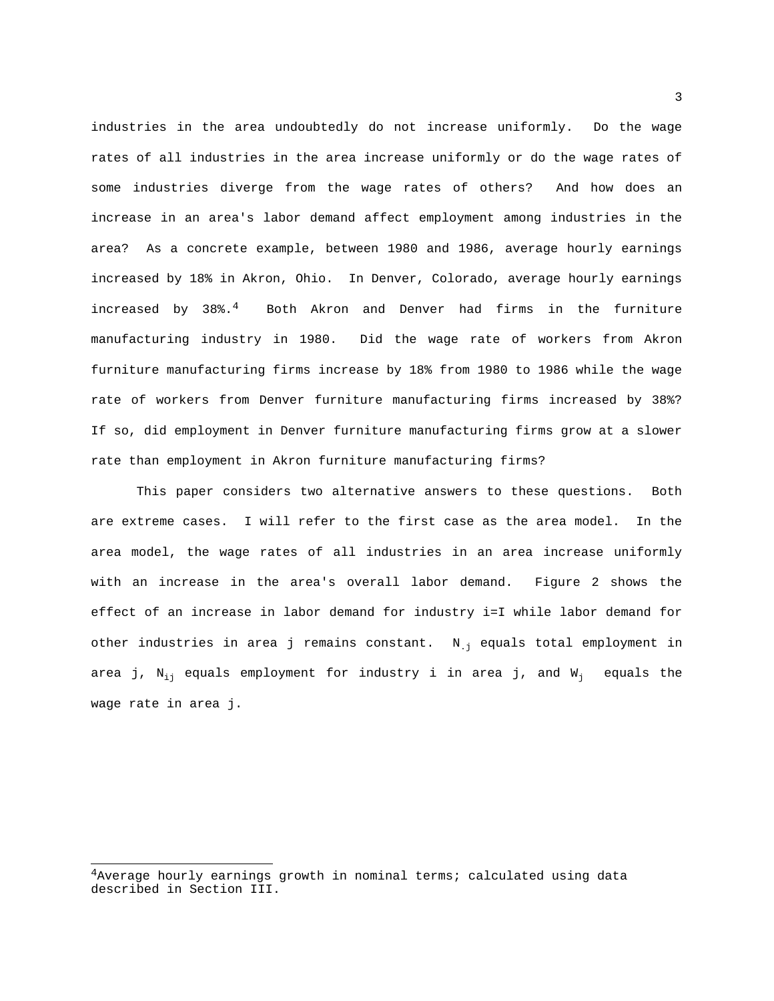industries in the area undoubtedly do not increase uniformly. Do the wage rates of all industries in the area increase uniformly or do the wage rates of some industries diverge from the wage rates of others? And how does an increase in an area's labor demand affect employment among industries in the area? As a concrete example, between 1980 and 1986, average hourly earnings increased by 18% in Akron, Ohio. In Denver, Colorado, average hourly earnings increased by 38%.4 Both Akron and Denver had firms in the furniture manufacturing industry in 1980. Did the wage rate of workers from Akron furniture manufacturing firms increase by 18% from 1980 to 1986 while the wage rate of workers from Denver furniture manufacturing firms increased by 38%? If so, did employment in Denver furniture manufacturing firms grow at a slower rate than employment in Akron furniture manufacturing firms?

This paper considers two alternative answers to these questions. Both are extreme cases. I will refer to the first case as the area model. In the area model, the wage rates of all industries in an area increase uniformly with an increase in the area's overall labor demand. Figure 2 shows the effect of an increase in labor demand for industry i=I while labor demand for other industries in area j remains constant.  $N_{i,j}$  equals total employment in area j,  $N_{i,j}$  equals employment for industry i in area j, and  $W_{j}$  equals the wage rate in area j.

÷,

<sup>&</sup>lt;sup>4</sup>Average hourly earnings growth in nominal terms; calculated using data described in Section III.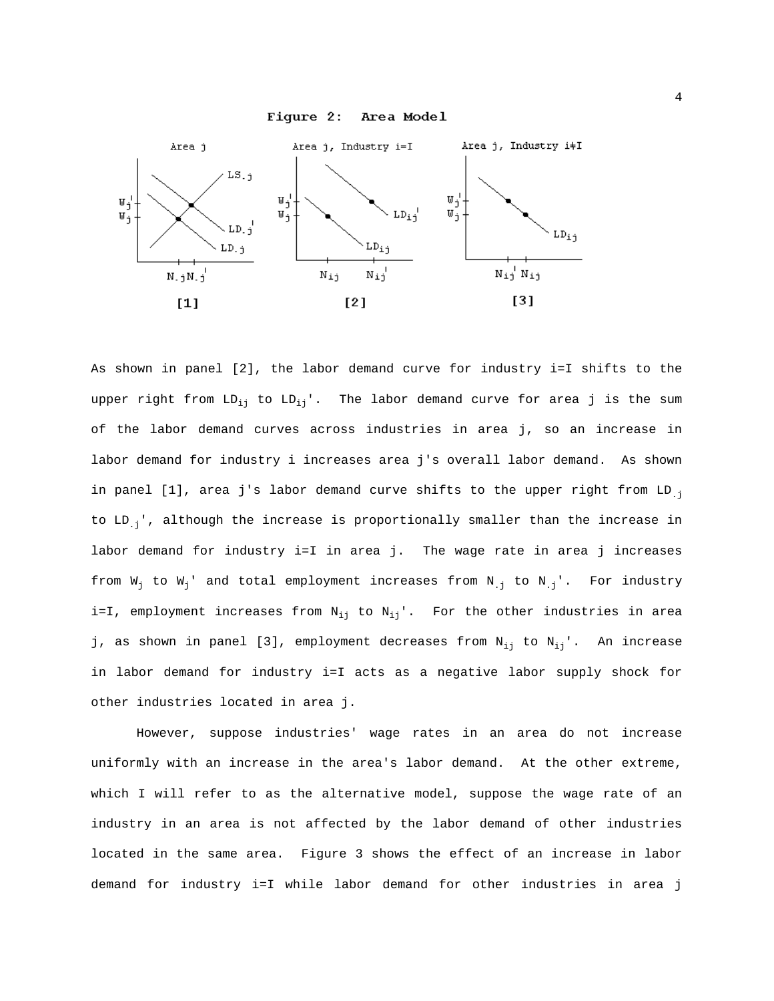



As shown in panel [2], the labor demand curve for industry i=I shifts to the upper right from  $LD_{i,j}$  to  $LD_{i,j}'$ . The labor demand curve for area j is the sum of the labor demand curves across industries in area j, so an increase in labor demand for industry i increases area j's overall labor demand. As shown in panel [1], area j's labor demand curve shifts to the upper right from  $LD_{.j}$ to LD<sub>.j</sub>', although the increase is proportionally smaller than the increase in labor demand for industry i=I in area j. The wage rate in area j increases from  $W_j$  to  $W_j$ ' and total employment increases from  $N_{.j}$  to  $N_{.j}$ '. For industry i=I, employment increases from  $N_{i,j}$  to  $N_{i,j}'$ . For the other industries in area j, as shown in panel [3], employment decreases from  $N_{ij}$  to  $N_{ij}'$ . An increase in labor demand for industry i=I acts as a negative labor supply shock for other industries located in area j.

However, suppose industries' wage rates in an area do not increase uniformly with an increase in the area's labor demand. At the other extreme, which I will refer to as the alternative model, suppose the wage rate of an industry in an area is not affected by the labor demand of other industries located in the same area. Figure 3 shows the effect of an increase in labor demand for industry i=I while labor demand for other industries in area j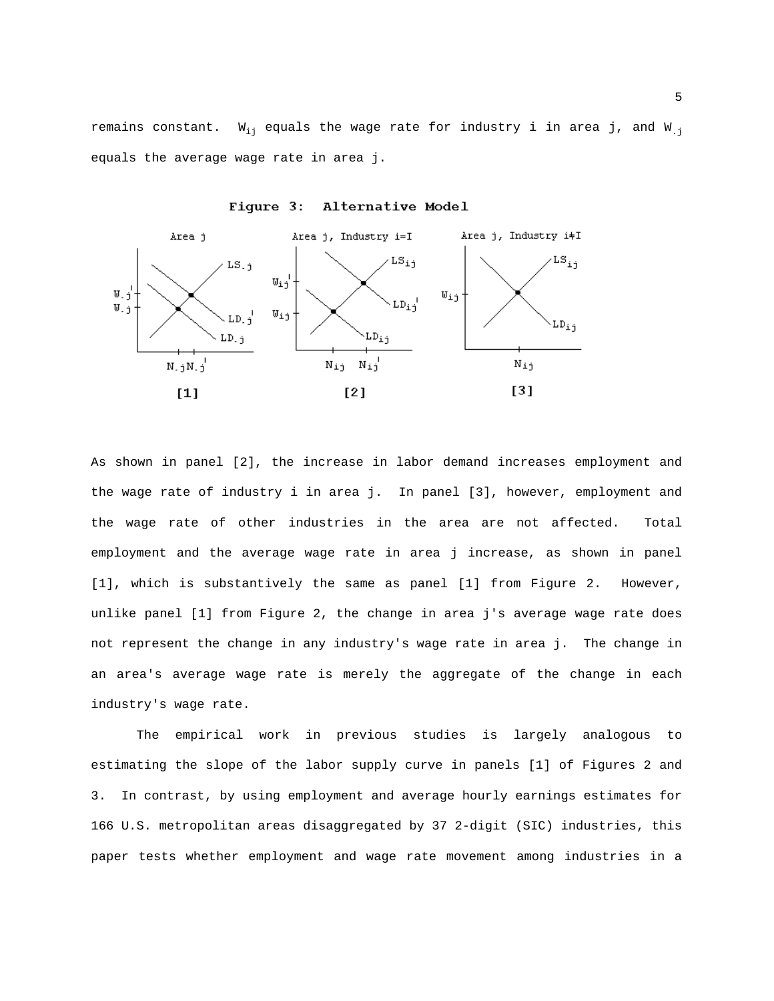remains constant.  $W_{ij}$  equals the wage rate for industry i in area j, and  $W_{ij}$ equals the average wage rate in area j.



Fiqure 3: Alternative Model

As shown in panel [2], the increase in labor demand increases employment and the wage rate of industry i in area j. In panel [3], however, employment and the wage rate of other industries in the area are not affected. Total employment and the average wage rate in area j increase, as shown in panel [1], which is substantively the same as panel [1] from Figure 2. However, unlike panel [1] from Figure 2, the change in area j's average wage rate does not represent the change in any industry's wage rate in area j. The change in an area's average wage rate is merely the aggregate of the change in each industry's wage rate.

The empirical work in previous studies is largely analogous to estimating the slope of the labor supply curve in panels [1] of Figures 2 and 3. In contrast, by using employment and average hourly earnings estimates for 166 U.S. metropolitan areas disaggregated by 37 2-digit (SIC) industries, this paper tests whether employment and wage rate movement among industries in a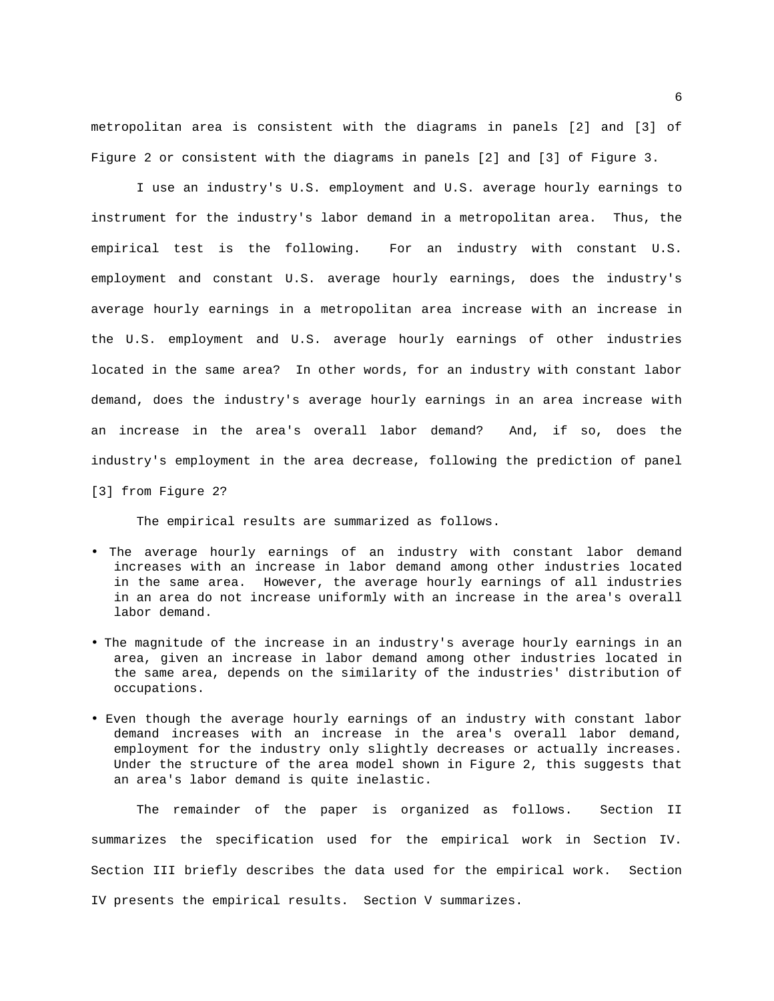metropolitan area is consistent with the diagrams in panels [2] and [3] of Figure 2 or consistent with the diagrams in panels [2] and [3] of Figure 3.

I use an industry's U.S. employment and U.S. average hourly earnings to instrument for the industry's labor demand in a metropolitan area. Thus, the empirical test is the following. For an industry with constant U.S. employment and constant U.S. average hourly earnings, does the industry's average hourly earnings in a metropolitan area increase with an increase in the U.S. employment and U.S. average hourly earnings of other industries located in the same area? In other words, for an industry with constant labor demand, does the industry's average hourly earnings in an area increase with an increase in the area's overall labor demand? And, if so, does the industry's employment in the area decrease, following the prediction of panel [3] from Figure 2?

The empirical results are summarized as follows.

- The average hourly earnings of an industry with constant labor demand increases with an increase in labor demand among other industries located in the same area. However, the average hourly earnings of all industries in an area do not increase uniformly with an increase in the area's overall labor demand.
- The magnitude of the increase in an industry's average hourly earnings in an area, given an increase in labor demand among other industries located in the same area, depends on the similarity of the industries' distribution of occupations.
- Even though the average hourly earnings of an industry with constant labor demand increases with an increase in the area's overall labor demand, employment for the industry only slightly decreases or actually increases. Under the structure of the area model shown in Figure 2, this suggests that an area's labor demand is quite inelastic.

 The remainder of the paper is organized as follows. Section II summarizes the specification used for the empirical work in Section IV. Section III briefly describes the data used for the empirical work. Section IV presents the empirical results. Section V summarizes.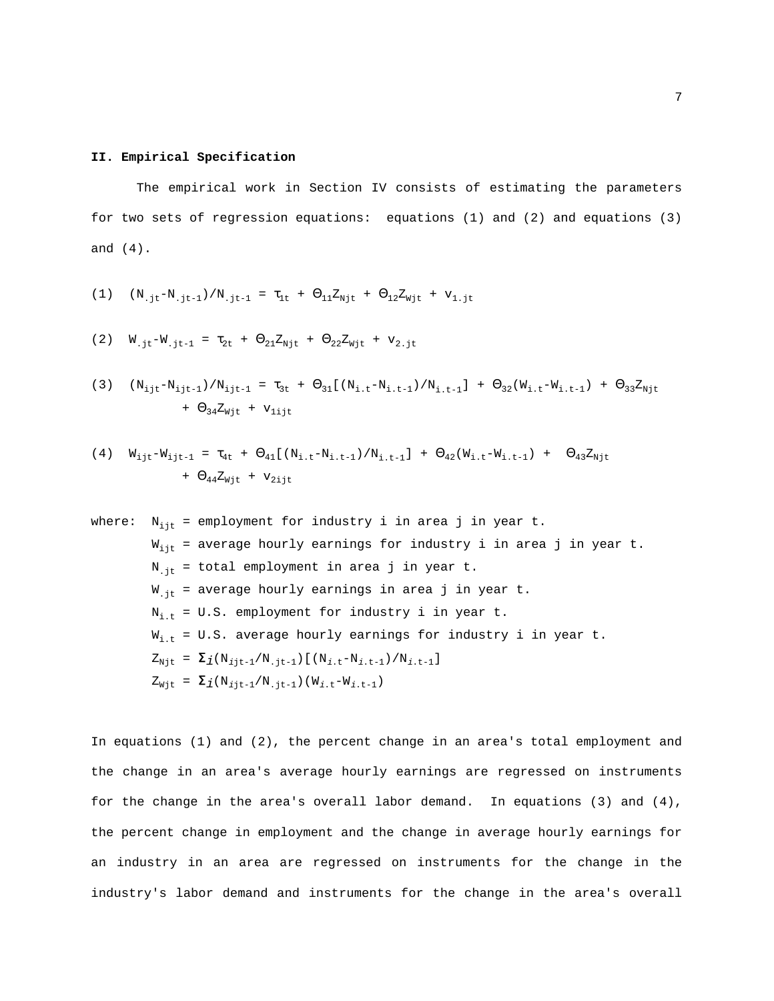#### **II. Empirical Specification**

The empirical work in Section IV consists of estimating the parameters for two sets of regression equations: equations (1) and (2) and equations (3) and (4).

$$
(1) \quad (N_{\text{.jt}}-N_{\text{.jt-1}})/N_{\text{.jt-1}} = \tau_{1t} + \Theta_{11} Z_{Njt} + \Theta_{12} Z_{Njt} + v_{1 \text{.jt}}
$$

(2) 
$$
W_{\text{.jt}}-W_{\text{.jt-1}} = \tau_{2t} + \Theta_{21}Z_{\text{Njt}} + \Theta_{22}Z_{\text{Wjt}} + \nu_{2\text{.jt}}
$$

(3) 
$$
(N_{ijt} - N_{ijt-1})/N_{ijt-1} = \tau_{3t} + \Theta_{31}[(N_{i,t} - N_{i,t-1})/N_{i,t-1}] + \Theta_{32}(N_{i,t} - N_{i,t-1}) + \Theta_{33}Z_{Njt}
$$
  
+  $\Theta_{34}Z_{Njt} + V_{1ijt}$ 

(4) 
$$
W_{ijt} - W_{ijt-1} = \tau_{4t} + \Theta_{41}[(N_{i,t} - N_{i,t-1})/N_{i,t-1}] + \Theta_{42}(W_{i,t} - W_{i,t-1}) + \Theta_{43}Z_{Njt}
$$
  
+  $\Theta_{44}Z_{Njt} + V_{2ijt}$ 

where: 
$$
N_{ijt}
$$
 = employment for industry i in area j in year t.  
\n $W_{ijt}$  = average hourly earnings for industry i in area j in year t.  
\n $N_{jt}$  = total employment in area j in year t.  
\n $W_{jt}$  = average hourly earnings in area j in year t.  
\n $N_{i.t}$  = U.S. employment for industry i in year t.  
\n $W_{i.t}$  = U.S. average hourly earnings for industry i in year t.  
\n $Z_{Njt}$  =  $\Sigma_j (N_{ijt-1}/N_{jt-1})[(N_{i.t}-N_{i.t-1})/N_{i.t-1}]$   
\n $Z_{Wjt}$  =  $\Sigma_j (N_{ijt-1}/N_{jt-1})(W_{i.t}-N_{i.t-1})$ 

In equations (1) and (2), the percent change in an area's total employment and the change in an area's average hourly earnings are regressed on instruments for the change in the area's overall labor demand. In equations (3) and (4), the percent change in employment and the change in average hourly earnings for an industry in an area are regressed on instruments for the change in the industry's labor demand and instruments for the change in the area's overall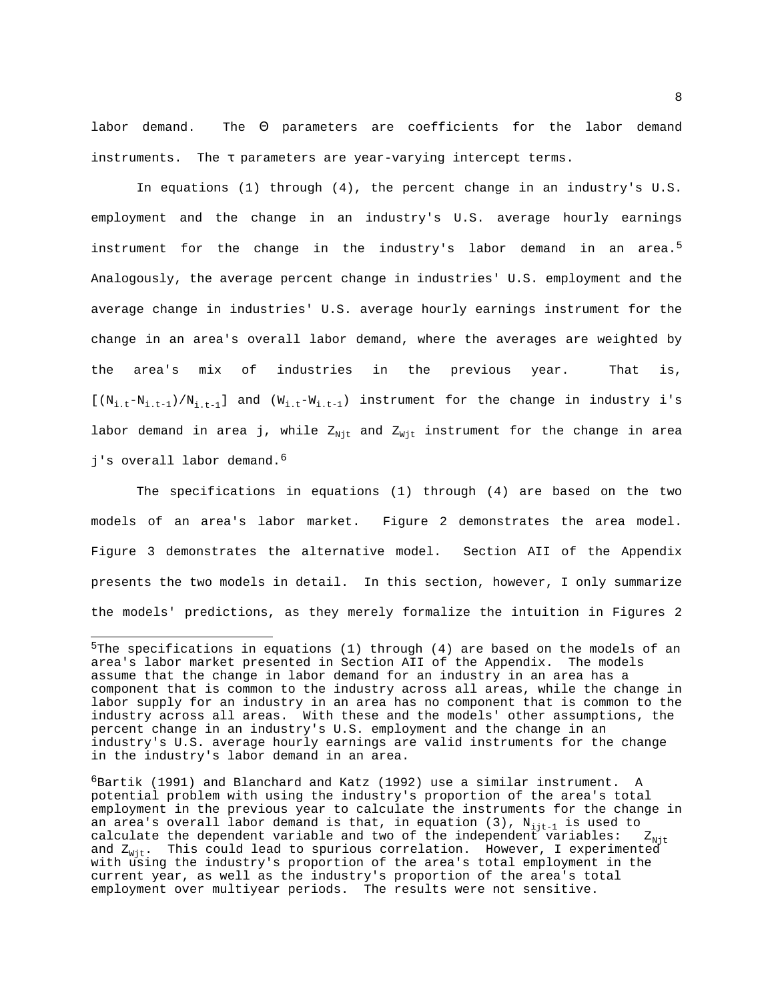labor demand. The Θ parameters are coefficients for the labor demand instruments. The τ parameters are year-varying intercept terms.

In equations (1) through (4), the percent change in an industry's U.S. employment and the change in an industry's U.S. average hourly earnings instrument for the change in the industry's labor demand in an area.<sup>5</sup> Analogously, the average percent change in industries' U.S. employment and the average change in industries' U.S. average hourly earnings instrument for the change in an area's overall labor demand, where the averages are weighted by the area's mix of industries in the previous year. That is,  $[(N_{i.t}-N_{i.t-1})/N_{i.t-1}]$  and  $(W_{i.t}-W_{i.t-1})$  instrument for the change in industry i's labor demand in area j, while  $Z_{Njt}$  and  $Z_{Njt}$  instrument for the change in area j's overall labor demand.<sup>6</sup>

The specifications in equations (1) through (4) are based on the two models of an area's labor market. Figure 2 demonstrates the area model. Figure 3 demonstrates the alternative model. Section AII of the Appendix presents the two models in detail. In this section, however, I only summarize the models' predictions, as they merely formalize the intuition in Figures 2

i<br>L

 $5$ The specifications in equations (1) through (4) are based on the models of an area's labor market presented in Section AII of the Appendix. The models assume that the change in labor demand for an industry in an area has a component that is common to the industry across all areas, while the change in labor supply for an industry in an area has no component that is common to the industry across all areas. With these and the models' other assumptions, the percent change in an industry's U.S. employment and the change in an industry's U.S. average hourly earnings are valid instruments for the change in the industry's labor demand in an area.

<sup>&</sup>lt;sup>6</sup>Bartik (1991) and Blanchard and Katz (1992) use a similar instrument. A potential problem with using the industry's proportion of the area's total employment in the previous year to calculate the instruments for the change in an area's overall labor demand is that, in equation (3),  $N_{ijt-1}$  is used to calculate the dependent variable and two of the independent variables:  $Z_{Njt}$ and  $Z_{W,i}$ . This could lead to spurious correlation. However, I experimented with using the industry's proportion of the area's total employment in the current year, as well as the industry's proportion of the area's total employment over multiyear periods. The results were not sensitive.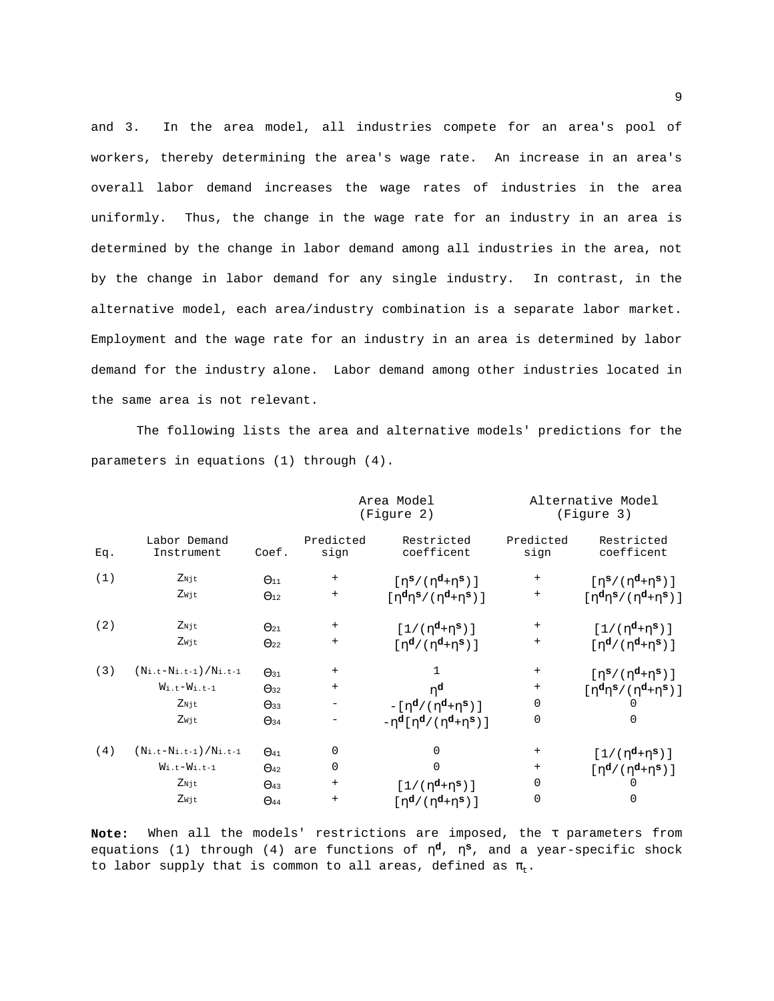and 3. In the area model, all industries compete for an area's pool of workers, thereby determining the area's wage rate. An increase in an area's overall labor demand increases the wage rates of industries in the area uniformly. Thus, the change in the wage rate for an industry in an area is determined by the change in labor demand among all industries in the area, not by the change in labor demand for any single industry. In contrast, in the alternative model, each area/industry combination is a separate labor market. Employment and the wage rate for an industry in an area is determined by labor demand for the industry alone. Labor demand among other industries located in the same area is not relevant.

The following lists the area and alternative models' predictions for the parameters in equations (1) through (4).

|     |                            |                        |                   | Area Model<br>(Figure 2)                                                                            | Alternative Model<br>(Figure 3) |                                                                                                     |
|-----|----------------------------|------------------------|-------------------|-----------------------------------------------------------------------------------------------------|---------------------------------|-----------------------------------------------------------------------------------------------------|
| Eq. | Labor Demand<br>Instrument | Coef.                  | Predicted<br>sign | Restricted<br>coefficent                                                                            | Predicted<br>sign               | Restricted<br>coefficent                                                                            |
| (1) | ZNjt                       | $\Theta$ 11            | $^{\mathrm{+}}$   | $\lceil \mathfrak{n}^{\mathbf{s}} / (\mathfrak{n}^{\mathbf{d}} + \mathfrak{n}^{\mathbf{s}}) \rceil$ | $^{+}$                          | $[\eta^{\mathbf{s}}/(\eta^{\mathbf{d}}+\eta^{\mathbf{s}})]$                                         |
|     | Zwjt                       | $\Theta$ 12            | $^{+}$            | $\lceil \eta^d \eta^s / (\eta^d + \eta^s) \rceil$                                                   | $^+$                            | $\lceil \eta^d \eta^s / (\eta^d + \eta^s) \rceil$                                                   |
| (2) | Znjt                       | $\Theta_{21}$          | $+$               | $[1/(n^{d}+n^{s})]$                                                                                 | $\ddot{}$                       | $[1/(n^{d}+n^{s})]$                                                                                 |
|     | Zwjt                       | $\Theta$ <sub>22</sub> | $^{+}$            | $\lceil \mathfrak{n}^d / (\mathfrak{n}^d + \mathfrak{n}^s) \rceil$                                  | $\ddot{}$                       | $\lceil \mathfrak{n}^{\mathbf{d}} / (\mathfrak{n}^{\mathbf{d}} + \mathfrak{n}^{\mathbf{s}}) \rceil$ |
| (3) | $(Ni.t-Ni.t-1)/Ni.t-1$     | $\Theta_{31}$          | $^{+}$            |                                                                                                     | $^{+}$                          | $\lceil \eta^{\mathbf{s}} / (\eta^{\mathbf{d}} + \eta^{\mathbf{s}}) \rceil$                         |
|     | $W_i.t-W_i.t-1$            | $\Theta$ <sub>32</sub> | $^{+}$            | $\eta^{\bf d}$                                                                                      | $^{+}$                          | $[ \, \eta^d \eta^s / \, (\, \eta^d + \eta^s \,) \, \, ]$                                           |
|     | Znjt                       | $\Theta$ <sub>33</sub> |                   | $- [ηd / (ηd+ηs) ]$                                                                                 | 0                               |                                                                                                     |
|     | $Zw$ <sub>jt</sub>         | $\Theta$ <sub>34</sub> |                   | $-\eta^d[\eta^d/(\eta^d+\eta^s)]$                                                                   | 0                               | U                                                                                                   |
| (4) | $(Ni.t-Ni.t-1)/Ni.t-1$     | $\Theta_{41}$          | 0                 | $\mathbf 0$                                                                                         | $^{+}$                          | $[1/(n^{d}+n^{s})]$                                                                                 |
|     | $W$ i.t- $W$ i.t-1         | $\Theta$ <sub>42</sub> | 0                 | $\overline{0}$                                                                                      | $^{+}$                          | $[ \, \eta^d / \, (\, \eta^d + \eta^s) \, ]$                                                        |
|     | ZNjt                       | $\Theta$ <sub>43</sub> | $^{+}$            | $[1/(n^{d}+n^{s})]$                                                                                 | 0                               |                                                                                                     |
|     | Zwjt                       | $\Theta$ <sub>44</sub> | $^{+}$            | $\lceil \mathfrak{n}^{\mathbf{d}} / (\mathfrak{n}^{\mathbf{d}} + \mathfrak{n}^{\mathbf{s}}) \rceil$ | 0                               | 0                                                                                                   |

**Note:** When all the models' restrictions are imposed, the τ parameters from equations (1) through (4) are functions of η**d**, η**s**, and a year-specific shock to labor supply that is common to all areas, defined as  $\pi_{+}$ .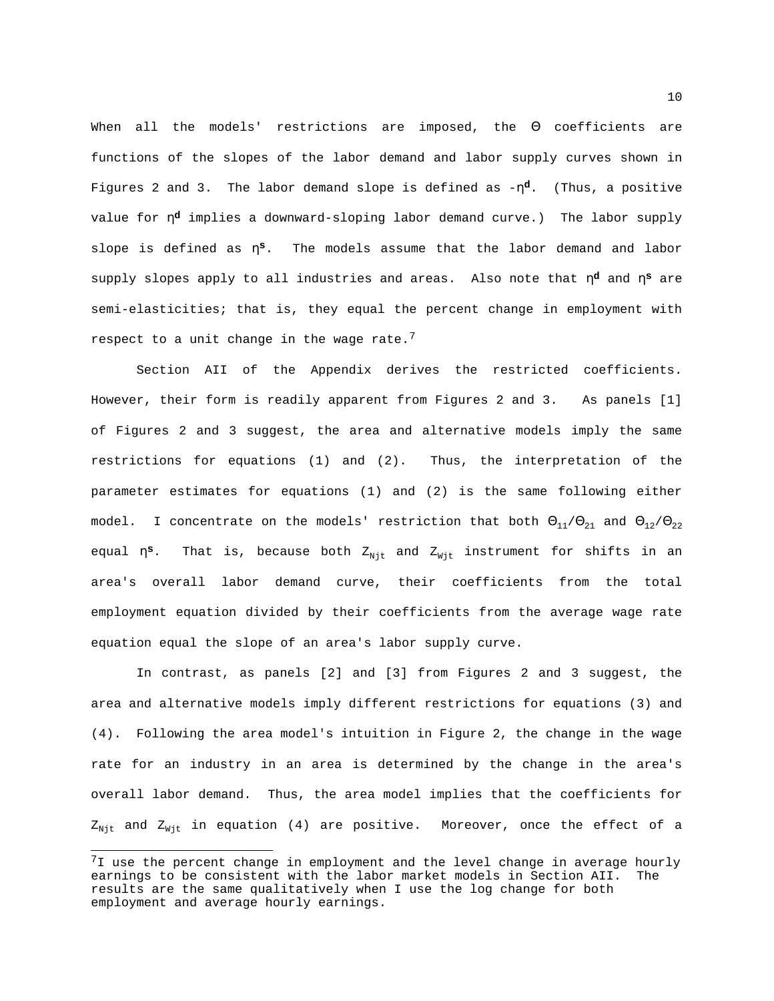When all the models' restrictions are imposed, the Θ coefficients are functions of the slopes of the labor demand and labor supply curves shown in Figures 2 and 3. The labor demand slope is defined as -η**d**. (Thus, a positive value for η**d** implies a downward-sloping labor demand curve.) The labor supply slope is defined as η**s**. The models assume that the labor demand and labor supply slopes apply to all industries and areas. Also note that η**d** and η**s** are semi-elasticities; that is, they equal the percent change in employment with respect to a unit change in the wage rate.<sup>7</sup>

Section AII of the Appendix derives the restricted coefficients. However, their form is readily apparent from Figures 2 and 3. As panels [1] of Figures 2 and 3 suggest, the area and alternative models imply the same restrictions for equations (1) and (2). Thus, the interpretation of the parameter estimates for equations (1) and (2) is the same following either model. I concentrate on the models' restriction that both  $\Theta_{11}/\Theta_{21}$  and  $\Theta_{12}/\Theta_{22}$ equal  $\eta^s$ . That is, because both  $Z_{Njt}$  and  $Z_{Wjt}$  instrument for shifts in an area's overall labor demand curve, their coefficients from the total employment equation divided by their coefficients from the average wage rate equation equal the slope of an area's labor supply curve.

In contrast, as panels [2] and [3] from Figures 2 and 3 suggest, the area and alternative models imply different restrictions for equations (3) and (4). Following the area model's intuition in Figure 2, the change in the wage rate for an industry in an area is determined by the change in the area's overall labor demand. Thus, the area model implies that the coefficients for  $Z_{Njt}$  and  $Z_{Wjt}$  in equation (4) are positive. Moreover, once the effect of a

÷,

 $7$ I use the percent change in employment and the level change in average hourly earnings to be consistent with the labor market models in Section AII. The results are the same qualitatively when I use the log change for both employment and average hourly earnings.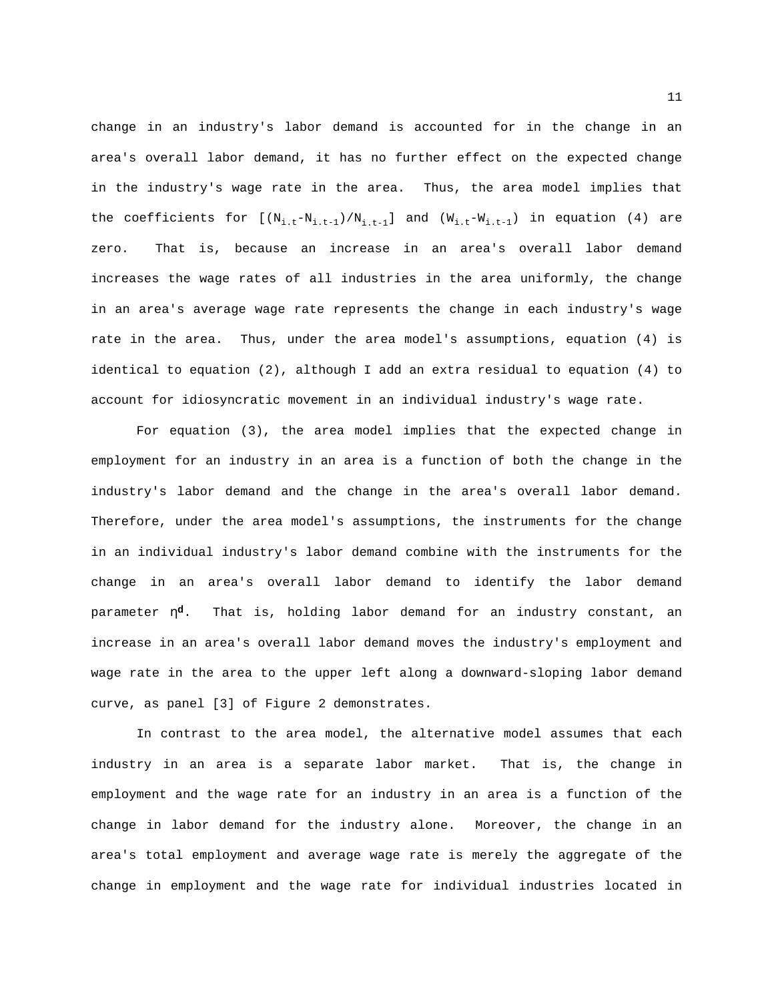change in an industry's labor demand is accounted for in the change in an area's overall labor demand, it has no further effect on the expected change in the industry's wage rate in the area. Thus, the area model implies that the coefficients for  $[(N_{i.t}-N_{i.t-1})/N_{i.t-1}]$  and  $(W_{i.t}-W_{i.t-1})$  in equation (4) are zero. That is, because an increase in an area's overall labor demand increases the wage rates of all industries in the area uniformly, the change in an area's average wage rate represents the change in each industry's wage rate in the area. Thus, under the area model's assumptions, equation (4) is identical to equation (2), although I add an extra residual to equation (4) to account for idiosyncratic movement in an individual industry's wage rate.

For equation (3), the area model implies that the expected change in employment for an industry in an area is a function of both the change in the industry's labor demand and the change in the area's overall labor demand. Therefore, under the area model's assumptions, the instruments for the change in an individual industry's labor demand combine with the instruments for the change in an area's overall labor demand to identify the labor demand parameter η**d**. That is, holding labor demand for an industry constant, an increase in an area's overall labor demand moves the industry's employment and wage rate in the area to the upper left along a downward-sloping labor demand curve, as panel [3] of Figure 2 demonstrates.

In contrast to the area model, the alternative model assumes that each industry in an area is a separate labor market. That is, the change in employment and the wage rate for an industry in an area is a function of the change in labor demand for the industry alone. Moreover, the change in an area's total employment and average wage rate is merely the aggregate of the change in employment and the wage rate for individual industries located in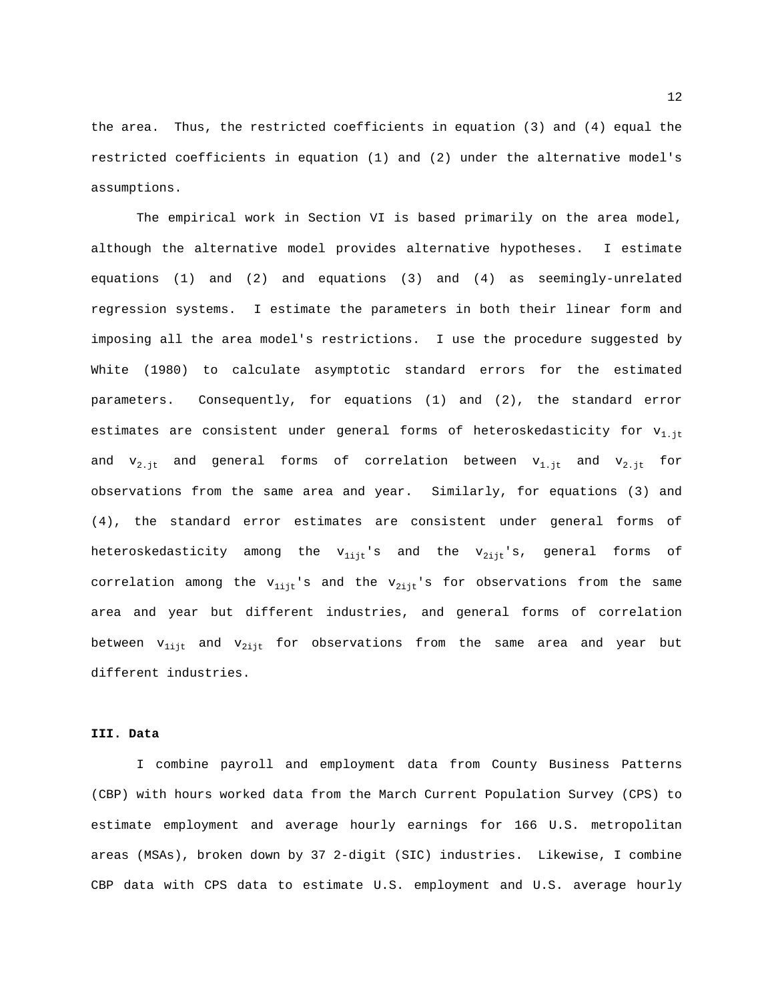the area. Thus, the restricted coefficients in equation (3) and (4) equal the restricted coefficients in equation (1) and (2) under the alternative model's assumptions.

The empirical work in Section VI is based primarily on the area model, although the alternative model provides alternative hypotheses. I estimate equations (1) and (2) and equations (3) and (4) as seemingly-unrelated regression systems. I estimate the parameters in both their linear form and imposing all the area model's restrictions. I use the procedure suggested by White (1980) to calculate asymptotic standard errors for the estimated parameters. Consequently, for equations (1) and (2), the standard error estimates are consistent under general forms of heteroskedasticity for  $v_{1,jt}$ and  $v_{2,it}$  and general forms of correlation between  $v_{1,it}$  and  $v_{2,it}$  for observations from the same area and year. Similarly, for equations (3) and (4), the standard error estimates are consistent under general forms of heteroskedasticity among the  $v_{1ijt}$ 's and the  $v_{2ijt}$ 's, general forms of correlation among the  $v_{1ijt}$ 's and the  $v_{2ijt}$ 's for observations from the same area and year but different industries, and general forms of correlation between  $v_{1i}$ <sub>it</sub> and  $v_{2i}$ <sub>it</sub> for observations from the same area and year but different industries.

#### **III. Data**

I combine payroll and employment data from County Business Patterns (CBP) with hours worked data from the March Current Population Survey (CPS) to estimate employment and average hourly earnings for 166 U.S. metropolitan areas (MSAs), broken down by 37 2-digit (SIC) industries. Likewise, I combine CBP data with CPS data to estimate U.S. employment and U.S. average hourly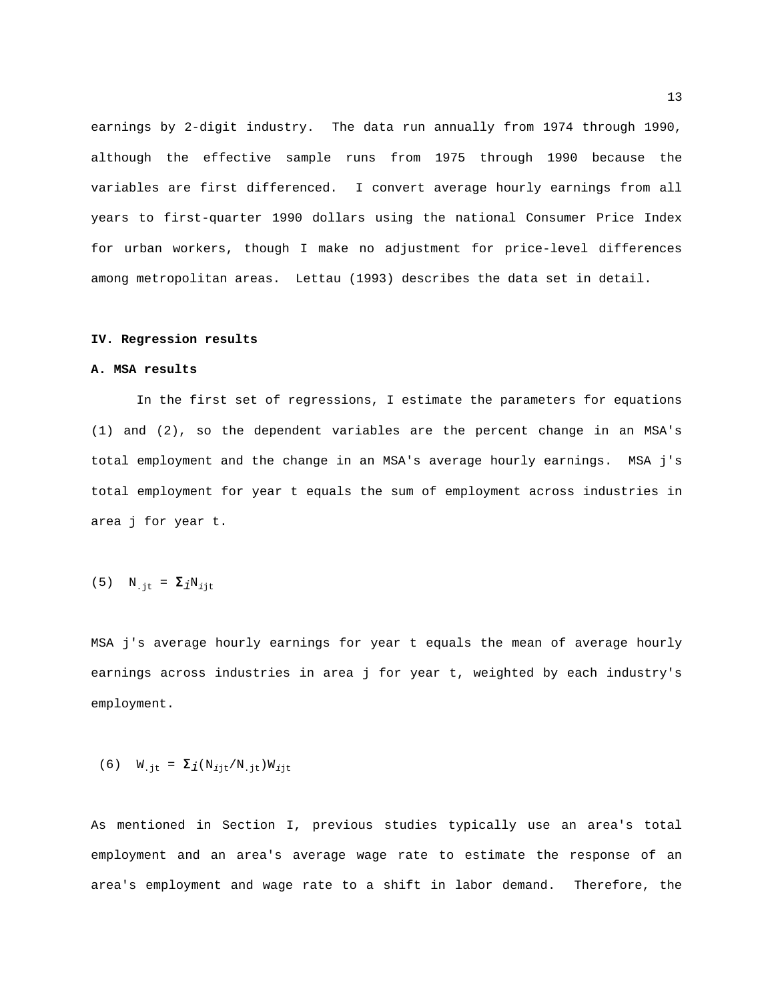earnings by 2-digit industry. The data run annually from 1974 through 1990, although the effective sample runs from 1975 through 1990 because the variables are first differenced. I convert average hourly earnings from all years to first-quarter 1990 dollars using the national Consumer Price Index for urban workers, though I make no adjustment for price-level differences among metropolitan areas. Lettau (1993) describes the data set in detail.

#### **IV. Regression results**

#### **A. MSA results**

In the first set of regressions, I estimate the parameters for equations (1) and (2), so the dependent variables are the percent change in an MSA's total employment and the change in an MSA's average hourly earnings. MSA j's total employment for year t equals the sum of employment across industries in area j for year t.

$$
(5) \quad N_{\text{.jt}} = \Sigma_{\text{i}} N_{\text{.}}
$$

MSA j's average hourly earnings for year t equals the mean of average hourly earnings across industries in area j for year t, weighted by each industry's employment.

$$
(6) \quad W_{\text{.jt}} = \Sigma_{\text{i}} (N_{\text{ijt}}/N_{\text{.jt}}) W_{\text{ijt}}
$$

As mentioned in Section I, previous studies typically use an area's total employment and an area's average wage rate to estimate the response of an area's employment and wage rate to a shift in labor demand. Therefore, the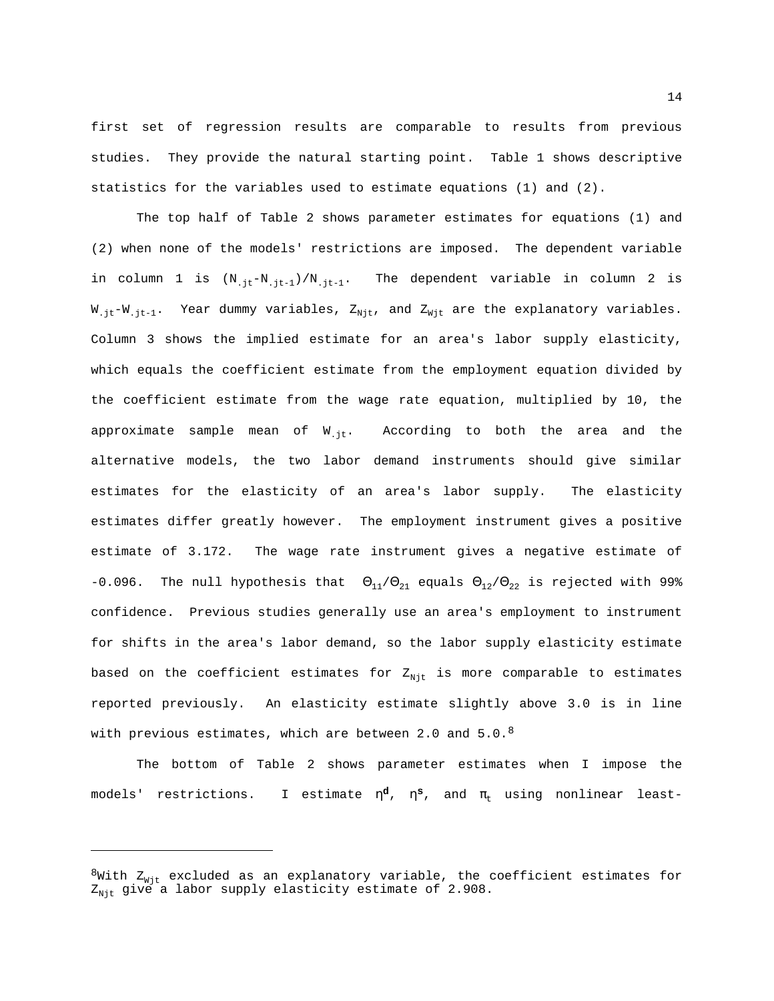first set of regression results are comparable to results from previous studies. They provide the natural starting point. Table 1 shows descriptive statistics for the variables used to estimate equations (1) and (2).

The top half of Table 2 shows parameter estimates for equations (1) and (2) when none of the models' restrictions are imposed. The dependent variable in column 1 is  $(N_{.jt}-N_{.jt-1})/N_{.jt-1}$ . The dependent variable in column 2 is  $W_{\text{jet}}-W_{\text{jet-1}}$ . Year dummy variables,  $Z_{\text{Njt}}$ , and  $Z_{\text{Wjt}}$  are the explanatory variables. Column 3 shows the implied estimate for an area's labor supply elasticity, which equals the coefficient estimate from the employment equation divided by the coefficient estimate from the wage rate equation, multiplied by 10, the approximate sample mean of  $W_{\text{fit}}$ . According to both the area and the alternative models, the two labor demand instruments should give similar estimates for the elasticity of an area's labor supply. The elasticity estimates differ greatly however. The employment instrument gives a positive estimate of 3.172. The wage rate instrument gives a negative estimate of -0.096. The null hypothesis that  $\Theta_{11}/\Theta_{21}$  equals  $\Theta_{12}/\Theta_{22}$  is rejected with 99% confidence. Previous studies generally use an area's employment to instrument for shifts in the area's labor demand, so the labor supply elasticity estimate based on the coefficient estimates for  $Z_{Njt}$  is more comparable to estimates reported previously. An elasticity estimate slightly above 3.0 is in line with previous estimates, which are between 2.0 and  $5.0^{8}$ 

The bottom of Table 2 shows parameter estimates when I impose the models' restrictions. I estimate η<sup>d</sup>, η<sup>s</sup>, and π<sub>t</sub> using nonlinear least-

÷,

 $^8$ With  $Z_{Wjt}$  excluded as an explanatory variable, the coefficient estimates for  $\rm z_{\rm \scriptscriptstyle Njt}$  give a labor supply elasticity estimate of 2.908.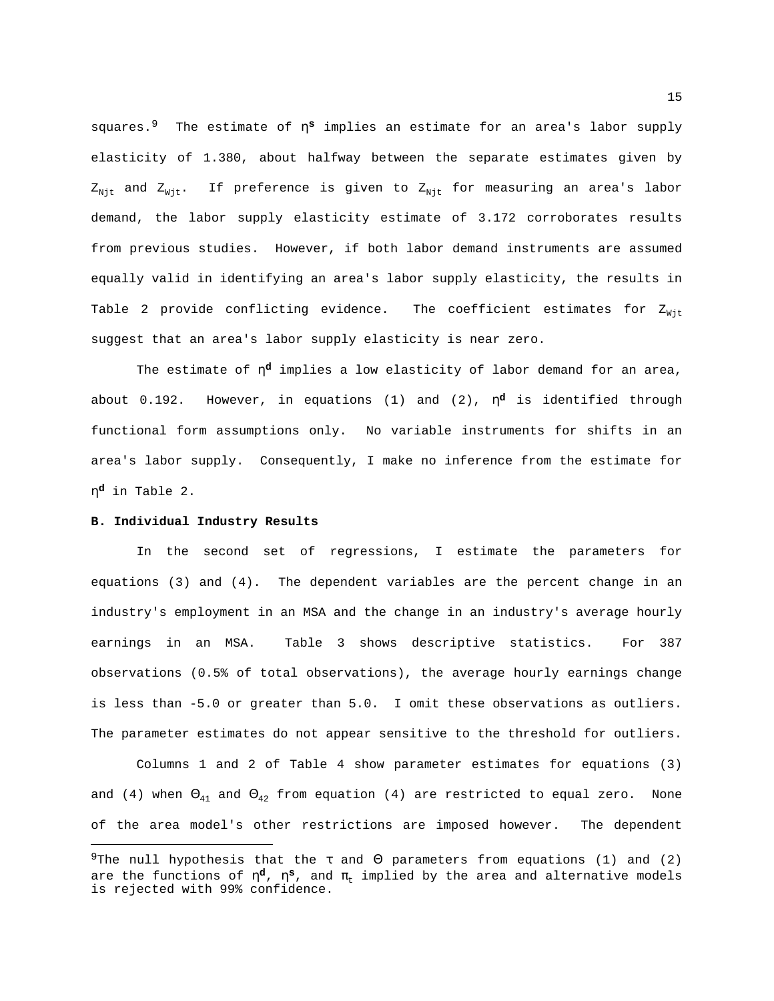squares.9 The estimate of η**s** implies an estimate for an area's labor supply elasticity of 1.380, about halfway between the separate estimates given by  $Z_{Njt}$  and  $Z_{Wjt}$ . If preference is given to  $Z_{Njt}$  for measuring an area's labor demand, the labor supply elasticity estimate of 3.172 corroborates results from previous studies. However, if both labor demand instruments are assumed equally valid in identifying an area's labor supply elasticity, the results in Table 2 provide conflicting evidence. The coefficient estimates for  $Z_{Wit}$ suggest that an area's labor supply elasticity is near zero.

The estimate of η**d** implies a low elasticity of labor demand for an area, about 0.192. However, in equations (1) and (2), η**d** is identified through functional form assumptions only. No variable instruments for shifts in an area's labor supply. Consequently, I make no inference from the estimate for η**d** in Table 2.

#### **B. Individual Industry Results**

i<br>L

In the second set of regressions, I estimate the parameters for equations (3) and (4). The dependent variables are the percent change in an industry's employment in an MSA and the change in an industry's average hourly earnings in an MSA. Table 3 shows descriptive statistics. For 387 observations (0.5% of total observations), the average hourly earnings change is less than -5.0 or greater than 5.0. I omit these observations as outliers. The parameter estimates do not appear sensitive to the threshold for outliers.

Columns 1 and 2 of Table 4 show parameter estimates for equations (3) and (4) when  $\Theta_{41}$  and  $\Theta_{42}$  from equation (4) are restricted to equal zero. None of the area model's other restrictions are imposed however. The dependent

<sup>&</sup>lt;sup>9</sup>The null hypothesis that the  $\tau$  and  $\Theta$  parameters from equations (1) and (2) are the functions of  $\eta^d$ ,  $\eta^s$ , and  $\pi_t$  implied by the area and alternative models is rejected with 99% confidence.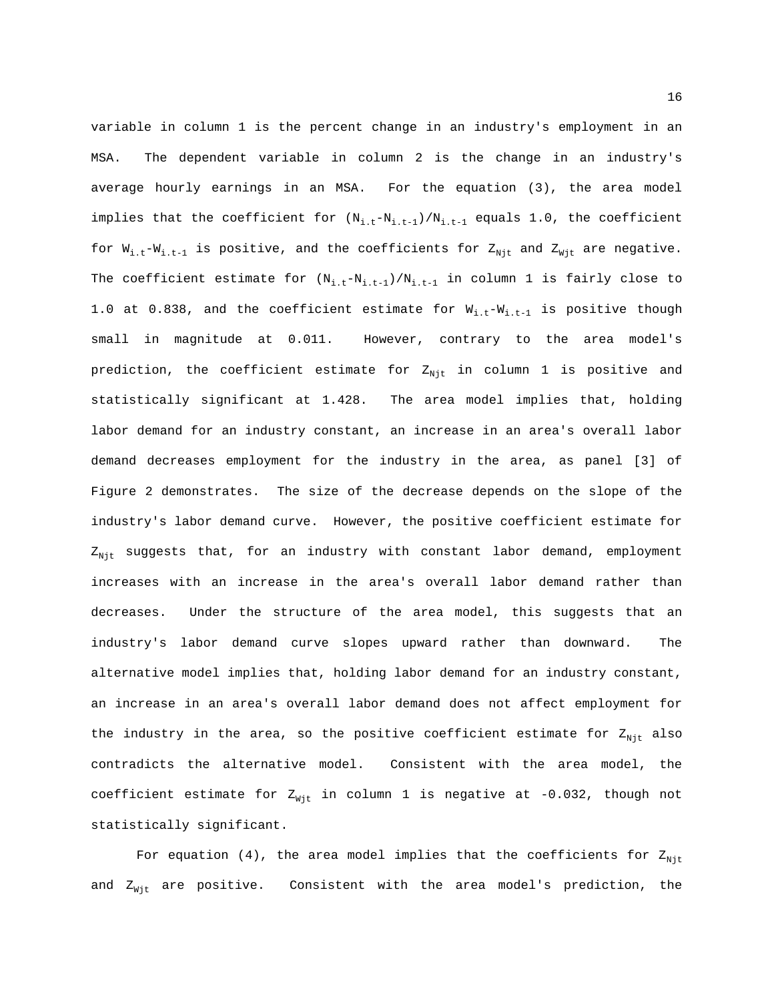variable in column 1 is the percent change in an industry's employment in an MSA. The dependent variable in column 2 is the change in an industry's average hourly earnings in an MSA. For the equation (3), the area model implies that the coefficient for  $(N_{i.t-1}/N_{i.t-1})/N_{i.t-1}$  equals 1.0, the coefficient for  $W_{i.t}-W_{i.t-1}$  is positive, and the coefficients for  $Z_{Njt}$  and  $Z_{Wjt}$  are negative. The coefficient estimate for  $(N_{i.t}-N_{i.t-1})/N_{i.t-1}$  in column 1 is fairly close to 1.0 at 0.838, and the coefficient estimate for  $W_{i.t} - W_{i.t-1}$  is positive though small in magnitude at 0.011. However, contrary to the area model's prediction, the coefficient estimate for  $Z_{Njt}$  in column 1 is positive and statistically significant at 1.428. The area model implies that, holding labor demand for an industry constant, an increase in an area's overall labor demand decreases employment for the industry in the area, as panel [3] of Figure 2 demonstrates. The size of the decrease depends on the slope of the industry's labor demand curve. However, the positive coefficient estimate for  $Z_{\text{Nit}}$  suggests that, for an industry with constant labor demand, employment increases with an increase in the area's overall labor demand rather than decreases. Under the structure of the area model, this suggests that an industry's labor demand curve slopes upward rather than downward. The alternative model implies that, holding labor demand for an industry constant, an increase in an area's overall labor demand does not affect employment for the industry in the area, so the positive coefficient estimate for  $Z_{Njt}$  also contradicts the alternative model. Consistent with the area model, the coefficient estimate for  $Z_{Wit}$  in column 1 is negative at -0.032, though not statistically significant.

For equation (4), the area model implies that the coefficients for  $Z_{Nit}$ and  $Z_{Wit}$  are positive. Consistent with the area model's prediction, the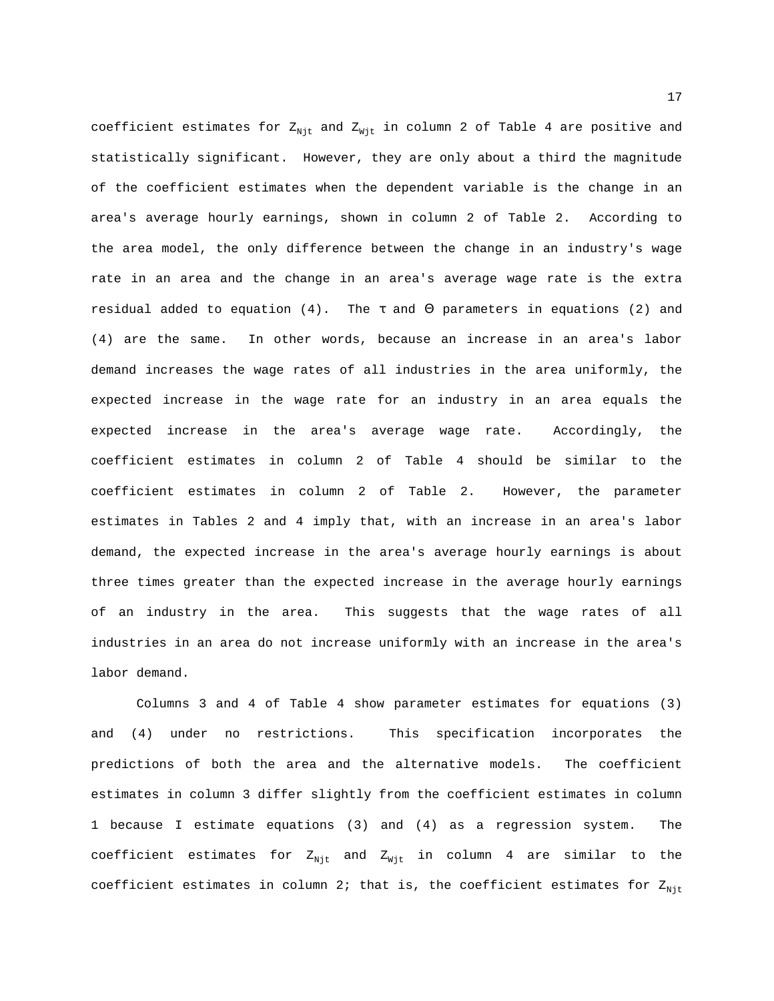coefficient estimates for  $Z_{Njt}$  and  $Z_{Njt}$  in column 2 of Table 4 are positive and statistically significant. However, they are only about a third the magnitude of the coefficient estimates when the dependent variable is the change in an area's average hourly earnings, shown in column 2 of Table 2. According to the area model, the only difference between the change in an industry's wage rate in an area and the change in an area's average wage rate is the extra residual added to equation (4). The  $\tau$  and  $\Theta$  parameters in equations (2) and (4) are the same. In other words, because an increase in an area's labor demand increases the wage rates of all industries in the area uniformly, the expected increase in the wage rate for an industry in an area equals the expected increase in the area's average wage rate. Accordingly, the coefficient estimates in column 2 of Table 4 should be similar to the coefficient estimates in column 2 of Table 2. However, the parameter estimates in Tables 2 and 4 imply that, with an increase in an area's labor demand, the expected increase in the area's average hourly earnings is about three times greater than the expected increase in the average hourly earnings of an industry in the area. This suggests that the wage rates of all industries in an area do not increase uniformly with an increase in the area's labor demand.

Columns 3 and 4 of Table 4 show parameter estimates for equations (3) and (4) under no restrictions. This specification incorporates the predictions of both the area and the alternative models. The coefficient estimates in column 3 differ slightly from the coefficient estimates in column 1 because I estimate equations (3) and (4) as a regression system. The coefficient estimates for  $Z_{Njt}$  and  $Z_{Njt}$  in column 4 are similar to the coefficient estimates in column 2; that is, the coefficient estimates for  $Z_{Nit}$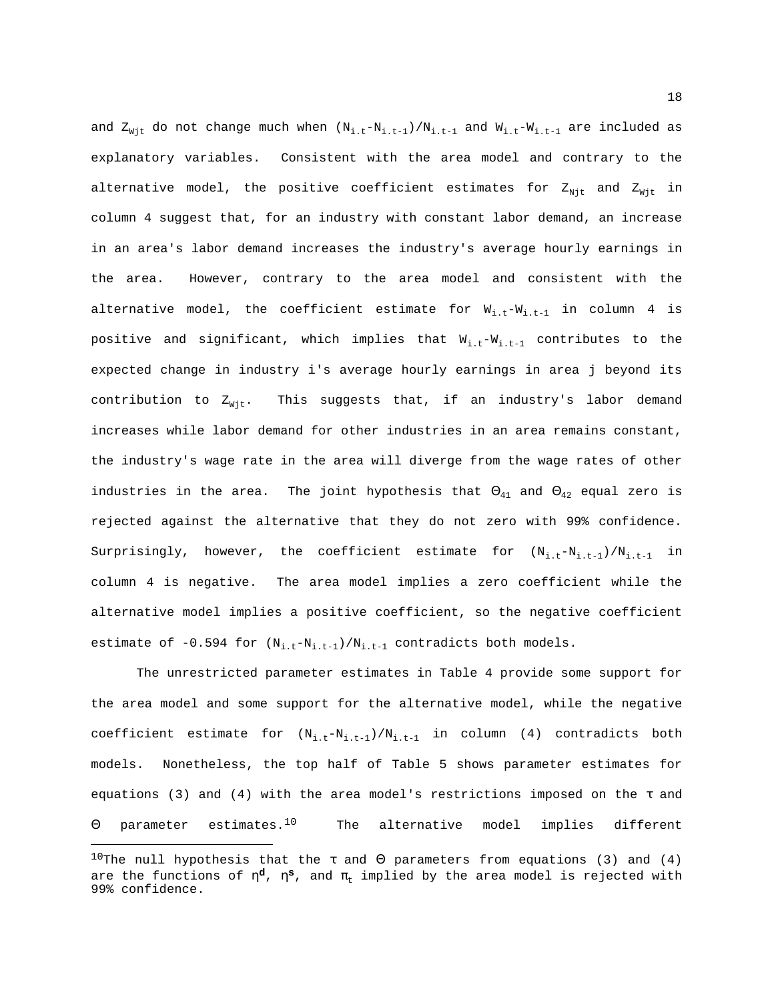and  $Z_{Wjt}$  do not change much when  $(N_{i.t}-N_{i.t-1})/N_{i.t-1}$  and  $W_{i.t}-W_{i.t-1}$  are included as explanatory variables. Consistent with the area model and contrary to the alternative model, the positive coefficient estimates for  $Z_{Njt}$  and  $Z_{Wjt}$  in column 4 suggest that, for an industry with constant labor demand, an increase in an area's labor demand increases the industry's average hourly earnings in the area. However, contrary to the area model and consistent with the alternative model, the coefficient estimate for  $W_{i,t}-W_{i,t-1}$  in column 4 is positive and significant, which implies that  $W_{i,t}-W_{i,t-1}$  contributes to the expected change in industry i's average hourly earnings in area j beyond its contribution to  $Z_{Wit}$ . This suggests that, if an industry's labor demand increases while labor demand for other industries in an area remains constant, the industry's wage rate in the area will diverge from the wage rates of other industries in the area. The joint hypothesis that  $\Theta_{41}$  and  $\Theta_{42}$  equal zero is rejected against the alternative that they do not zero with 99% confidence. Surprisingly, however, the coefficient estimate for  $(N_{i.t-1}/N_{i.t-1})/N_{i.t-1}$  in column 4 is negative. The area model implies a zero coefficient while the alternative model implies a positive coefficient, so the negative coefficient estimate of  $-0.594$  for  $(N_{i.t-1}/N_{i.t-1})/N_{i.t-1}$  contradicts both models.

The unrestricted parameter estimates in Table 4 provide some support for the area model and some support for the alternative model, while the negative coefficient estimate for  $(N_{i.t}-N_{i.t-1})/N_{i.t-1}$  in column (4) contradicts both models. Nonetheless, the top half of Table 5 shows parameter estimates for equations (3) and (4) with the area model's restrictions imposed on the  $\tau$  and Θ parameter estimates.10 The alternative model implies different

i<br>L

<sup>&</sup>lt;sup>10</sup>The null hypothesis that the τ and  $\Theta$  parameters from equations (3) and (4) are the functions of  $\eta^d$ ,  $\eta^s$ , and  $\pi_t$  implied by the area model is rejected with 99% confidence.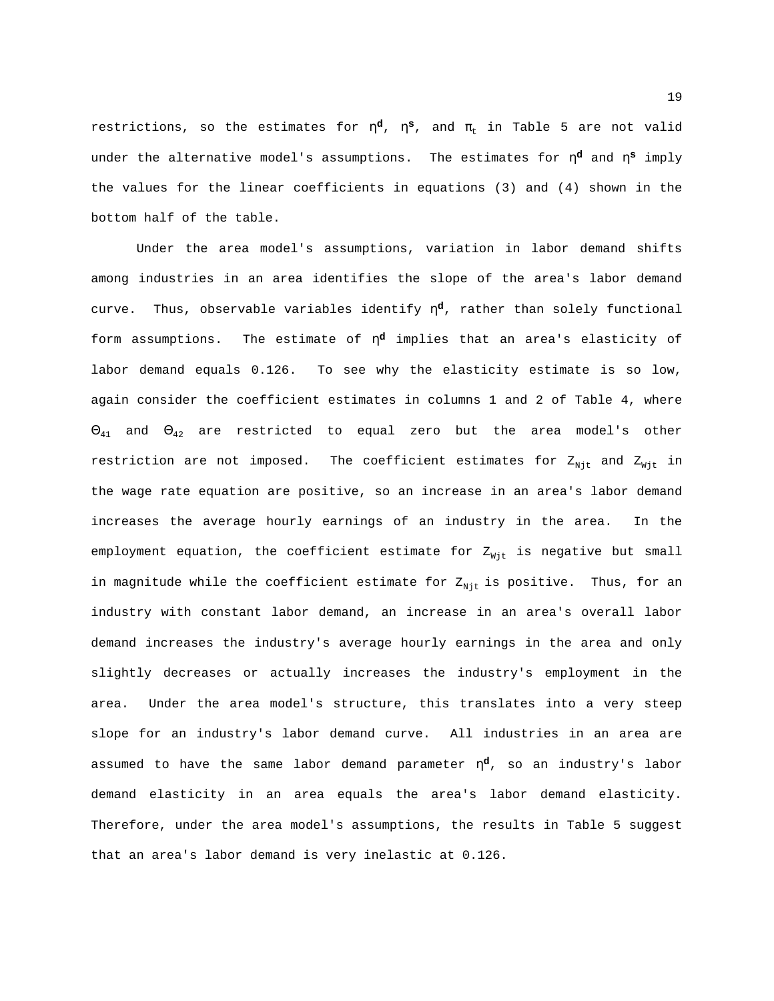restrictions, so the estimates for  $\eta^d$ ,  $\eta^s$ , and  $\pi_t$  in Table 5 are not valid under the alternative model's assumptions. The estimates for η**d** and η**s** imply the values for the linear coefficients in equations (3) and (4) shown in the bottom half of the table.

Under the area model's assumptions, variation in labor demand shifts among industries in an area identifies the slope of the area's labor demand curve. Thus, observable variables identify η**d**, rather than solely functional form assumptions. The estimate of η**d** implies that an area's elasticity of labor demand equals 0.126. To see why the elasticity estimate is so low, again consider the coefficient estimates in columns 1 and 2 of Table 4, where  $\Theta_{41}$  and  $\Theta_{42}$  are restricted to equal zero but the area model's other restriction are not imposed. The coefficient estimates for  $Z_{Njt}$  and  $Z_{Wjt}$  in the wage rate equation are positive, so an increase in an area's labor demand increases the average hourly earnings of an industry in the area. In the employment equation, the coefficient estimate for  $Z_{Wjt}$  is negative but small in magnitude while the coefficient estimate for  $Z_{Njt}$  is positive. Thus, for an industry with constant labor demand, an increase in an area's overall labor demand increases the industry's average hourly earnings in the area and only slightly decreases or actually increases the industry's employment in the area. Under the area model's structure, this translates into a very steep slope for an industry's labor demand curve. All industries in an area are assumed to have the same labor demand parameter η**d**, so an industry's labor demand elasticity in an area equals the area's labor demand elasticity. Therefore, under the area model's assumptions, the results in Table 5 suggest that an area's labor demand is very inelastic at 0.126.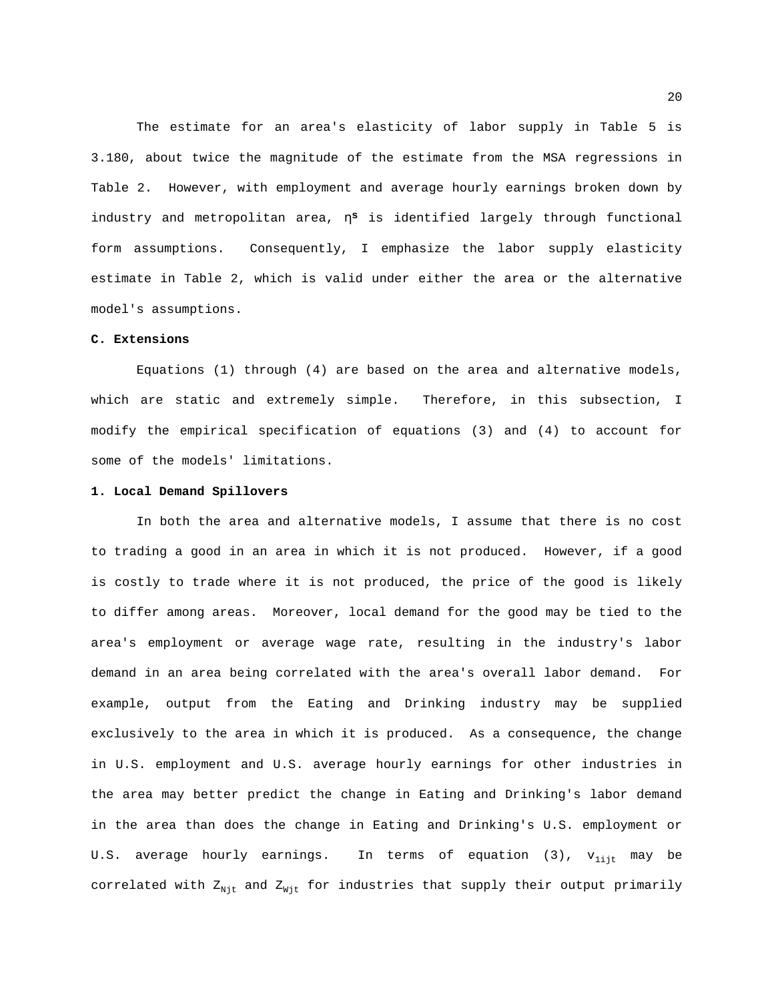The estimate for an area's elasticity of labor supply in Table 5 is 3.180, about twice the magnitude of the estimate from the MSA regressions in Table 2. However, with employment and average hourly earnings broken down by industry and metropolitan area, η**s** is identified largely through functional form assumptions. Consequently, I emphasize the labor supply elasticity estimate in Table 2, which is valid under either the area or the alternative model's assumptions.

#### **C. Extensions**

Equations (1) through (4) are based on the area and alternative models, which are static and extremely simple. Therefore, in this subsection, I modify the empirical specification of equations (3) and (4) to account for some of the models' limitations.

#### **1. Local Demand Spillovers**

In both the area and alternative models, I assume that there is no cost to trading a good in an area in which it is not produced. However, if a good is costly to trade where it is not produced, the price of the good is likely to differ among areas. Moreover, local demand for the good may be tied to the area's employment or average wage rate, resulting in the industry's labor demand in an area being correlated with the area's overall labor demand. For example, output from the Eating and Drinking industry may be supplied exclusively to the area in which it is produced. As a consequence, the change in U.S. employment and U.S. average hourly earnings for other industries in the area may better predict the change in Eating and Drinking's labor demand in the area than does the change in Eating and Drinking's U.S. employment or U.S. average hourly earnings. In terms of equation (3),  $v_{1\text{it}}$  may be correlated with  $Z_{Njt}$  and  $Z_{Njt}$  for industries that supply their output primarily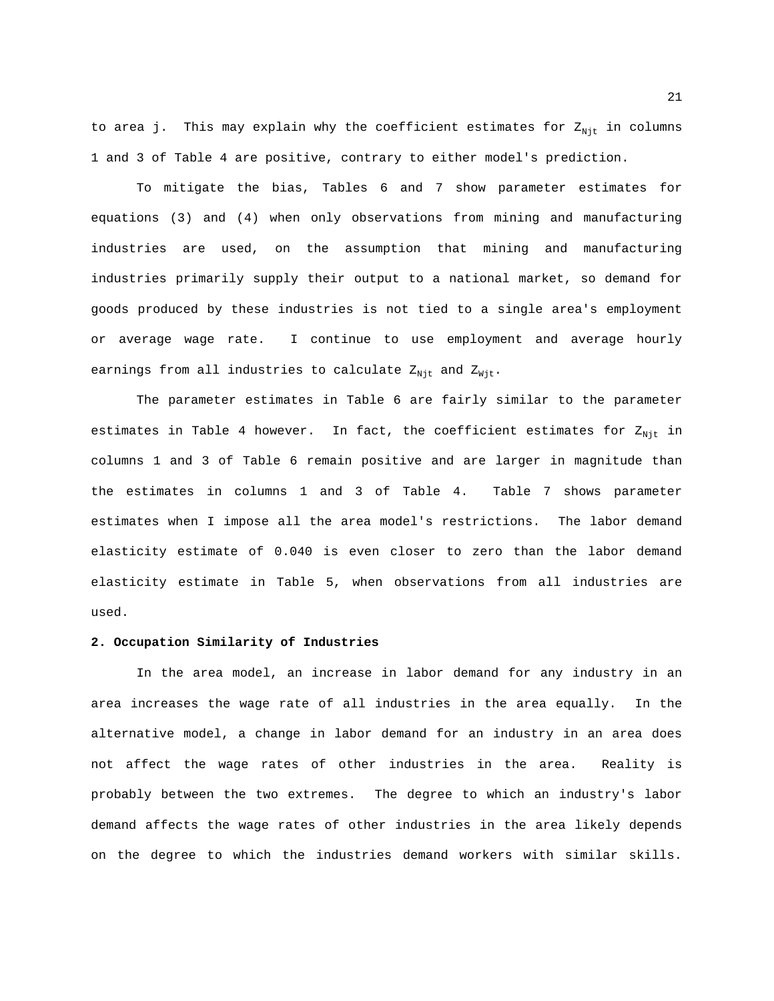to area j. This may explain why the coefficient estimates for  $Z_{Nit}$  in columns 1 and 3 of Table 4 are positive, contrary to either model's prediction.

To mitigate the bias, Tables 6 and 7 show parameter estimates for equations (3) and (4) when only observations from mining and manufacturing industries are used, on the assumption that mining and manufacturing industries primarily supply their output to a national market, so demand for goods produced by these industries is not tied to a single area's employment or average wage rate. I continue to use employment and average hourly earnings from all industries to calculate  $Z_{Njt}$  and  $Z_{Wjt}$ .

The parameter estimates in Table 6 are fairly similar to the parameter estimates in Table 4 however. In fact, the coefficient estimates for  $Z_{Njt}$  in columns 1 and 3 of Table 6 remain positive and are larger in magnitude than the estimates in columns 1 and 3 of Table 4. Table 7 shows parameter estimates when I impose all the area model's restrictions. The labor demand elasticity estimate of 0.040 is even closer to zero than the labor demand elasticity estimate in Table 5, when observations from all industries are used.

#### **2. Occupation Similarity of Industries**

In the area model, an increase in labor demand for any industry in an area increases the wage rate of all industries in the area equally. In the alternative model, a change in labor demand for an industry in an area does not affect the wage rates of other industries in the area. Reality is probably between the two extremes. The degree to which an industry's labor demand affects the wage rates of other industries in the area likely depends on the degree to which the industries demand workers with similar skills.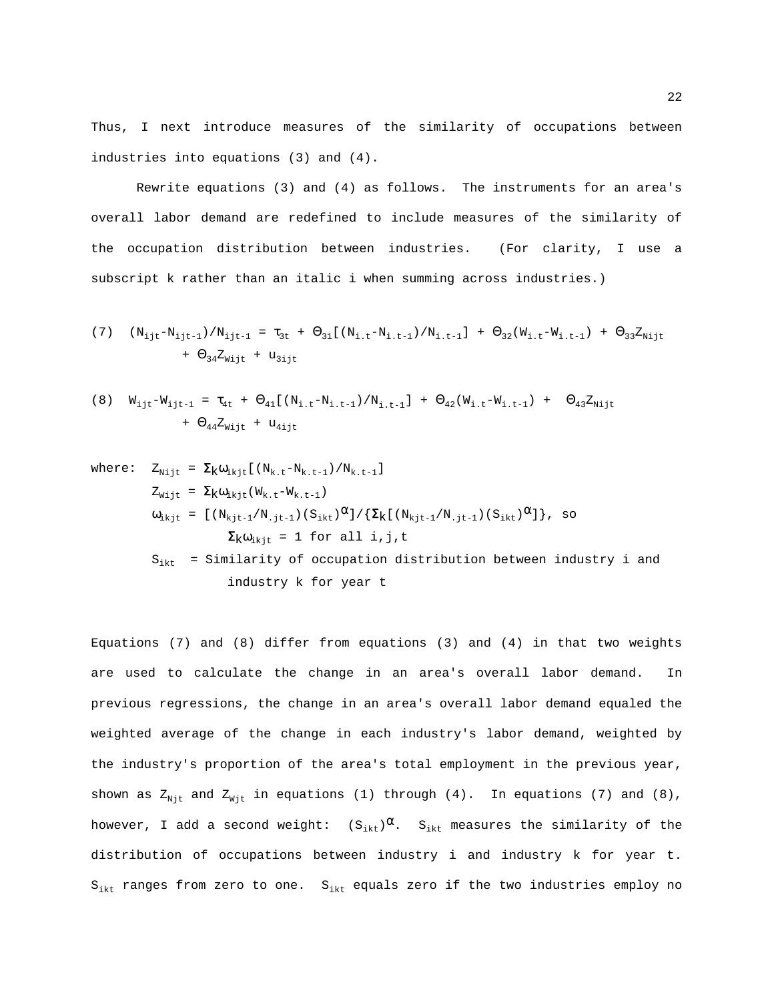Thus, I next introduce measures of the similarity of occupations between industries into equations (3) and (4).

Rewrite equations (3) and (4) as follows. The instruments for an area's overall labor demand are redefined to include measures of the similarity of the occupation distribution between industries. (For clarity, I use a subscript k rather than an italic i when summing across industries.)

(7) 
$$
(N_{ijt} - N_{ijt-1})/N_{ijt-1} = \tau_{3t} + \Theta_{31}[(N_{i.t} - N_{i.t-1})/N_{i.t-1}] + \Theta_{32}(N_{i.t} - N_{i.t-1}) + \Theta_{33}Z_{Nijt}
$$
  
  $+ \Theta_{34}Z_{Nijt} + U_{3ijt}$ 

(8) 
$$
W_{ijt} - W_{ijt-1} = \tau_{4t} + \Theta_{41}[(N_{i.t} - N_{i.t-1})/N_{i.t-1}] + \Theta_{42}(W_{i.t} - W_{i.t-1}) + \Theta_{43}Z_{Nijt}
$$
  
+  $\Theta_{44}Z_{Wijt} + u_{4ijt}$ 

where: 
$$
Z_{Nijt} = \sum_{k} \omega_{ikjt} [ (N_{k.t} - N_{k.t-1}) / N_{k.t-1} ]
$$
  
\n
$$
Z_{Wijt} = \sum_{k} \omega_{ikjt} (W_{k.t} - W_{k.t-1})
$$
  
\n
$$
\omega_{ikjt} = [ (N_{kjt-1} / N_{.jt-1}) (S_{ikt})^{\alpha}] / { \sum_{k} [ (N_{kjt-1} / N_{.jt-1}) (S_{ikt})^{\alpha}] } , so
$$
  
\n
$$
\sum_{k} \omega_{ikjt} = 1 \text{ for all } i, j, t
$$
  
\n
$$
S_{ikt} = Similarity of occupation distribution between industry i and industry k for year t
$$

Equations (7) and (8) differ from equations (3) and (4) in that two weights are used to calculate the change in an area's overall labor demand. In previous regressions, the change in an area's overall labor demand equaled the weighted average of the change in each industry's labor demand, weighted by the industry's proportion of the area's total employment in the previous year, shown as  $Z_{Njt}$  and  $Z_{Wjt}$  in equations (1) through (4). In equations (7) and (8), however, I add a second weight:  $(S_{ikt})^{\alpha}$ .  $S_{ikt}$  measures the similarity of the distribution of occupations between industry i and industry k for year t.  $S_{ikt}$  ranges from zero to one.  $S_{ikt}$  equals zero if the two industries employ no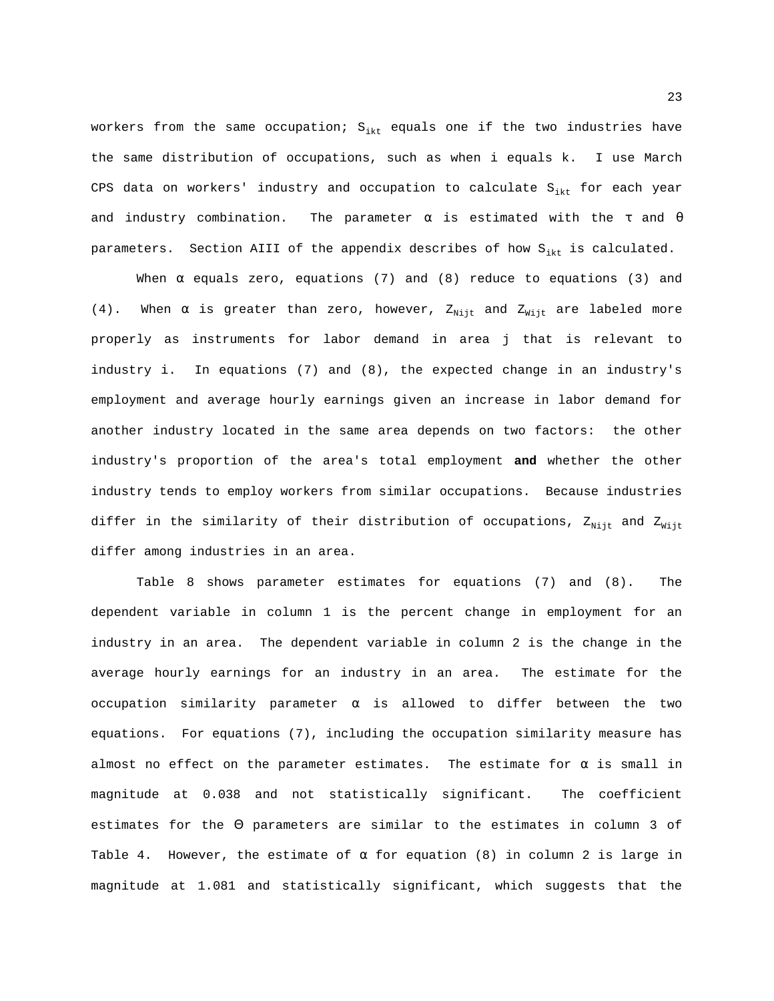workers from the same occupation;  $S_{ikt}$  equals one if the two industries have the same distribution of occupations, such as when i equals k. I use March CPS data on workers' industry and occupation to calculate  $S_{ikt}$  for each year and industry combination. The parameter  $\alpha$  is estimated with the  $\tau$  and  $\theta$ parameters. Section AIII of the appendix describes of how  $S_{ikt}$  is calculated.

When  $\alpha$  equals zero, equations (7) and (8) reduce to equations (3) and (4). When  $\alpha$  is greater than zero, however,  $Z_{\text{Nijt}}$  and  $Z_{\text{Wijt}}$  are labeled more properly as instruments for labor demand in area j that is relevant to industry i. In equations (7) and (8), the expected change in an industry's employment and average hourly earnings given an increase in labor demand for another industry located in the same area depends on two factors: the other industry's proportion of the area's total employment **and** whether the other industry tends to employ workers from similar occupations. Because industries differ in the similarity of their distribution of occupations,  $Z_{\text{Nitt}}$  and  $Z_{\text{Witt}}$ differ among industries in an area.

 Table 8 shows parameter estimates for equations (7) and (8). The dependent variable in column 1 is the percent change in employment for an industry in an area. The dependent variable in column 2 is the change in the average hourly earnings for an industry in an area. The estimate for the occupation similarity parameter  $\alpha$  is allowed to differ between the two equations. For equations (7), including the occupation similarity measure has almost no effect on the parameter estimates. The estimate for  $\alpha$  is small in magnitude at 0.038 and not statistically significant. The coefficient estimates for the Θ parameters are similar to the estimates in column 3 of Table 4. However, the estimate of  $\alpha$  for equation (8) in column 2 is large in magnitude at 1.081 and statistically significant, which suggests that the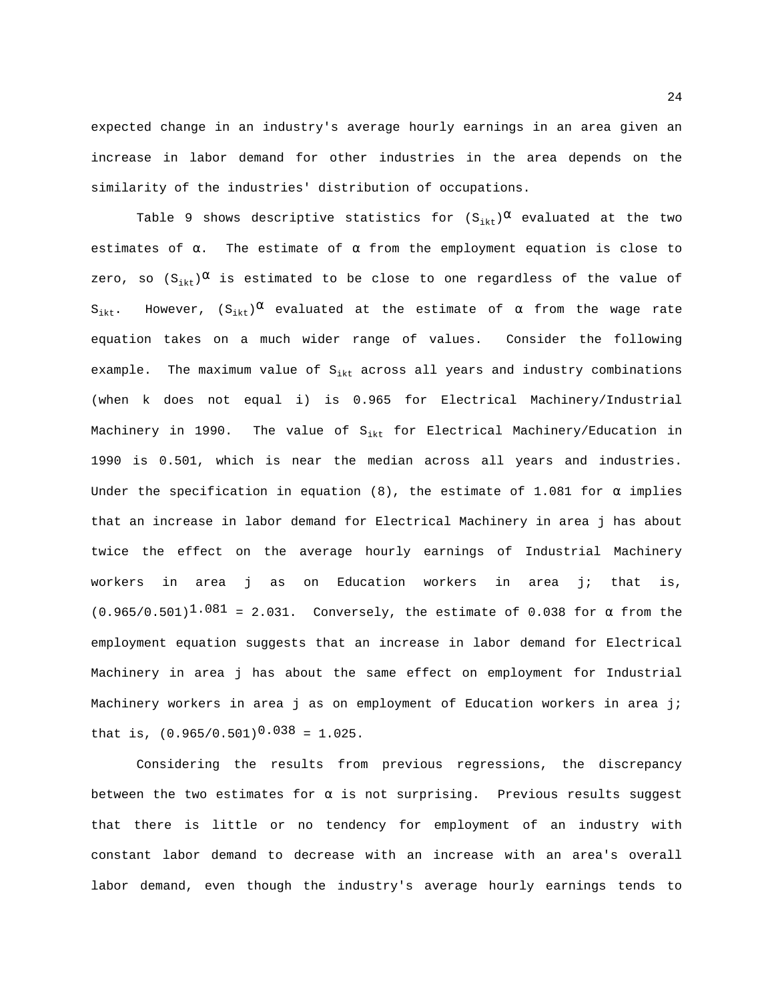expected change in an industry's average hourly earnings in an area given an increase in labor demand for other industries in the area depends on the similarity of the industries' distribution of occupations.

Table 9 shows descriptive statistics for  $(S_{ikt})^{\alpha}$  evaluated at the two estimates of  $\alpha$ . The estimate of  $\alpha$  from the employment equation is close to zero, so  $(S_{i k t})^{\alpha}$  is estimated to be close to one regardless of the value of  $S_{\text{ikt}}$ . However,  $(S_{\text{ikt}})^{\alpha}$  evaluated at the estimate of  $\alpha$  from the wage rate equation takes on a much wider range of values. Consider the following example. The maximum value of  $S_{ikt}$  across all years and industry combinations (when k does not equal i) is 0.965 for Electrical Machinery/Industrial Machinery in 1990. The value of  $S_{ikt}$  for Electrical Machinery/Education in 1990 is 0.501, which is near the median across all years and industries. Under the specification in equation (8), the estimate of 1.081 for  $\alpha$  implies that an increase in labor demand for Electrical Machinery in area j has about twice the effect on the average hourly earnings of Industrial Machinery workers in area j as on Education workers in area j; that is,  $(0.965/0.501)^{1.081}$  = 2.031. Conversely, the estimate of 0.038 for  $\alpha$  from the employment equation suggests that an increase in labor demand for Electrical Machinery in area j has about the same effect on employment for Industrial Machinery workers in area j as on employment of Education workers in area j; that is,  $(0.965/0.501)^{0.038} = 1.025$ .

Considering the results from previous regressions, the discrepancy between the two estimates for  $\alpha$  is not surprising. Previous results suggest that there is little or no tendency for employment of an industry with constant labor demand to decrease with an increase with an area's overall labor demand, even though the industry's average hourly earnings tends to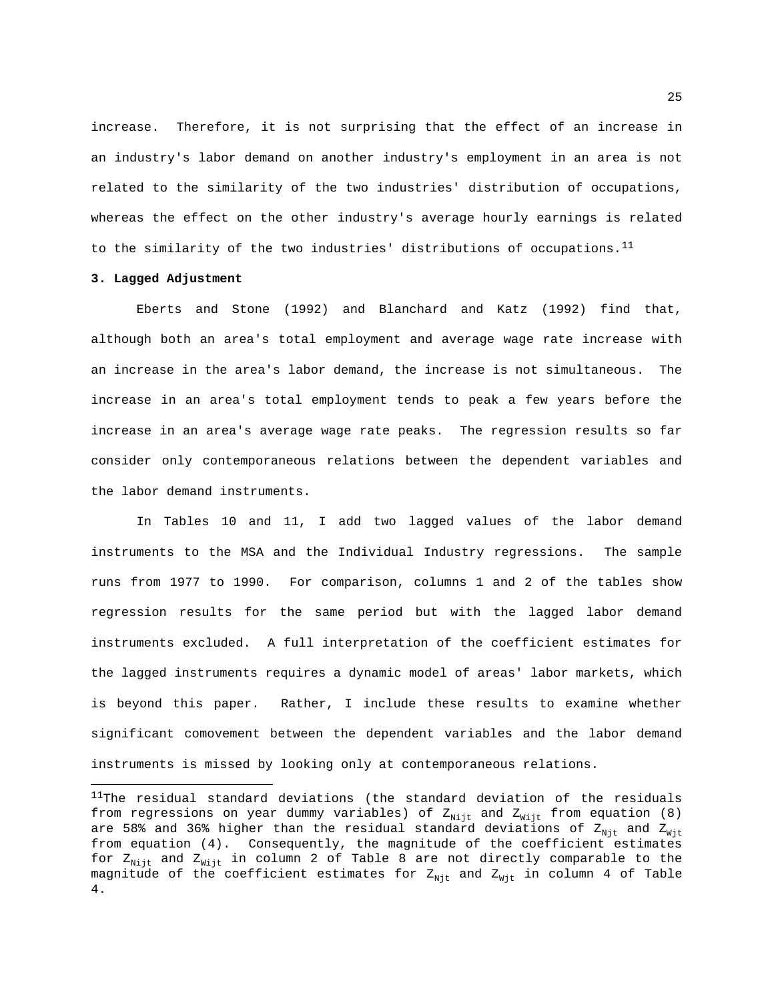increase. Therefore, it is not surprising that the effect of an increase in an industry's labor demand on another industry's employment in an area is not related to the similarity of the two industries' distribution of occupations, whereas the effect on the other industry's average hourly earnings is related to the similarity of the two industries' distributions of occupations.<sup>11</sup>

#### **3. Lagged Adjustment**

i<br>L

Eberts and Stone (1992) and Blanchard and Katz (1992) find that, although both an area's total employment and average wage rate increase with an increase in the area's labor demand, the increase is not simultaneous. The increase in an area's total employment tends to peak a few years before the increase in an area's average wage rate peaks. The regression results so far consider only contemporaneous relations between the dependent variables and the labor demand instruments.

In Tables 10 and 11, I add two lagged values of the labor demand instruments to the MSA and the Individual Industry regressions. The sample runs from 1977 to 1990. For comparison, columns 1 and 2 of the tables show regression results for the same period but with the lagged labor demand instruments excluded. A full interpretation of the coefficient estimates for the lagged instruments requires a dynamic model of areas' labor markets, which is beyond this paper. Rather, I include these results to examine whether significant comovement between the dependent variables and the labor demand instruments is missed by looking only at contemporaneous relations.

<sup>&</sup>lt;sup>11</sup>The residual standard deviations (the standard deviation of the residuals from regressions on year dummy variables) of  $Z_{\text{Nijt}}$  and  $Z_{\text{Wijt}}$  from equation (8) are 58% and 36% higher than the residual standard deviations of  $Z_{Nit}$  and  $Z_{Wit}$ from equation (4). Consequently, the magnitude of the coefficient estimates for  $Z_{\text{Nijt}}$  and  $Z_{\text{Wijt}}$  in column 2 of Table 8 are not directly comparable to the magnitude of the coefficient estimates for  $Z_{Njt}$  and  $Z_{Wjt}$  in column 4 of Table 4.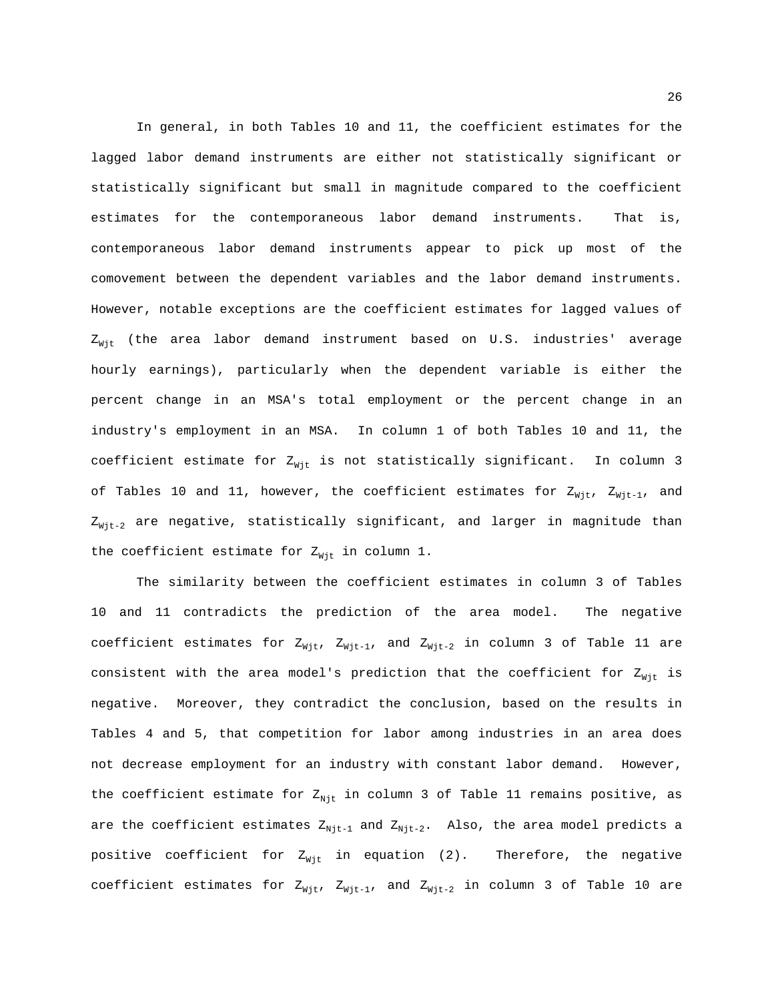In general, in both Tables 10 and 11, the coefficient estimates for the lagged labor demand instruments are either not statistically significant or statistically significant but small in magnitude compared to the coefficient estimates for the contemporaneous labor demand instruments. That is, contemporaneous labor demand instruments appear to pick up most of the comovement between the dependent variables and the labor demand instruments. However, notable exceptions are the coefficient estimates for lagged values of  $Z_{Wit}$  (the area labor demand instrument based on U.S. industries' average hourly earnings), particularly when the dependent variable is either the percent change in an MSA's total employment or the percent change in an industry's employment in an MSA. In column 1 of both Tables 10 and 11, the coefficient estimate for  $Z_{Wjt}$  is not statistically significant. In column 3 of Tables 10 and 11, however, the coefficient estimates for  $Z_{Wjt}$ ,  $Z_{Wjt-1}$ , and  $Z_{Wit-2}$  are negative, statistically significant, and larger in magnitude than the coefficient estimate for  $Z_{Wit}$  in column 1.

The similarity between the coefficient estimates in column 3 of Tables 10 and 11 contradicts the prediction of the area model. The negative coefficient estimates for  $Z_{Wjt}$ ,  $Z_{Wjt-1}$ , and  $Z_{Wjt-2}$  in column 3 of Table 11 are consistent with the area model's prediction that the coefficient for  $Z_{Wit}$  is negative. Moreover, they contradict the conclusion, based on the results in Tables 4 and 5, that competition for labor among industries in an area does not decrease employment for an industry with constant labor demand. However, the coefficient estimate for  $Z_{Njt}$  in column 3 of Table 11 remains positive, as are the coefficient estimates  $Z_{Njt-1}$  and  $Z_{Njt-2}$ . Also, the area model predicts a positive coefficient for  $Z_{Wjt}$  in equation (2). Therefore, the negative coefficient estimates for  $Z_{Wjt}$ ,  $Z_{Wjt-1}$ , and  $Z_{Wjt-2}$  in column 3 of Table 10 are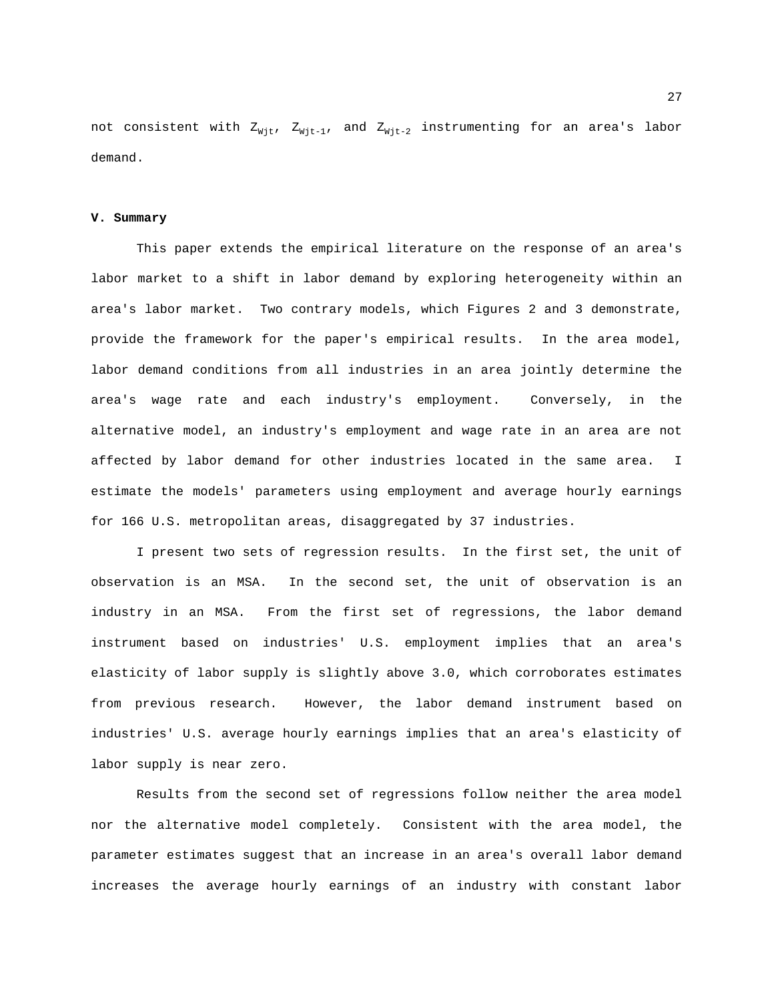not consistent with  $Z_{Wjt}$ ,  $Z_{Wjt-1}$ , and  $Z_{Wjt-2}$  instrumenting for an area's labor demand.

#### **V. Summary**

This paper extends the empirical literature on the response of an area's labor market to a shift in labor demand by exploring heterogeneity within an area's labor market. Two contrary models, which Figures 2 and 3 demonstrate, provide the framework for the paper's empirical results. In the area model, labor demand conditions from all industries in an area jointly determine the area's wage rate and each industry's employment. Conversely, in the alternative model, an industry's employment and wage rate in an area are not affected by labor demand for other industries located in the same area. I estimate the models' parameters using employment and average hourly earnings for 166 U.S. metropolitan areas, disaggregated by 37 industries.

I present two sets of regression results. In the first set, the unit of observation is an MSA. In the second set, the unit of observation is an industry in an MSA. From the first set of regressions, the labor demand instrument based on industries' U.S. employment implies that an area's elasticity of labor supply is slightly above 3.0, which corroborates estimates from previous research. However, the labor demand instrument based on industries' U.S. average hourly earnings implies that an area's elasticity of labor supply is near zero.

Results from the second set of regressions follow neither the area model nor the alternative model completely. Consistent with the area model, the parameter estimates suggest that an increase in an area's overall labor demand increases the average hourly earnings of an industry with constant labor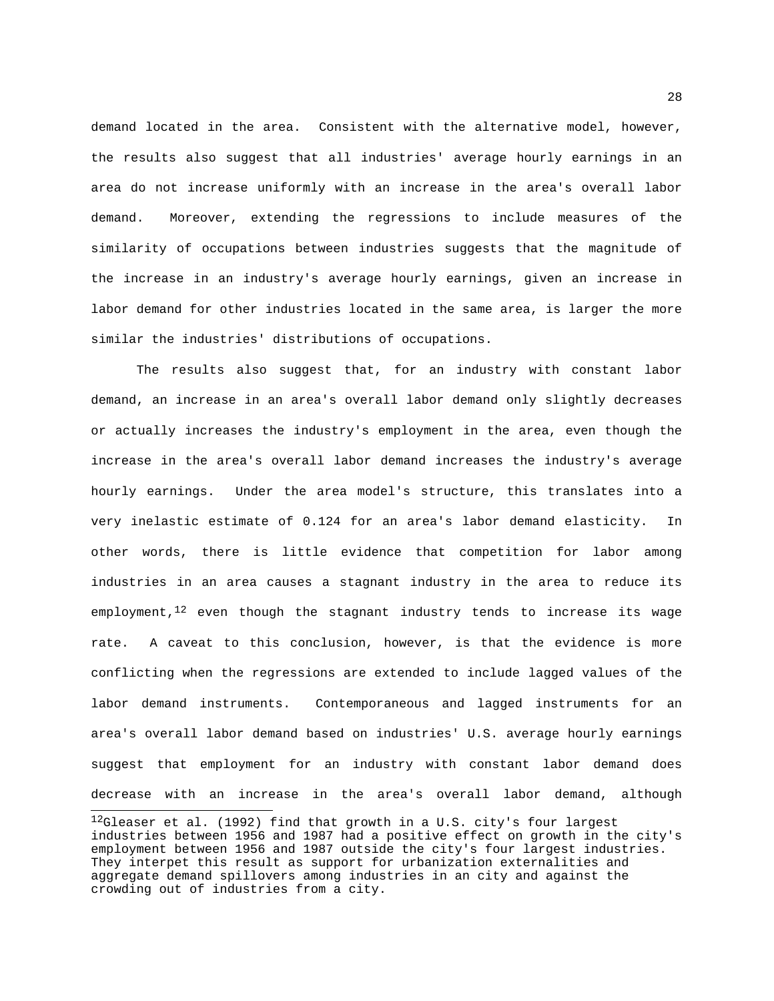demand located in the area. Consistent with the alternative model, however, the results also suggest that all industries' average hourly earnings in an area do not increase uniformly with an increase in the area's overall labor demand. Moreover, extending the regressions to include measures of the similarity of occupations between industries suggests that the magnitude of the increase in an industry's average hourly earnings, given an increase in labor demand for other industries located in the same area, is larger the more similar the industries' distributions of occupations.

The results also suggest that, for an industry with constant labor demand, an increase in an area's overall labor demand only slightly decreases or actually increases the industry's employment in the area, even though the increase in the area's overall labor demand increases the industry's average hourly earnings. Under the area model's structure, this translates into a very inelastic estimate of 0.124 for an area's labor demand elasticity. In other words, there is little evidence that competition for labor among industries in an area causes a stagnant industry in the area to reduce its employment, $12$  even though the stagnant industry tends to increase its wage rate. A caveat to this conclusion, however, is that the evidence is more conflicting when the regressions are extended to include lagged values of the labor demand instruments. Contemporaneous and lagged instruments for an area's overall labor demand based on industries' U.S. average hourly earnings suggest that employment for an industry with constant labor demand does decrease with an increase in the area's overall labor demand, although

i<br>L

 $12$ Gleaser et al. (1992) find that growth in a U.S. city's four largest industries between 1956 and 1987 had a positive effect on growth in the city's employment between 1956 and 1987 outside the city's four largest industries. They interpet this result as support for urbanization externalities and aggregate demand spillovers among industries in an city and against the crowding out of industries from a city.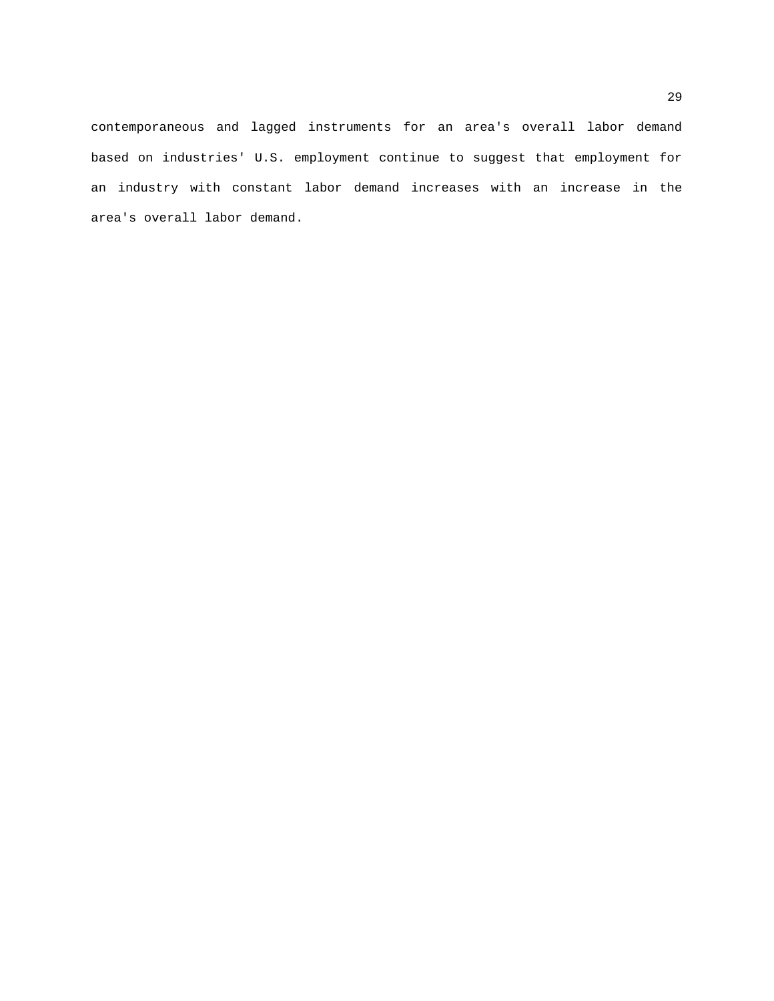contemporaneous and lagged instruments for an area's overall labor demand based on industries' U.S. employment continue to suggest that employment for an industry with constant labor demand increases with an increase in the area's overall labor demand.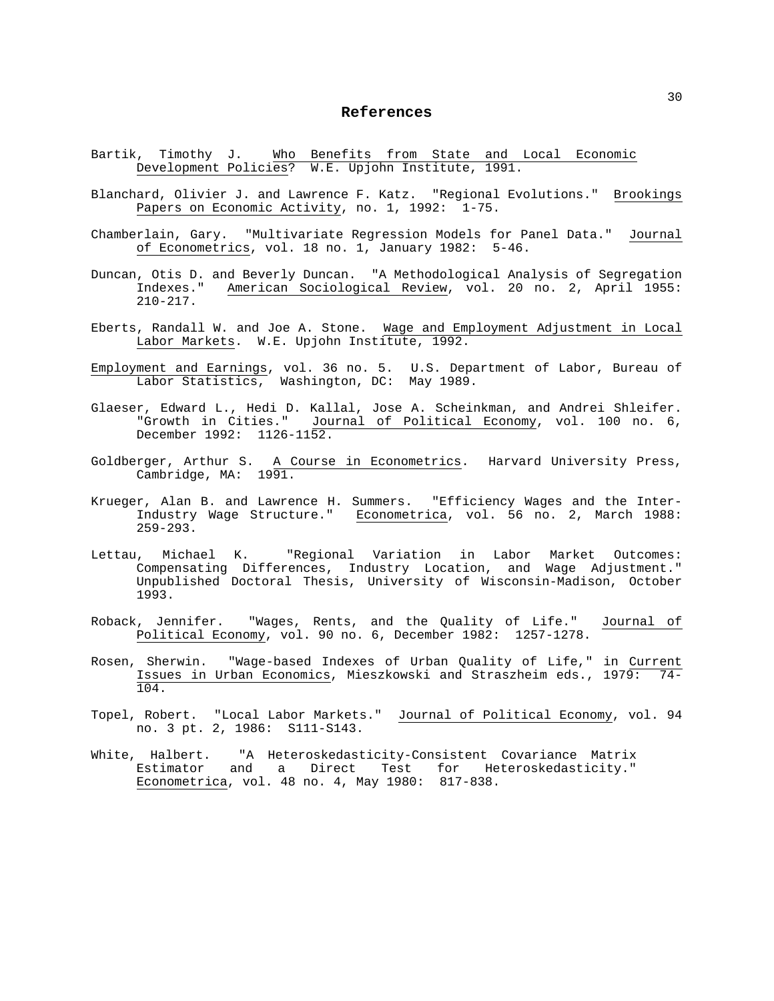#### **References**

- Bartik, Timothy J. Who Benefits from State and Local Economic Development Policies? W.E. Upjohn Institute, 1991.
- Blanchard, Olivier J. and Lawrence F. Katz. "Regional Evolutions." Brookings Papers on Economic Activity, no. 1, 1992: 1-75.
- Chamberlain, Gary. "Multivariate Regression Models for Panel Data." Journal of Econometrics, vol. 18 no. 1, January 1982: 5-46.
- Duncan, Otis D. and Beverly Duncan. "A Methodological Analysis of Segregation Indexes." American Sociological Review, vol. 20 no. 2, April 1955: 210-217.
- Eberts, Randall W. and Joe A. Stone. Wage and Employment Adjustment in Local Labor Markets. W.E. Upjohn Institute, 1992.
- Employment and Earnings, vol. 36 no. 5. U.S. Department of Labor, Bureau of Labor Statistics, Washington, DC: May 1989.
- Glaeser, Edward L., Hedi D. Kallal, Jose A. Scheinkman, and Andrei Shleifer. "Growth in Cities." Journal of Political Economy, vol. 100 no. 6, December 1992: 1126-1152.
- Goldberger, Arthur S. A Course in Econometrics. Harvard University Press, Cambridge, MA: 1991.
- Krueger, Alan B. and Lawrence H. Summers. "Efficiency Wages and the Inter-Industry Wage Structure." Econometrica, vol. 56 no. 2, March 1988: 259-293.
- Lettau, Michael K. "Regional Variation in Labor Market Outcomes: Compensating Differences, Industry Location, and Wage Adjustment." Unpublished Doctoral Thesis, University of Wisconsin-Madison, October 1993.
- Roback, Jennifer. "Wages, Rents, and the Quality of Life." Journal of Political Economy, vol. 90 no. 6, December 1982: 1257-1278.
- Rosen, Sherwin. "Wage-based Indexes of Urban Quality of Life," in Current Issues in Urban Economics, Mieszkowski and Straszheim eds., 1979: 74- 104.
- Topel, Robert. "Local Labor Markets." Journal of Political Economy, vol. 94 no. 3 pt. 2, 1986: S111-S143.
- White, Halbert. "A Heteroskedasticity-Consistent Covariance Matrix Estimator and a Direct Test for Heteroskedasticity." Econometrica, vol. 48 no. 4, May 1980: 817-838.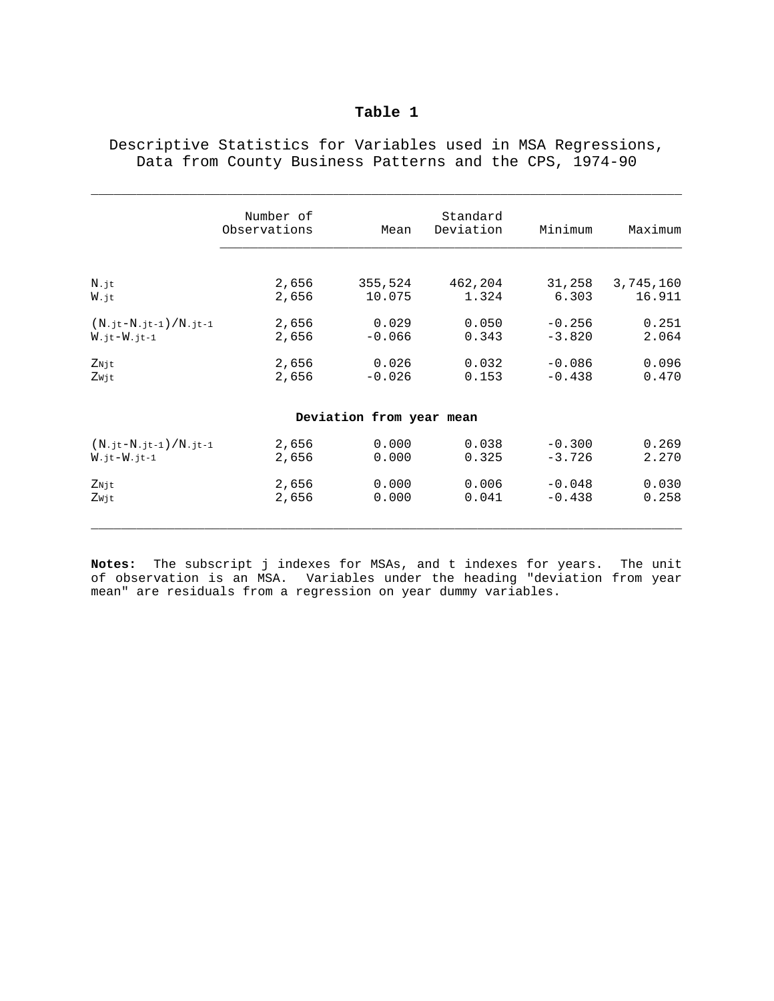Descriptive Statistics for Variables used in MSA Regressions, Data from County Business Patterns and the CPS, 1974-90

|                        | Number of<br>Observations | Mean                     | Standard<br>Deviation | Minimum  | Maximum   |
|------------------------|---------------------------|--------------------------|-----------------------|----------|-----------|
| $N$ . jt               | 2,656                     | 355,524                  | 462,204               | 31,258   | 3,745,160 |
| W.jt                   | 2,656                     | 10.075                   | 1.324                 | 6.303    | 16.911    |
| $(N.jt-N.jt-1)/N.jt-1$ | 2,656                     | 0.029                    | 0.050                 | $-0.256$ | 0.251     |
| $W.$ it- $W.$ it-1     | 2,656                     | $-0.066$                 | 0.343                 | $-3.820$ | 2.064     |
| ZNit                   | 2,656                     | 0.026                    | 0.032                 | $-0.086$ | 0.096     |
| Zwit                   | 2,656                     | $-0.026$                 | 0.153                 | $-0.438$ | 0.470     |
|                        |                           | Deviation from year mean |                       |          |           |
| $(N.jt-N.jt-1)/N.jt-1$ | 2,656                     | 0.000                    | 0.038                 | $-0.300$ | 0.269     |
| $W.$ it $-W.$ it $-1$  | 2,656                     | 0.000                    | 0.325                 | $-3.726$ | 2.270     |
| Znjt                   | 2,656                     | 0.000                    | 0.006                 | $-0.048$ | 0.030     |
| Zwjt                   | 2,656                     | 0.000                    | 0.041                 | $-0.438$ | 0.258     |

**Notes:** The subscript j indexes for MSAs, and t indexes for years. The unit of observation is an MSA. Variables under the heading "deviation from year mean" are residuals from a regression on year dummy variables.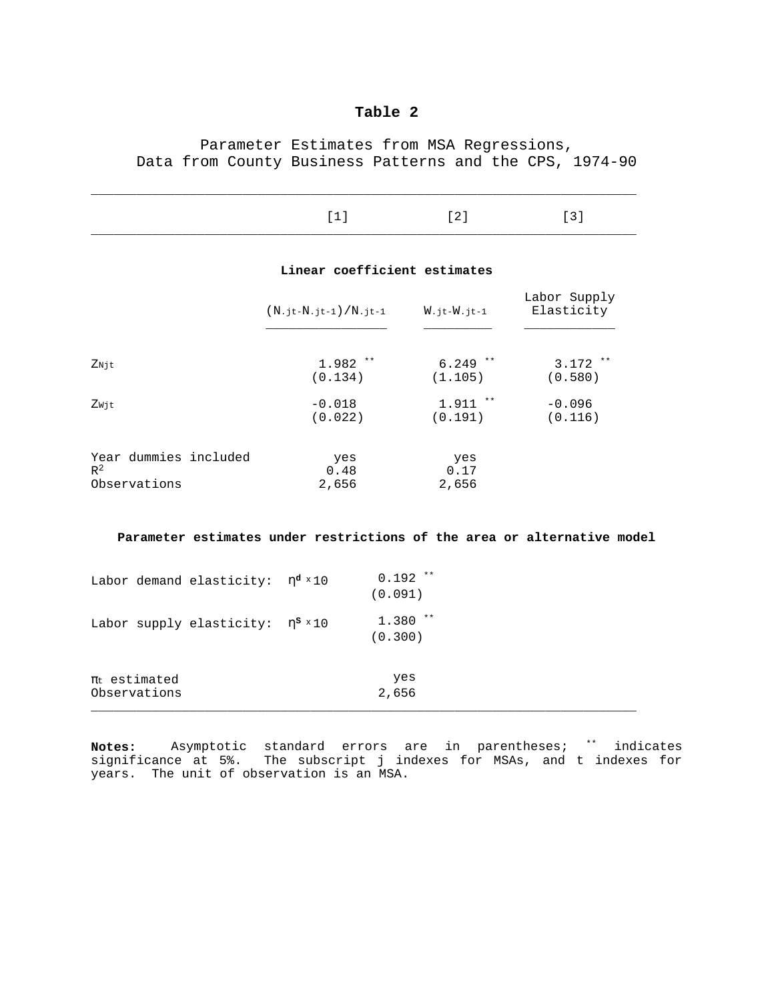Parameter Estimates from MSA Regressions, Data from County Business Patterns and the CPS, 1974-90

|--|--|--|--|--|--|

\_\_\_\_\_\_\_\_\_\_\_\_\_\_\_\_\_\_\_\_\_\_\_\_\_\_\_\_\_\_\_\_\_\_\_\_\_\_\_\_\_\_\_\_\_\_\_\_\_\_\_\_\_\_\_\_\_\_\_\_\_\_\_\_\_\_\_\_\_\_\_\_

|                       | Linear coefficient estimates |             |                            |
|-----------------------|------------------------------|-------------|----------------------------|
|                       | $(N.$ it-N. it-1) $/N.$ it-1 | W.it-W.it-1 | Labor Supply<br>Elasticity |
| Znit                  | $1.982$ **                   | $6.249$ **  | $3.172$ **                 |
|                       | (0.134)                      | (1.105)     | (0.580)                    |
| Zwjt                  | $-0.018$                     | $1.911$ **  | $-0.096$                   |
|                       | (0.022)                      | (0.191)     | (0.116)                    |
| Year dummies included | yes                          | yes         |                            |
| $\mathbb{R}^2$        | 0.48                         | 0.17        |                            |
| Observations          | 2,656                        | 2,656       |                            |

#### **Parameter estimates under restrictions of the area or alternative model**

| Labor demand elasticity: $\eta^d$ × 10 | $0.192$ **<br>(0.091) |  |
|----------------------------------------|-----------------------|--|
| Labor supply elasticity: $\eta^s$ ×10  | $1.380$ **<br>(0.300) |  |
| $\pi_{t}$ estimated<br>Observations    | yes<br>2,656          |  |

**Notes:** Asymptotic standard errors are in parentheses; \*\* indicates significance at 5%. The subscript j indexes for MSAs, and t indexes for years. The unit of observation is an MSA.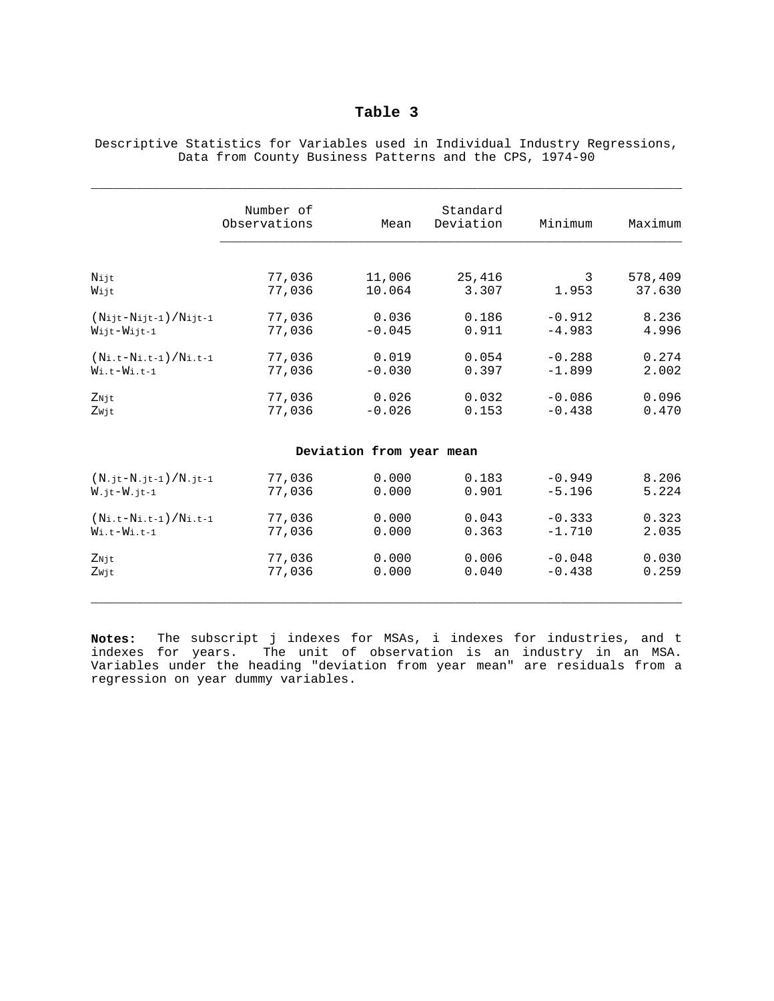|  |  |                                                         |  |  |  | Descriptive Statistics for Variables used in Individual Industry Regressions, |
|--|--|---------------------------------------------------------|--|--|--|-------------------------------------------------------------------------------|
|  |  | Data from County Business Patterns and the CPS, 1974-90 |  |  |  |                                                                               |

\_\_\_\_\_\_\_\_\_\_\_\_\_\_\_\_\_\_\_\_\_\_\_\_\_\_\_\_\_\_\_\_\_\_\_\_\_\_\_\_\_\_\_\_\_\_\_\_\_\_\_\_\_\_\_\_\_\_\_\_\_\_\_\_\_\_\_\_\_\_\_\_\_\_\_\_\_\_

|                                                      | Number of<br>Observations | Mean                     | Standard<br>Deviation | Minimum  | Maximum |
|------------------------------------------------------|---------------------------|--------------------------|-----------------------|----------|---------|
| Nijt                                                 | 77,036                    | 11,006                   | 25,416                | 3        | 578,409 |
| Wijt                                                 | 77,036                    | 10.064                   | 3.307                 | 1.953    | 37.630  |
| $(N_{\text{ijt}}-N_{\text{ijt-1}})/N_{\text{ijt-1}}$ | 77,036                    | 0.036                    | 0.186                 | $-0.912$ | 8.236   |
| Wijt-Wijt-1                                          | 77,036                    | $-0.045$                 | 0.911                 | $-4.983$ | 4.996   |
| $(Ni.t-Ni.t-1)/Ni.t-1$                               | 77,036                    | 0.019                    | 0.054                 | $-0.288$ | 0.274   |
| $W$ i.t- $W$ i.t-1                                   | 77,036                    | $-0.030$                 | 0.397                 | $-1.899$ | 2.002   |
| ZNit                                                 | 77,036                    | 0.026                    | 0.032                 | $-0.086$ | 0.096   |
| Zwit                                                 | 77,036                    | $-0.026$                 | 0.153                 | $-0.438$ | 0.470   |
|                                                      |                           | Deviation from year mean |                       |          |         |
| $(N.jt-N.jt-1)/N.jt-1$                               | 77,036                    | 0.000                    | 0.183                 | $-0.949$ | 8.206   |
| $W$ . jt $-W$ . jt-1                                 | 77,036                    | 0.000                    | 0.901                 | $-5.196$ | 5.224   |
| $(Ni.t-Ni.t-1)/Ni.t-1$                               | 77,036                    | 0.000                    | 0.043                 | $-0.333$ | 0.323   |
| $Wi.t-Wi.t-1$                                        | 77,036                    | 0.000                    | 0.363                 | $-1.710$ | 2.035   |
| $Z_{\rm N\,jt}$                                      | 77,036                    | 0.000                    | 0.006                 | $-0.048$ | 0.030   |
| Zwjt                                                 | 77,036                    | 0.000                    | 0.040                 | $-0.438$ | 0.259   |

**Notes:** The subscript j indexes for MSAs, i indexes for industries, and t indexes for years. The unit of observation is an industry in an MSA. Variables under the heading "deviation from year mean" are residuals from a regression on year dummy variables.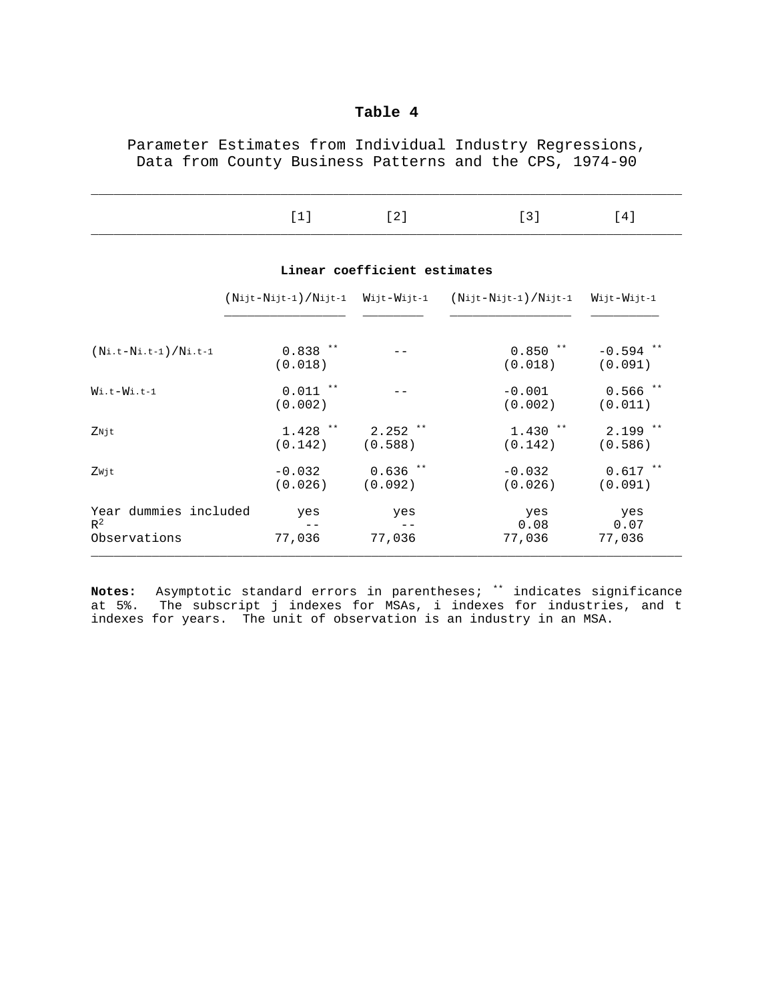Parameter Estimates from Individual Industry Regressions, Data from County Business Patterns and the CPS, 1974-90

|  | the contract of the contract of the | $\Delta$ |
|--|-------------------------------------|----------|

| Linear coefficient estimates                   |                       |                       |                                                                                                       |                        |  |  |  |  |
|------------------------------------------------|-----------------------|-----------------------|-------------------------------------------------------------------------------------------------------|------------------------|--|--|--|--|
|                                                |                       |                       | $(Ni$ jt- $Ni$ jt-1)/ $Ni$ jt-1 $Wi$ jt- $Wi$ jt-1 $(Ni$ jt- $Ni$ jt-1)/ $Ni$ jt-1 $Wi$ jt- $Wi$ jt-1 |                        |  |  |  |  |
| $(Ni.t-Ni.t-1)/Ni.t-1$                         | $0.838$ **<br>(0.018) |                       | $0.850$ **<br>(0.018)                                                                                 | $-0.594$ **<br>(0.091) |  |  |  |  |
| Wi.t-Wi.t-1                                    | $0.011$ **<br>(0.002) |                       | $-0.001$<br>(0.002)                                                                                   | $0.566$ **<br>(0.011)  |  |  |  |  |
| Znjt                                           | $1.428$ **<br>(0.142) | $2.252$ **<br>(0.588) | $1.430**$<br>(0.142)                                                                                  | $2.199$ **<br>(0.586)  |  |  |  |  |
| Zwjt                                           | $-0.032$<br>(0.026)   | $0.636$ **<br>(0.092) | $-0.032$<br>(0.026)                                                                                   | $0.617$ **<br>(0.091)  |  |  |  |  |
| Year dummies included<br>$R^2$<br>Observations | yes<br>77,036         | yes<br>$ -$<br>77,036 | yes<br>0.08<br>77,036                                                                                 | yes<br>0.07<br>77,036  |  |  |  |  |

**Notes:** Asymptotic standard errors in parentheses; \*\* indicates significance at 5%. The subscript j indexes for MSAs, i indexes for industries, and t indexes for years. The unit of observation is an industry in an MSA.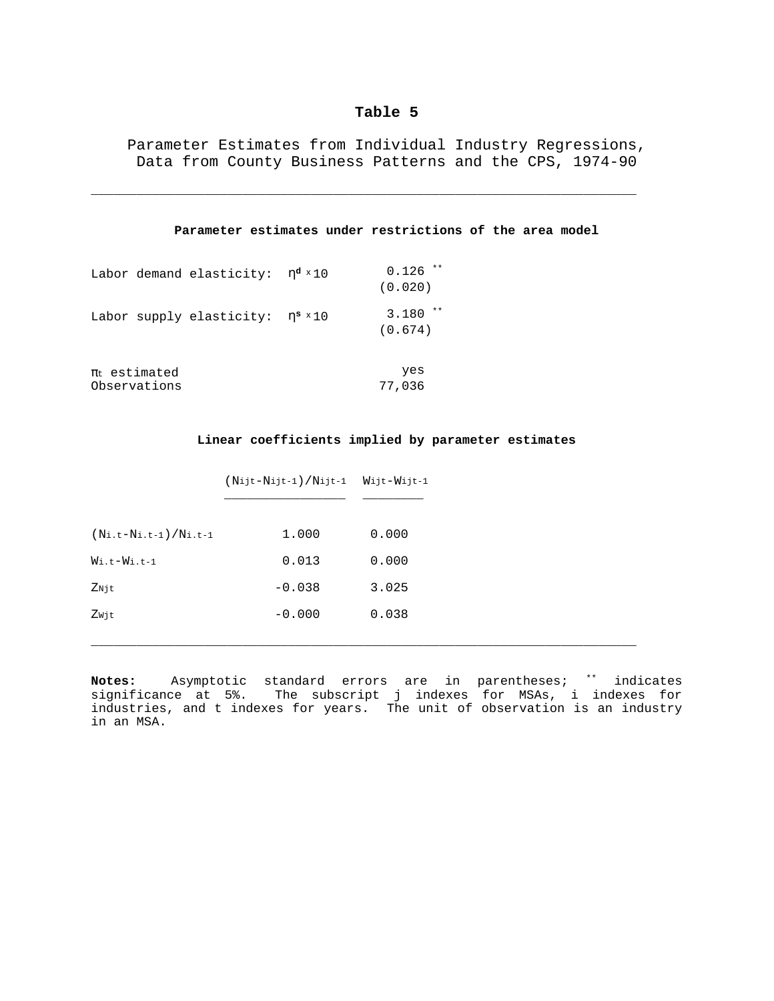Parameter Estimates from Individual Industry Regressions, Data from County Business Patterns and the CPS, 1974-90

\_\_\_\_\_\_\_\_\_\_\_\_\_\_\_\_\_\_\_\_\_\_\_\_\_\_\_\_\_\_\_\_\_\_\_\_\_\_\_\_\_\_\_\_\_\_\_\_\_\_\_\_\_\_\_\_\_\_\_\_\_\_\_\_\_\_\_\_\_\_\_\_

|                                   | Parameter estimates under restrictions of the area model |                       |  |
|-----------------------------------|----------------------------------------------------------|-----------------------|--|
|                                   | Labor demand elasticity: $\eta^d$ × 10                   | $0.126$ **<br>(0.020) |  |
|                                   | Labor supply elasticity: $\eta^s$ × 10                   | $3.180$ **<br>(0.674) |  |
| $\pi_t$ estimated<br>Observations |                                                          | yes<br>77,036         |  |

#### **Linear coefficients implied by parameter estimates**

|                        | $(Nijt-Nijt-1)/Nijt-1$ $Wijt-Wijt-1$ |       |
|------------------------|--------------------------------------|-------|
| $(Ni.t-Ni.t-1)/Ni.t-1$ | 1.000                                | 0.000 |
| $W$ i.t- $W$ i.t-1     | 0.013                                | 0.000 |
| ZNjt                   | $-0.038$                             | 3.025 |
| Zwjt                   | $-0.000$                             | 0.038 |
|                        |                                      |       |

**Notes:** Asymptotic standard errors are in parentheses; \*\* indicates significance at 5%. The subscript j indexes for MSAs, i indexes for industries, and t indexes for years. The unit of observation is an industry in an MSA.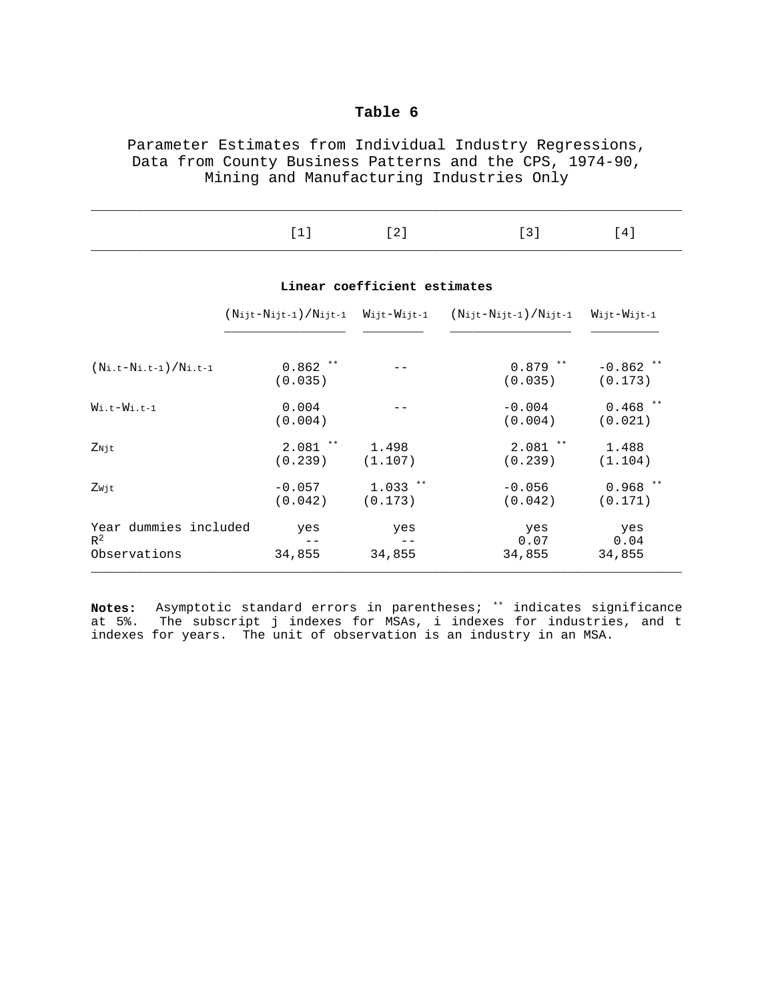Parameter Estimates from Individual Industry Regressions, Data from County Business Patterns and the CPS, 1974-90, Mining and Manufacturing Industries Only

\_\_\_\_\_\_\_\_\_\_\_\_\_\_\_\_\_\_\_\_\_\_\_\_\_\_\_\_\_\_\_\_\_\_\_\_\_\_\_\_\_\_\_\_\_\_\_\_\_\_\_\_\_\_\_\_\_\_\_\_\_\_\_\_\_\_\_\_\_\_\_\_\_\_\_\_\_\_

|                                                | [1]                   | [2]                          | $[3]$                                                                                                             | [4]                    |
|------------------------------------------------|-----------------------|------------------------------|-------------------------------------------------------------------------------------------------------------------|------------------------|
|                                                |                       | Linear coefficient estimates |                                                                                                                   |                        |
|                                                |                       |                              | $(N_{i,jt}-N_{i,jt-1})/N_{i,jt-1}$ $W_{i,jt}-W_{i,jt-1}$ $(N_{i,jt}-N_{i,jt-1})/N_{i,jt-1}$ $W_{i,jt}-W_{i,jt-1}$ |                        |
| $(Ni.t-Ni.t-1)/Ni.t-1$                         | $0.862$ **<br>(0.035) |                              | $0.879$ $**$<br>(0.035)                                                                                           | $-0.862$ **<br>(0.173) |
| $Wi.t-Wi.t-1$                                  | 0.004<br>(0.004)      |                              | $-0.004$<br>(0.004)                                                                                               | $0.468$ **<br>(0.021)  |
| Znit                                           | $2.081$ **<br>(0.239) | 1.498<br>(1.107)             | $2.081$ **<br>(0.239)                                                                                             | 1.488<br>(1.104)       |
| Zwit                                           | $-0.057$<br>(0.042)   | $1.033$ **<br>(0.173)        | $-0.056$<br>(0.042)                                                                                               | $0.968$ **<br>(0.171)  |
| Year dummies included<br>$R^2$<br>Observations | yes<br>34,855         | yes<br>34,855                | yes<br>0.07<br>34,855                                                                                             | yes<br>0.04<br>34,855  |

**Notes:** Asymptotic standard errors in parentheses; \*\* indicates significance at 5%. The subscript j indexes for MSAs, i indexes for industries, and t indexes for years. The unit of observation is an industry in an MSA.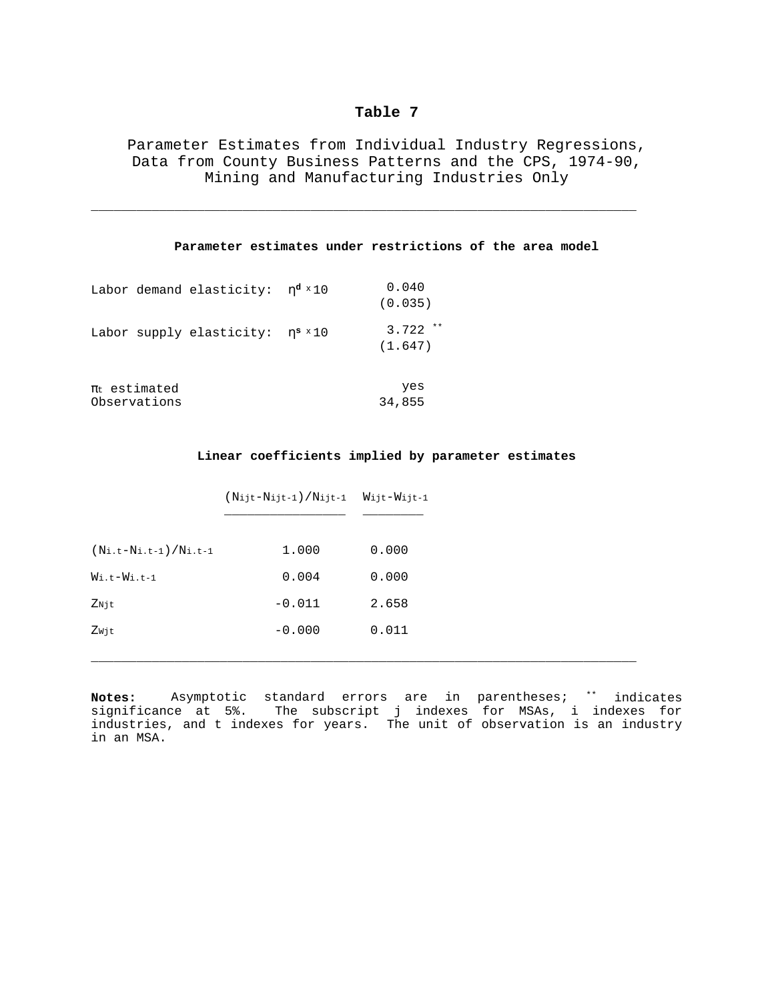Parameter Estimates from Individual Industry Regressions, Data from County Business Patterns and the CPS, 1974-90, Mining and Manufacturing Industries Only

|                                                   | Parameter estimates under restrictions of the area model |
|---------------------------------------------------|----------------------------------------------------------|
| Labor demand elasticity: n <sup>d x</sup> 10      | 0.040<br>(0.035)                                         |
| Labor supply elasticity: nº ×10                   | $3.722$ **<br>(1.647)                                    |
| $\pi_{\text{\text{t}}}$ estimated<br>Observations | yes<br>34,855                                            |

\_\_\_\_\_\_\_\_\_\_\_\_\_\_\_\_\_\_\_\_\_\_\_\_\_\_\_\_\_\_\_\_\_\_\_\_\_\_\_\_\_\_\_\_\_\_\_\_\_\_\_\_\_\_\_\_\_\_\_\_\_\_\_\_\_\_\_\_\_\_\_\_

#### **Linear coefficients implied by parameter estimates**

|                        | (Nijt-Nijt-1)/Nijt-1 Wijt-Wijt-1 |       |
|------------------------|----------------------------------|-------|
| $(Ni.t-Ni.t-1)/Ni.t-1$ | 1.000                            | 0.000 |
| $Wi.t-Wi.t-1$          | 0.004                            | 0.000 |
| Znjt                   | $-0.011$                         | 2.658 |
| Zwjt                   | $-0.000$                         | 0.011 |
|                        |                                  |       |

**Notes:** Asymptotic standard errors are in parentheses; \*\* indicates significance at 5%. The subscript j indexes for MSAs, i indexes for industries, and t indexes for years. The unit of observation is an industry in an MSA.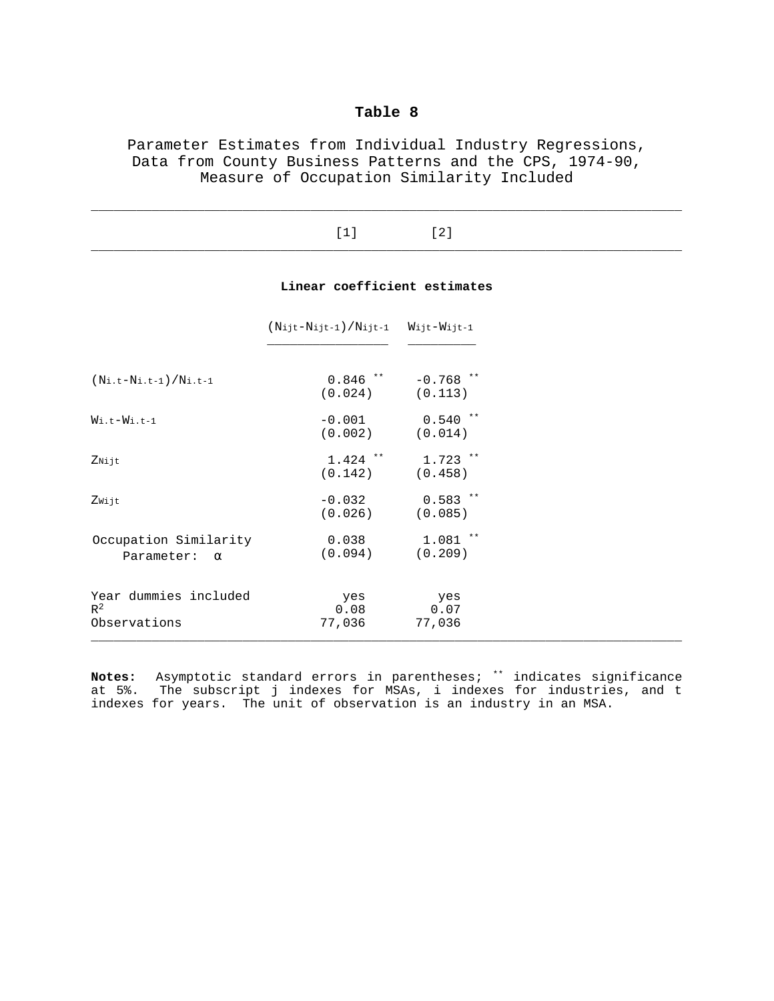Parameter Estimates from Individual Industry Regressions, Data from County Business Patterns and the CPS, 1974-90, Measure of Occupation Similarity Included

\_\_\_\_\_\_\_\_\_\_\_\_\_\_\_\_\_\_\_\_\_\_\_\_\_\_\_\_\_\_\_\_\_\_\_\_\_\_\_\_\_\_\_\_\_\_\_\_\_\_\_\_\_\_\_\_\_\_\_\_\_\_\_\_\_\_\_\_\_\_\_\_\_\_\_\_\_\_

#### $[1]$  [2] \_\_\_\_\_\_\_\_\_\_\_\_\_\_\_\_\_\_\_\_\_\_\_\_\_\_\_\_\_\_\_\_\_\_\_\_\_\_\_\_\_\_\_\_\_\_\_\_\_\_\_\_\_\_\_\_\_\_\_\_\_\_\_\_\_\_\_\_\_\_\_\_\_\_\_\_\_\_

#### **Linear coefficient estimates**

|                                                 | $(Nijt-Nijt-1) / Nijt-1$ Wijt-Wijt-1 |                        |
|-------------------------------------------------|--------------------------------------|------------------------|
| $(Ni.t-Ni.t-1)/Ni.t-1$                          | $0.846$ **<br>(0.024)                | $-0.768$ **<br>(0.113) |
| $W$ i.t- $W$ i.t-1                              | $-0.001$<br>(0.002)                  | $0.540$ **<br>(0.014)  |
| Znijt                                           | $1.424$ **<br>(0.142)                | $1.723$ **<br>(0.458)  |
| Zwijt                                           | $-0.032$<br>(0.026)                  | $0.583$ **<br>(0.085)  |
| Occupation Similarity<br>Parameter:<br>$\alpha$ | 0.038<br>(0.094)                     | $1.081$ **<br>(0.209)  |
| Year dummies included<br>$R^2$<br>Observations  | yes<br>0.08<br>77,036                | yes<br>0.07<br>77,036  |

**Notes:** Asymptotic standard errors in parentheses; \*\* indicates significance at 5%. The subscript j indexes for MSAs, i indexes for industries, and t indexes for years. The unit of observation is an industry in an MSA.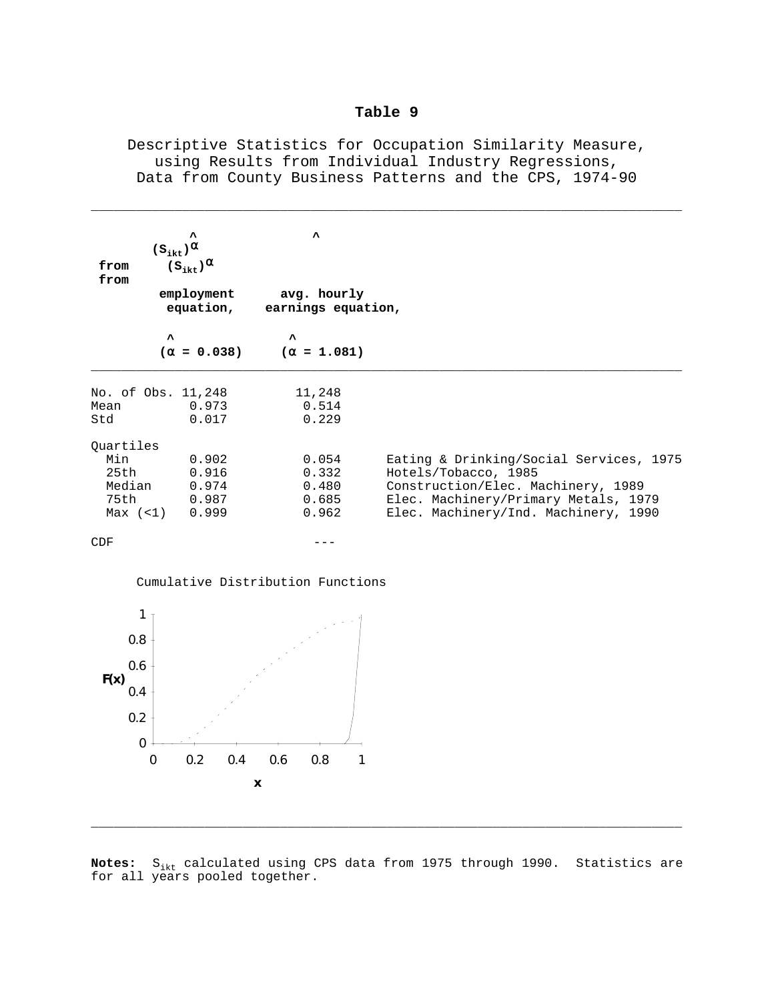Descriptive Statistics for Occupation Similarity Measure, using Results from Individual Industry Regressions, Data from County Business Patterns and the CPS, 1974-90

\_\_\_\_\_\_\_\_\_\_\_\_\_\_\_\_\_\_\_\_\_\_\_\_\_\_\_\_\_\_\_\_\_\_\_\_\_\_\_\_\_\_\_\_\_\_\_\_\_\_\_\_\_\_\_\_\_\_\_\_\_\_\_\_\_\_\_\_\_\_\_\_\_\_\_\_\_\_

| from<br>from | $(\mathtt{s_{\text{ikt}}})^\alpha$<br>$(s_{ijk}^{\dagger})^{\alpha}$ | ٨                                                  |                                         |
|--------------|----------------------------------------------------------------------|----------------------------------------------------|-----------------------------------------|
|              | employment<br>equation,                                              | avg. hourly<br>earnings equation,                  |                                         |
|              | $\blacktriangle$                                                     | $\lambda$<br>$(\alpha = 0.038)$ $(\alpha = 1.081)$ |                                         |
|              | No. of Obs. 11,248                                                   | 11,248                                             |                                         |
| Mean         | 0.973                                                                | 0.514                                              |                                         |
| Std          | 0.017                                                                | 0.229                                              |                                         |
| Ouartiles    |                                                                      |                                                    |                                         |
| Min          | 0.902                                                                | 0.054                                              | Eating & Drinking/Social Services, 1975 |
| 25th 25th    | 0.916                                                                | 0.332                                              | Hotels/Tobacco, 1985                    |
|              | Median 0.974                                                         | 0.480                                              | Construction/Elec. Machinery, 1989      |
|              | 75th 0.987                                                           | 0.685                                              | Elec. Machinery/Primary Metals, 1979    |
|              | $Max$ $(<1)$ 0.999                                                   | 0.962                                              | Elec. Machinery/Ind. Machinery, 1990    |
| CDF          |                                                                      |                                                    |                                         |

### Cumulative Distribution Functions



**Notes:** Sikt calculated using CPS data from 1975 through 1990. Statistics are for all years pooled together.

\_\_\_\_\_\_\_\_\_\_\_\_\_\_\_\_\_\_\_\_\_\_\_\_\_\_\_\_\_\_\_\_\_\_\_\_\_\_\_\_\_\_\_\_\_\_\_\_\_\_\_\_\_\_\_\_\_\_\_\_\_\_\_\_\_\_\_\_\_\_\_\_\_\_\_\_\_\_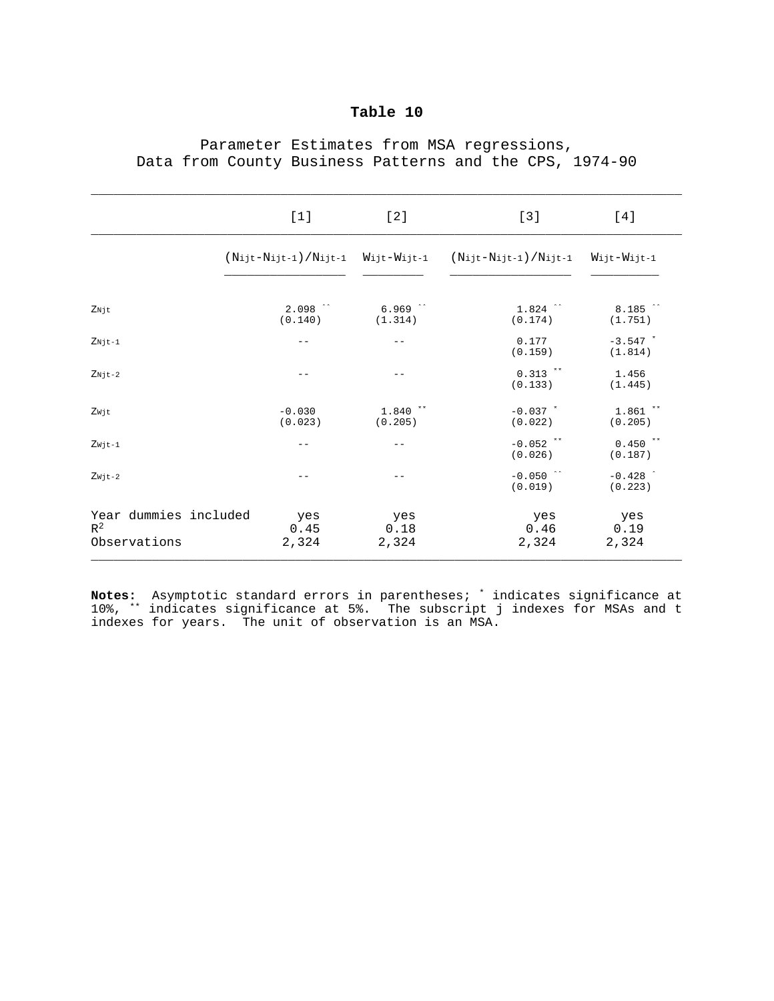|                                                | $[1]$                 | [2]                   | $[3]$                                                             | [4]                   |
|------------------------------------------------|-----------------------|-----------------------|-------------------------------------------------------------------|-----------------------|
|                                                |                       |                       | (Nijt-Nijt-1)/Nijt-1 Wijt-Wijt-1 (Nijt-Nijt-1)/Nijt-1 Wijt-Wijt-1 |                       |
| ZNjt                                           | $2.098$ **<br>(0.140) | $6.969$ **<br>(1.314) | $1.824$ **<br>(0.174)                                             | $8.185$ **<br>(1.751) |
| $ZNjt-1$                                       |                       |                       | 0.177<br>(0.159)                                                  | $-3.547$ *<br>(1.814) |
| $ZNjt-2$                                       | --                    |                       | $0.313$ **<br>(0.133)                                             | 1.456<br>(1.445)      |
| Zwjt                                           | $-0.030$<br>(0.023)   | $1.840$ **<br>(0.205) | $-0.037$ *<br>(0.022)                                             | $1.861$ **<br>(0.205) |
| $Zwjt-1$                                       |                       |                       | $-0.052$ **<br>(0.026)                                            | $0.450$ **<br>(0.187) |
| $Zwjt-2$                                       |                       |                       | $-0.050$ **<br>(0.019)                                            | $-0.428$ *<br>(0.223) |
| Year dummies included<br>$R^2$<br>Observations | yes<br>0.45<br>2,324  | yes<br>0.18<br>2,324  | yes<br>0.46<br>2,324                                              | yes<br>0.19<br>2,324  |

## Parameter Estimates from MSA regressions, Data from County Business Patterns and the CPS, 1974-90

**Notes:** Asymptotic standard errors in parentheses; \* indicates significance at 10%, \*\* indicates significance at 5%. The subscript j indexes for MSAs and t indexes for years. The unit of observation is an MSA.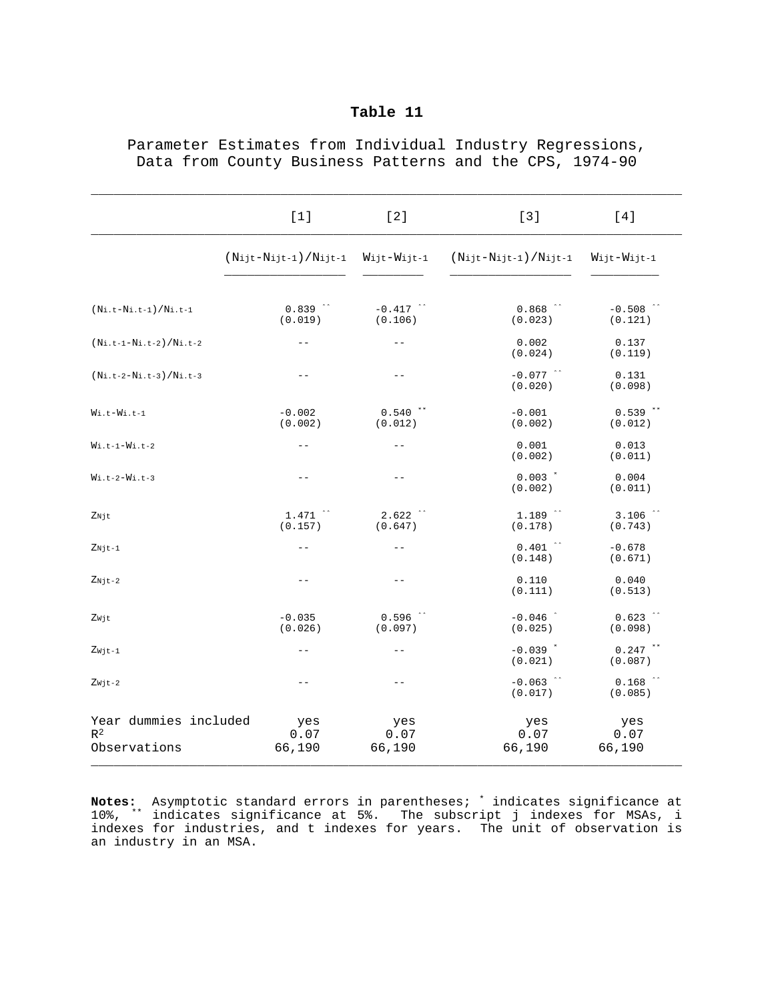|                                                | $[1]$                           | [2]                    | [3]                             | [4]                    |
|------------------------------------------------|---------------------------------|------------------------|---------------------------------|------------------------|
|                                                | $(N_{ijt}-N_{ijt-1})/N_{ijt-1}$ | Wijt-Wijt-1            | $(N_{ijt}-N_{ijt-1})/N_{ijt-1}$ | Wijt-Wijt-1            |
| $(N_{i.t}-N_{i.t-1})/N_{i.t-1}$                | $0.839**$<br>(0.019)            | $-0.417$ **<br>(0.106) | $0.868$ **<br>(0.023)           | $-0.508$ **<br>(0.121) |
| $(N_{i.t-1}-N_{i.t-2})/N_{i.t-2}$              |                                 |                        | 0.002<br>(0.024)                | 0.137<br>(0.119)       |
| $(Ni.t-2-Ni.t-3)/Ni.t-3$                       |                                 | $- -$                  | $-0.077$ **<br>(0.020)          | 0.131<br>(0.098)       |
| $Wi.t-Wi.t-1$                                  | $-0.002$<br>(0.002)             | $0.540$ **<br>(0.012)  | $-0.001$<br>(0.002)             | $0.539$ **<br>(0.012)  |
| $W$ i.t-1- $W$ i.t-2                           | --                              | $- -$                  | 0.001<br>(0.002)                | 0.013<br>(0.011)       |
| $Wi.t-2-Wi.t-3$                                | $-1$                            | $- -$                  | $0.003$ *<br>(0.002)            | 0.004<br>(0.011)       |
| Znjt                                           | $1.471$ **<br>(0.157)           | $2.622$ **<br>(0.647)  | $1.189$ **<br>(0.178)           | $3.106$ **<br>(0.743)  |
| $Z_{Njt-1}$                                    | $-1$                            | $- -$                  | $0.401$ **<br>(0.148)           | $-0.678$<br>(0.671)    |
| $ZNjt-2$                                       | $-1$                            | $-1$                   | 0.110<br>(0.111)                | 0.040<br>(0.513)       |
| Zwjt                                           | $-0.035$<br>(0.026)             | $0.596$ **<br>(0.097)  | $-0.046$ *<br>(0.025)           | $0.623$ **<br>(0.098)  |
| $Zwjt-1$                                       | $- -$                           | $- -$                  | $-0.039$ *<br>(0.021)           | $0.247$ **<br>(0.087)  |
| $Zwjt-2$                                       | $- -$                           | $- -$                  | $-0.063$ **<br>(0.017)          | $0.168$ **<br>(0.085)  |
| Year dummies included<br>$R^2$<br>Observations | yes<br>0.07<br>66,190           | yes<br>0.07<br>66,190  | yes<br>0.07<br>66,190           | yes<br>0.07<br>66,190  |

Parameter Estimates from Individual Industry Regressions, Data from County Business Patterns and the CPS, 1974-90

**Notes:** Asymptotic standard errors in parentheses; \* indicates significance at 10%, \*\* indicates significance at 5%. The subscript j indexes for MSAs, i indexes for industries, and t indexes for years. The unit of observation is an industry in an MSA.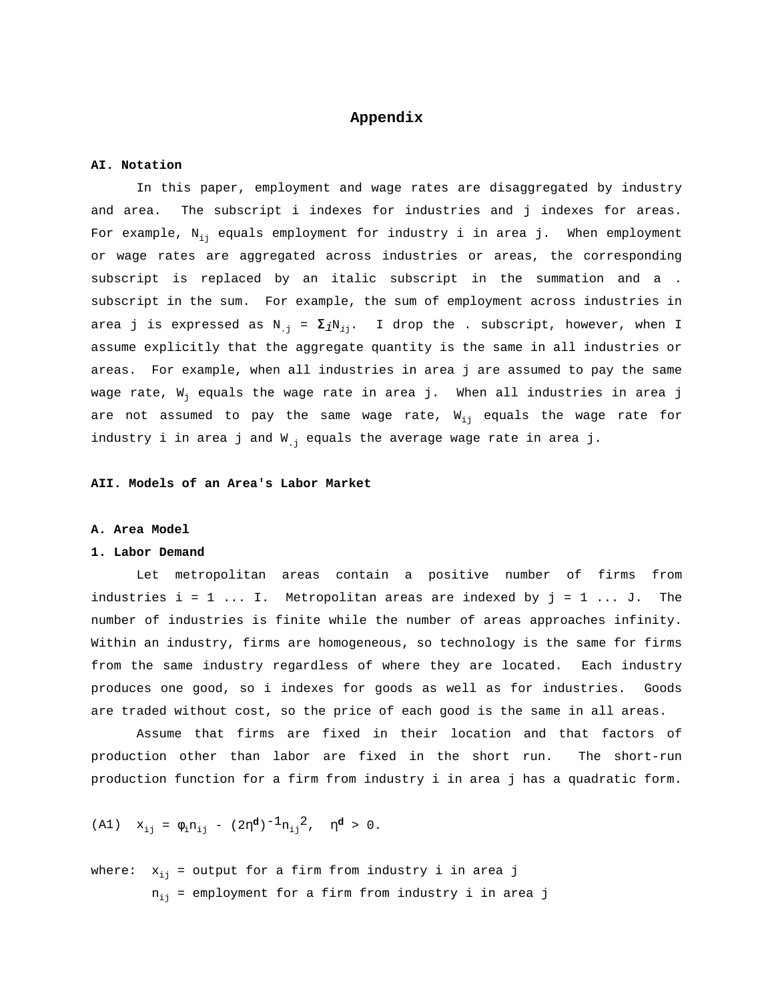### **Appendix**

#### **AI. Notation**

In this paper, employment and wage rates are disaggregated by industry and area. The subscript i indexes for industries and j indexes for areas. For example,  $N_{i,j}$  equals employment for industry i in area j. When employment or wage rates are aggregated across industries or areas, the corresponding subscript is replaced by an italic subscript in the summation and a . subscript in the sum. For example, the sum of employment across industries in area j is expressed as  $N_{i,j} = \sum_j N_{i,j}$ . I drop the . subscript, however, when I assume explicitly that the aggregate quantity is the same in all industries or areas. For example, when all industries in area j are assumed to pay the same wage rate,  $W_i$  equals the wage rate in area j. When all industries in area j are not assumed to pay the same wage rate,  $W_{i,j}$  equals the wage rate for industry i in area j and  $W_i$  equals the average wage rate in area j.

#### **AII. Models of an Area's Labor Market**

#### **A. Area Model**

#### **1. Labor Demand**

Let metropolitan areas contain a positive number of firms from industries  $i = 1 \ldots I$ . Metropolitan areas are indexed by  $j = 1 \ldots J$ . The number of industries is finite while the number of areas approaches infinity. Within an industry, firms are homogeneous, so technology is the same for firms from the same industry regardless of where they are located. Each industry produces one good, so i indexes for goods as well as for industries. Goods are traded without cost, so the price of each good is the same in all areas.

Assume that firms are fixed in their location and that factors of production other than labor are fixed in the short run. The short-run production function for a firm from industry i in area j has a quadratic form.

$$
\text{(A1)} \quad x_{ij} \; = \; \phi_i n_{ij} \; - \; (2\eta^d)^{-1} n_{ij}^2 \,, \quad \eta^d \; > \; 0 \,.
$$

where:  $x_{ij}$  = output for a firm from industry i in area j  $n_{ij}$  = employment for a firm from industry i in area j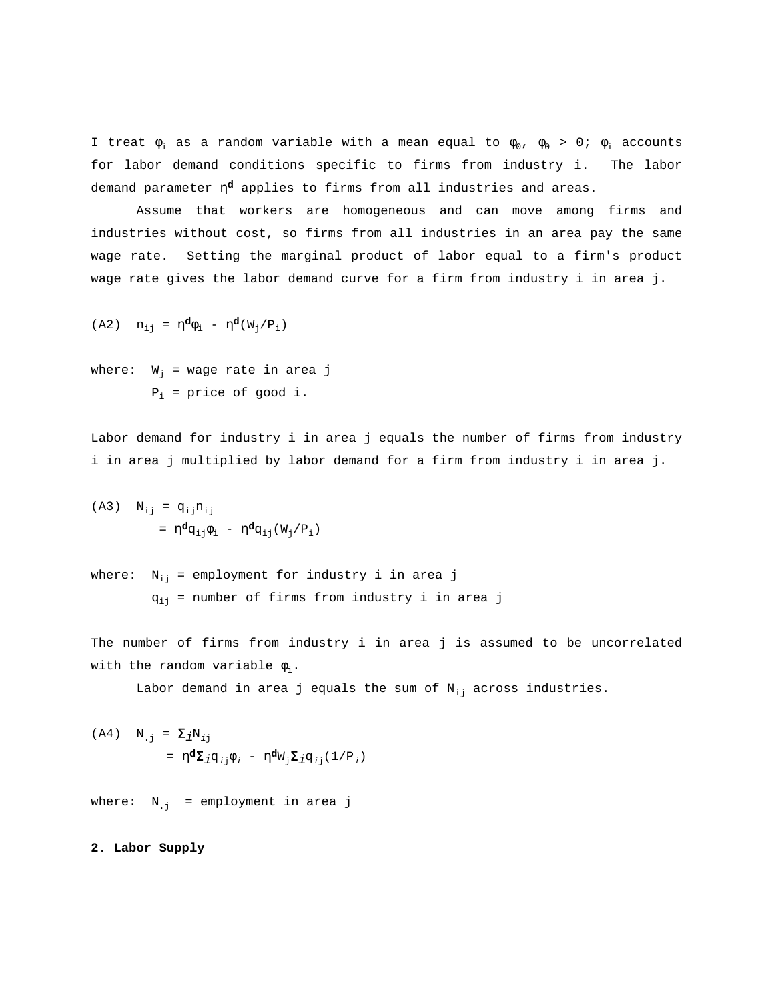I treat  $\phi_i$  as a random variable with a mean equal to  $\phi_0$ ,  $\phi_0 > 0$ ;  $\phi_i$  accounts for labor demand conditions specific to firms from industry i. The labor demand parameter η**d** applies to firms from all industries and areas.

Assume that workers are homogeneous and can move among firms and industries without cost, so firms from all industries in an area pay the same wage rate. Setting the marginal product of labor equal to a firm's product wage rate gives the labor demand curve for a firm from industry i in area j.

(A2) 
$$
n_{ij} = \eta^d \phi_i - \eta^d (W_j/P_i)
$$

where:  $W_j$  = wage rate in area j  $P_i$  = price of good i.

Labor demand for industry i in area j equals the number of firms from industry i in area j multiplied by labor demand for a firm from industry i in area j.

(A3) 
$$
N_{ij} = q_{ij}n_{ij}
$$
  
=  $\eta^d q_{ij} \phi_i - \eta^d q_{ij} (W_j/P_i)$ 

where: 
$$
N_{ij}
$$
 = employment for industry i in area j  
 $q_{ij}$  = number of firms from industry i in area j

The number of firms from industry i in area j is assumed to be uncorrelated with the random variable  $\phi_i$ .

Labor demand in area j equals the sum of  $N_{ij}$  across industries.

$$
\begin{array}{rcl} \text{(A4)} & \text{N}_{\cdot j} &=& \pmb{\Sigma}_{\dot{\mathcal{I}}} \text{N}_{\dot{\mathcal{I}}j} \\ &=& \eta^{\text{d}} \pmb{\Sigma}_{\dot{\mathcal{I}}} \text{q}_{\dot{\mathcal{I}}j} \phi_{\dot{\mathcal{I}}} \ - \ \eta^{\text{d}} \text{W}_{j} \pmb{\Sigma}_{\dot{\mathcal{I}}} \text{q}_{\dot{\mathcal{I}}j} \left( \text{1}/\text{P}_{\dot{\mathcal{I}}} \right) \end{array}
$$

where:  $N_{i}$  = employment in area j

**2. Labor Supply**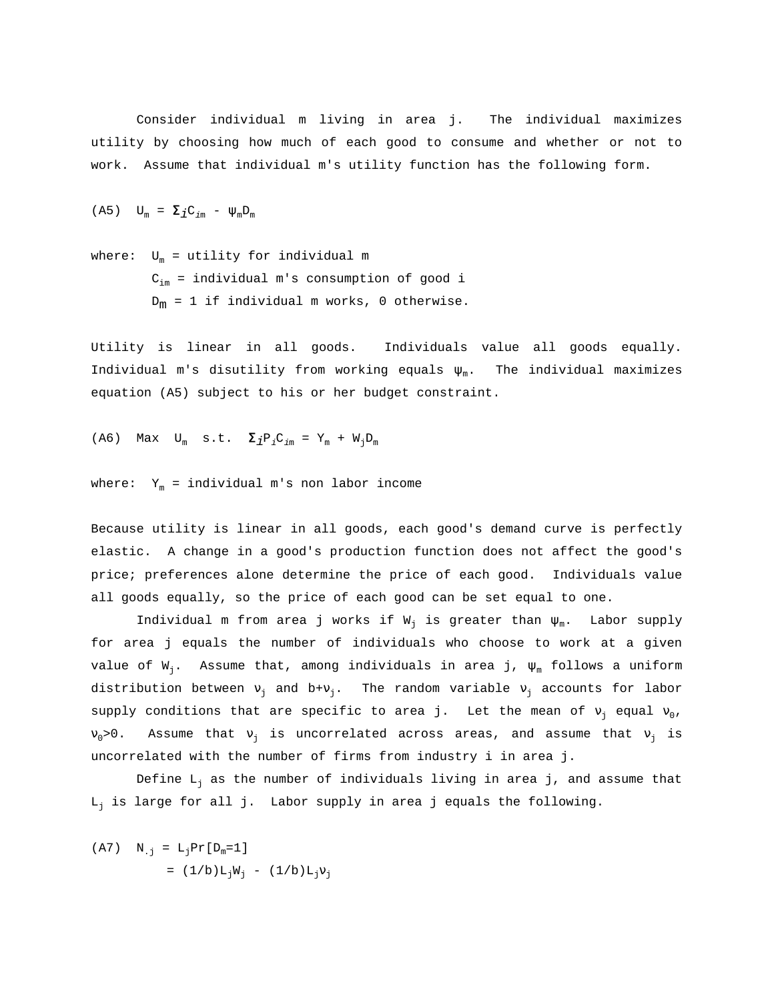Consider individual m living in area j. The individual maximizes utility by choosing how much of each good to consume and whether or not to work. Assume that individual m's utility function has the following form.

(A5)  $U_m = \sum_j C_{jm} - \psi_m D_m$ 

where:  $U_m =$  utility for individual m  $C_{im}$  = individual m's consumption of good i  $D_m = 1$  if individual m works, 0 otherwise.

Utility is linear in all goods. Individuals value all goods equally. Individual m's disutility from working equals  $\psi_m$ . The individual maximizes equation (A5) subject to his or her budget constraint.

$$
(A6) \quad Max \quad U_m \quad s.t. \quad \Sigma_{\dot{\mathcal{I}}} P_{\dot{\mathcal{I}}} C_{\dot{\mathcal{I}}m} = Y_m + W_{\dot{\mathcal{I}}} D_m
$$

where:  $Y_m = \text{individual m's non labor income}$ 

Because utility is linear in all goods, each good's demand curve is perfectly elastic. A change in a good's production function does not affect the good's price; preferences alone determine the price of each good. Individuals value all goods equally, so the price of each good can be set equal to one.

Individual m from area j works if  $W_j$  is greater than  $\Psi_m$ . Labor supply for area j equals the number of individuals who choose to work at a given value of  $W_j$ . Assume that, among individuals in area j,  $\psi_m$  follows a uniform distribution between  $v_j$  and b+ $v_j$ . The random variable  $v_j$  accounts for labor supply conditions that are specific to area j. Let the mean of  $v_j$  equal  $v_0$ ,  $v_0$ >0. Assume that  $v_i$  is uncorrelated across areas, and assume that  $v_i$  is uncorrelated with the number of firms from industry i in area j.

Define  $L_i$  as the number of individuals living in area j, and assume that  $L_j$  is large for all j. Labor supply in area j equals the following.

(A7) 
$$
N_{.j} = L_j Pr[D_m=1]
$$
  
= (1/b)  $L_j W_j$  - (1/b)  $L_j V_j$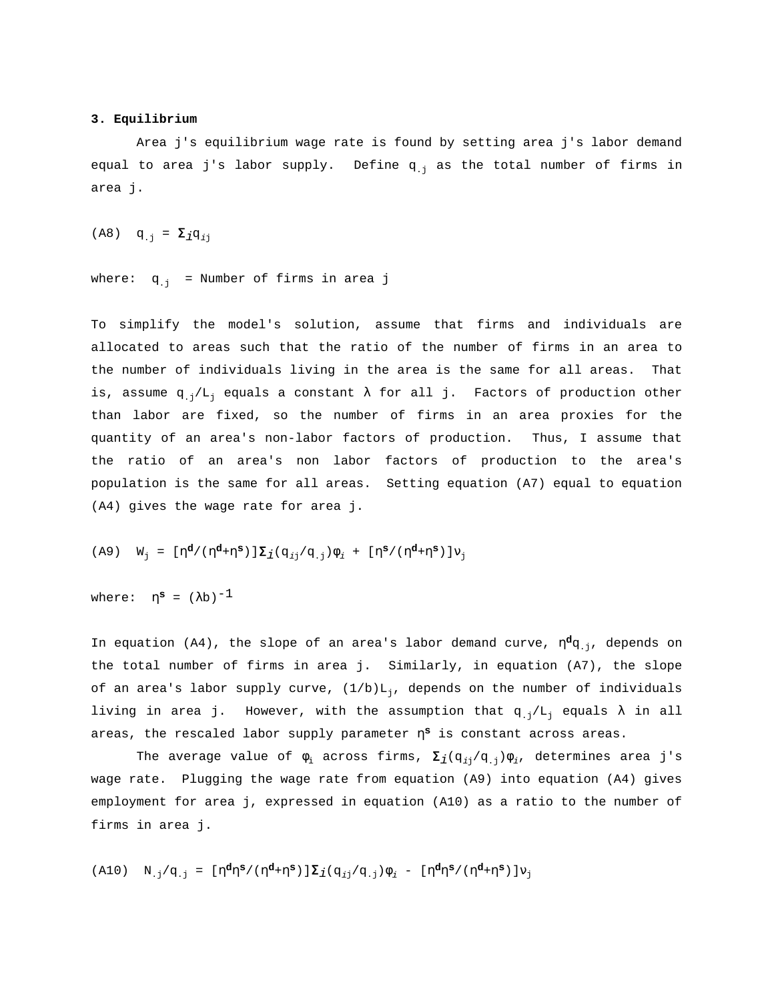#### **3. Equilibrium**

Area j's equilibrium wage rate is found by setting area j's labor demand equal to area j's labor supply. Define  $q_{.j}$  as the total number of firms in area j.

(A8)  $q_{.i} = \sum_{i} q_{ii}$ 

where:  $q_i$  = Number of firms in area j

To simplify the model's solution, assume that firms and individuals are allocated to areas such that the ratio of the number of firms in an area to the number of individuals living in the area is the same for all areas. That is, assume  $q_{i,j}/L_j$  equals a constant  $\lambda$  for all j. Factors of production other than labor are fixed, so the number of firms in an area proxies for the quantity of an area's non-labor factors of production. Thus, I assume that the ratio of an area's non labor factors of production to the area's population is the same for all areas. Setting equation (A7) equal to equation (A4) gives the wage rate for area j.

$$
(A9) \quad W_j = [\eta^d / (\eta^d + \eta^s)] \Sigma_j (q_{ij}/q_{.j}) \phi_i + [\eta^s / (\eta^d + \eta^s)] v_j
$$

where: 
$$
\eta^s = (\lambda b)^{-1}
$$

In equation (A4), the slope of an area's labor demand curve, η**<sup>d</sup>**q.j, depends on the total number of firms in area j. Similarly, in equation (A7), the slope of an area's labor supply curve,  $(1/b)L_i$ , depends on the number of individuals living in area j. However, with the assumption that  $q_{.j}/L_j$  equals  $\lambda$  in all areas, the rescaled labor supply parameter η**s** is constant across areas.

The average value of  $\phi_i$  across firms,  $\Sigma_j(q_{ij}/q_{.j})\phi_i$ , determines area j's wage rate. Plugging the wage rate from equation (A9) into equation (A4) gives employment for area j, expressed in equation (A10) as a ratio to the number of firms in area j.

$$
\text{(A10)} \quad \text{N}_{\cdot \text{j}}/\text{q}_{\cdot \text{j}} \; = \; \text{[}\; \eta^{\text{d}} \eta^{\text{s}}/\,(\, \eta^{\text{d}} + \eta^{\text{s}})\; \text{]} \Sigma_{\text{j}}\,(\, \text{q}_{\text{i}\text{j}}/\text{q}_{\cdot \text{j}})\varphi_{\text{i}} \; - \; \text{[}\; \eta^{\text{d}} \eta^{\text{s}}/\,(\, \eta^{\text{d}} + \eta^{\text{s}})\; \text{]} \text{v}_{\text{j}}
$$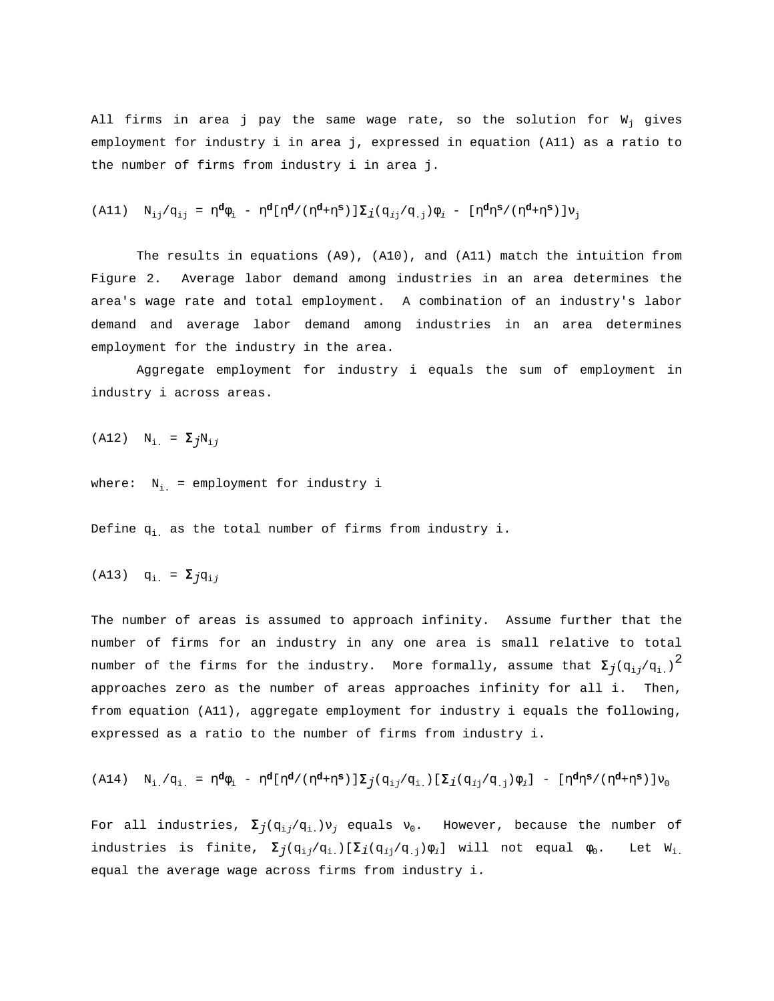All firms in area j pay the same wage rate, so the solution for  $W_i$  gives employment for industry i in area j, expressed in equation (A11) as a ratio to the number of firms from industry i in area j.

$$
\text{(A11)} \quad \ \ N_{ij}/q_{ij} \; = \; \eta^d\phi_i \; \; - \; \eta^d [\, \eta^d / \, (\, \eta^d + \eta^s \, ) \; ] \Sigma_j \, (\, q_{ij}/q_{\, , \, j} \, ) \, \phi_i \; \; - \; \, [\, \eta^d \eta^s / \, (\, \eta^d + \eta^s \, ) \; ] v_j
$$

The results in equations (A9), (A10), and (A11) match the intuition from Figure 2. Average labor demand among industries in an area determines the area's wage rate and total employment. A combination of an industry's labor demand and average labor demand among industries in an area determines employment for the industry in the area.

Aggregate employment for industry i equals the sum of employment in industry i across areas.

$$
(A12) \tN_i = \Sigma_j N_{ij}
$$

where:  $N_i$  = employment for industry i

Define  $q_i$  as the total number of firms from industry i.

$$
(A13) \quad q_{i.} = \Sigma_{\dot{J}} q_{i\dot{J}}
$$

The number of areas is assumed to approach infinity. Assume further that the number of firms for an industry in any one area is small relative to total number of the firms for the industry. More formally, assume that  $\sum_j (q_{i,j}/q_{i,j})^2$ approaches zero as the number of areas approaches infinity for all i. Then, from equation (A11), aggregate employment for industry i equals the following, expressed as a ratio to the number of firms from industry i.

(A14) Ni./qi. = η**d**φi - η**d**[η**d**/(η**d**+η**s**)]Σj(qij/qi.)[Σi(qij/q.j)φi] - [η**d**η**s**/(η**d**+η**s**)]ν<sup>0</sup>

For all industries,  $\Sigma_j(q_{i,j}/q_{i.})v_j$  equals  $v_0$ . However, because the number of industries is finite,  $\Sigma_j(q_{i,j}/q_{i.})[\Sigma_j(q_{i,j}/q_{i.})\phi_i]$  will not equal  $\phi_0$ . Let  $W_{i.}$ equal the average wage across firms from industry i.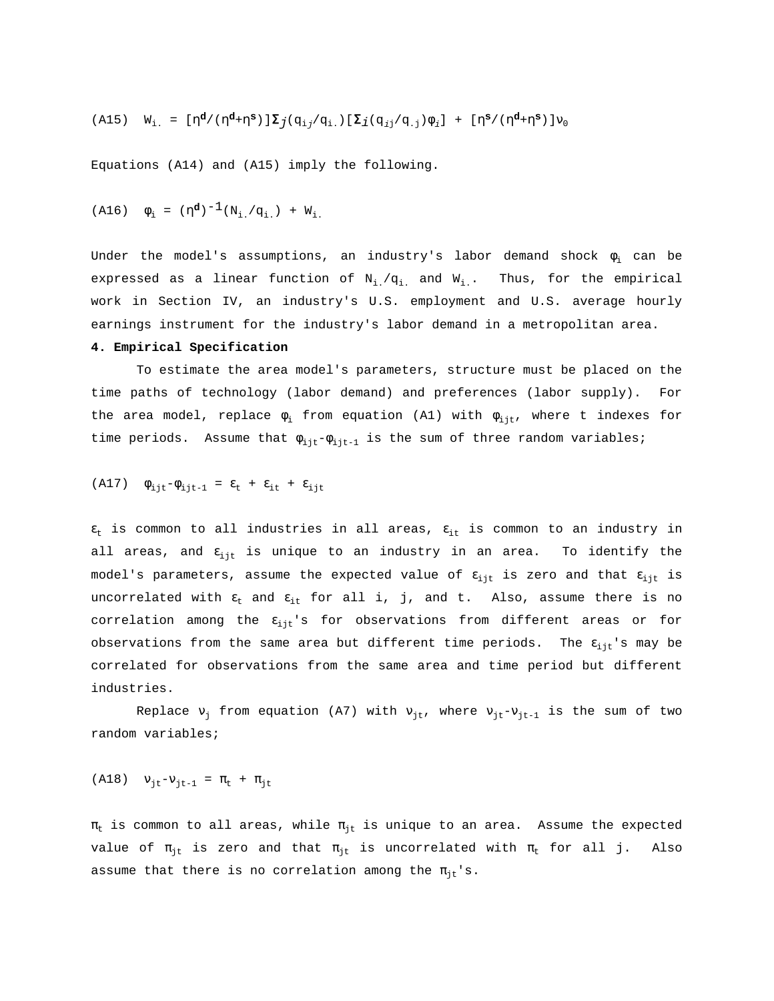$$
\text{(A15)} \quad \text{W}_\text{i.} \ = \ [\, \eta^\text{d} / \, (\, \eta^\text{d} + \eta^\text{s} \, ) \, ] \boldsymbol{\Sigma}_j ( \, \text{q}_\text{i\,j} / \text{q}_\text{i\,.) \, | \, \boldsymbol{\Sigma}_j \, (\, \text{q}_\text{i\,j} / \text{q}_\text{i\,j} \, ) \, \varphi_i \, ] \ \ + \ \ [\, \eta^\text{s} / \, (\, \eta^\text{d} + \eta^\text{s} \, ) \, ] \text{v}_0
$$

Equations (A14) and (A15) imply the following.

$$
(\text{A16}) \quad \phi_i \ = \ (\eta^d)^{-1} (N_i \ / q_i \ ) \ + \ W_i \, .
$$

Under the model's assumptions, an industry's labor demand shock  $\phi_i$  can be expressed as a linear function of  $N_i / q_i$  and  $W_i$ . Thus, for the empirical work in Section IV, an industry's U.S. employment and U.S. average hourly earnings instrument for the industry's labor demand in a metropolitan area.

#### **4. Empirical Specification**

To estimate the area model's parameters, structure must be placed on the time paths of technology (labor demand) and preferences (labor supply). For the area model, replace  $\phi_i$  from equation (A1) with  $\phi_{i\,it}$ , where t indexes for time periods. Assume that  $\phi_{i,t}-\phi_{i,t-1}$  is the sum of three random variables;

$$
(A17) \quad \phi_{ijt} - \phi_{ijt-1} = \varepsilon_t + \varepsilon_{it} + \varepsilon_{ijt}
$$

 $\epsilon_t$  is common to all industries in all areas,  $\epsilon_{it}$  is common to an industry in all areas, and  $\varepsilon_{i,jt}$  is unique to an industry in an area. To identify the model's parameters, assume the expected value of  $\varepsilon_{i,jt}$  is zero and that  $\varepsilon_{i,jt}$  is uncorrelated with  $\varepsilon_t$  and  $\varepsilon_{it}$  for all i, j, and t. Also, assume there is no correlation among the  $\varepsilon_{i j t}$ 's for observations from different areas or for observations from the same area but different time periods. The  $\varepsilon_{\text{ijt}}$ 's may be correlated for observations from the same area and time period but different industries.

Replace  $v_i$  from equation (A7) with  $v_{it}$ , where  $v_{it} - v_{it-1}$  is the sum of two random variables;

$$
(A18) \tV_{jt} - V_{jt-1} = \pi_t + \pi_{jt}
$$

 $\pi_t$  is common to all areas, while  $\pi_{jt}$  is unique to an area. Assume the expected value of  $\pi_{it}$  is zero and that  $\pi_{it}$  is uncorrelated with  $\pi_t$  for all j. Also assume that there is no correlation among the  $\pi_{it}$ 's.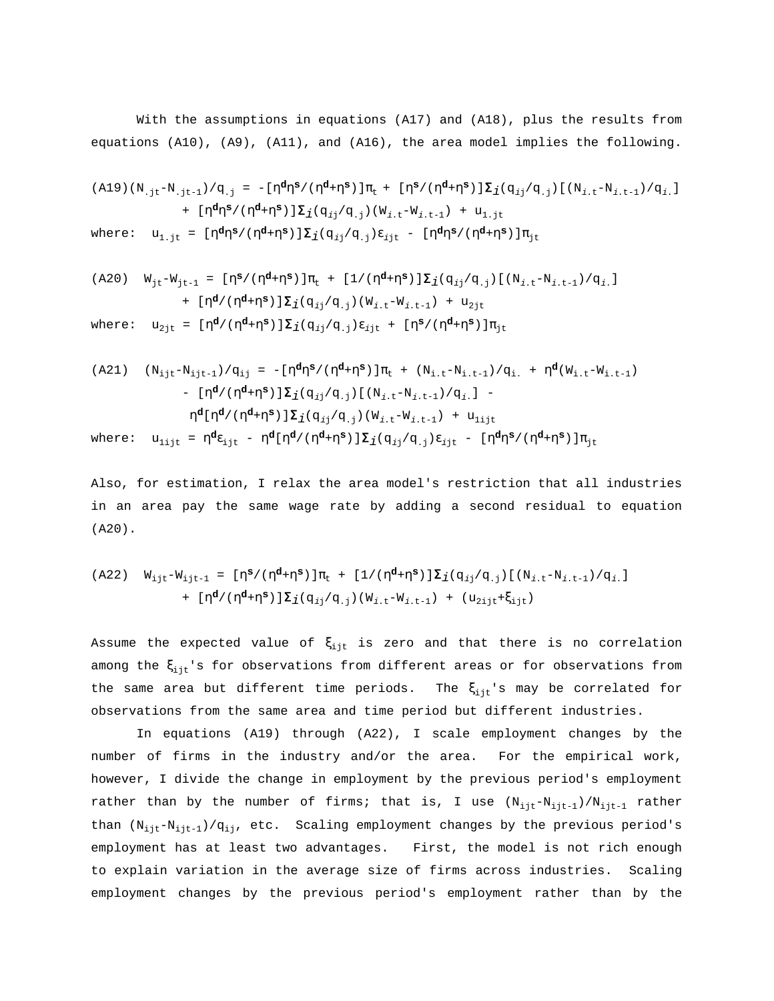With the assumptions in equations (A17) and (A18), plus the results from equations (A10), (A9), (A11), and (A16), the area model implies the following.

\n
$$
(A19) \left( N_{\cdot j t} - N_{\cdot j t - 1} \right) / q_{\cdot j} = -\left[ \eta^{\mathbf{d}} \eta^{\mathbf{g}} / (\eta^{\mathbf{d}} + \eta^{\mathbf{g}}) \right] \pi_t + \left[ \eta^{\mathbf{g}} / (\eta^{\mathbf{d}} + \eta^{\mathbf{g}}) \right] \sum_j \left( q_{ij} / q_{\cdot j} \right) \left[ \left( N_{i \cdot t} - N_{i \cdot t - 1} \right) / q_i \right]
$$
\n

\n\n
$$
+ \left[ \eta^{\mathbf{d}} \eta^{\mathbf{g}} / (\eta^{\mathbf{d}} + \eta^{\mathbf{g}}) \right] \sum_j \left( q_{ij} / q_{\cdot j} \right) \left( W_{i \cdot t} - W_{i \cdot t - 1} \right) + u_{1 \cdot j t}
$$
\n

\n\n
$$
w \text{here:} \quad u_{1 \cdot j t} = \left[ \eta^{\mathbf{d}} \eta^{\mathbf{g}} / (\eta^{\mathbf{d}} + \eta^{\mathbf{g}}) \right] \sum_j \left( q_{ij} / q_{\cdot j} \right) \varepsilon_{j j t} - \left[ \eta^{\mathbf{d}} \eta^{\mathbf{g}} / (\eta^{\mathbf{d}} + \eta^{\mathbf{g}}) \right] \pi_{j t}
$$
\n

(A20) 
$$
W_{jt} - W_{jt-1} = \left[ \eta^s / (\eta^d + \eta^s) \right] \pi_t + \left[ \frac{1}{(\eta^d + \eta^s)} \right] \Sigma_j (q_{ij}/q_{.j}) \left[ (N_{i,t} - N_{i,t-1}) / q_{i} \right]
$$
\n
$$
+ \left[ \eta^d / (\eta^d + \eta^s) \right] \Sigma_j (q_{ij}/q_{.j}) (W_{i,t} - W_{i,t-1}) + u_{2jt}
$$
\nwhere: 
$$
u_{2jt} = \left[ \eta^d / (\eta^d + \eta^s) \right] \Sigma_j (q_{ij}/q_{.j}) \varepsilon_{jjt} + \left[ \eta^s / (\eta^d + \eta^s) \right] \pi_{jt}
$$

(A21)

\n
$$
(N_{ijt} - N_{ijt-1}) / q_{ij} = -[\eta^{d}\eta^{g} / (\eta^{d} + \eta^{g})] \pi_{t} + (N_{i.t} - N_{i.t-1}) / q_{i.} + \eta^{d}(W_{i.t} - W_{i.t-1})
$$
\n
$$
- [\eta^{d} / (\eta^{d} + \eta^{g})] \Sigma_{i} (q_{ij}/q_{.j}) [ (N_{i.t} - N_{i.t-1}) / q_{i.}] - \eta^{d} [\eta^{d} / (\eta^{d} + \eta^{g})] \Sigma_{i} (q_{ij}/q_{.j}) (W_{i.t} - W_{i.t-1}) + u_{1ijt}
$$
\nwhere:

\n
$$
u_{1ijt} = \eta^{d} \varepsilon_{ijt} - \eta^{d} [\eta^{d} / (\eta^{d} + \eta^{g})] \Sigma_{i} (q_{ij}/q_{.j}) \varepsilon_{ijt} - [\eta^{d}\eta^{g} / (\eta^{d} + \eta^{g})] \pi_{jt}
$$

Also, for estimation, I relax the area model's restriction that all industries in an area pay the same wage rate by adding a second residual to equation (A20).

$$
\begin{array}{lll} \text{(A22)} & \text{W}_{ijt} - \text{W}_{ijt-1} = \left[ \eta^{\mathbf{S}} / \left( \eta^{\mathbf{d}} + \eta^{\mathbf{S}} \right) \right] \pi_{t} + \left[ \frac{1}{\eta^{\mathbf{d}} + \eta^{\mathbf{S}}} \right] \left[ \sum_{j} \left( q_{ij} / q_{.j} \right) \left[ \left( N_{j,t} - N_{j,t-1} \right) / q_{j} \right] \right] \\ & + \left[ \eta^{\mathbf{d}} / \left( \eta^{\mathbf{d}} + \eta^{\mathbf{S}} \right) \left[ \sum_{j} \left( q_{ij} / q_{.j} \right) \left( W_{j,t} - W_{j,t-1} \right) \right. \right. + \left. \left( u_{2ijt} + \xi_{ijt} \right) \right] \end{array}
$$

Assume the expected value of  $\xi_{ijt}$  is zero and that there is no correlation among the  $\xi_{i,jt}$ 's for observations from different areas or for observations from the same area but different time periods. The  $\xi_{i\dot{1}t}$ 's may be correlated for observations from the same area and time period but different industries.

 In equations (A19) through (A22), I scale employment changes by the number of firms in the industry and/or the area. For the empirical work, however, I divide the change in employment by the previous period's employment rather than by the number of firms; that is, I use  $(N_{ijt}-N_{ijt-1})/N_{ijt-1}$  rather than  $(N_{ijt}-N_{ijt-1})/q_{ij}$ , etc. Scaling employment changes by the previous period's employment has at least two advantages. First, the model is not rich enough to explain variation in the average size of firms across industries. Scaling employment changes by the previous period's employment rather than by the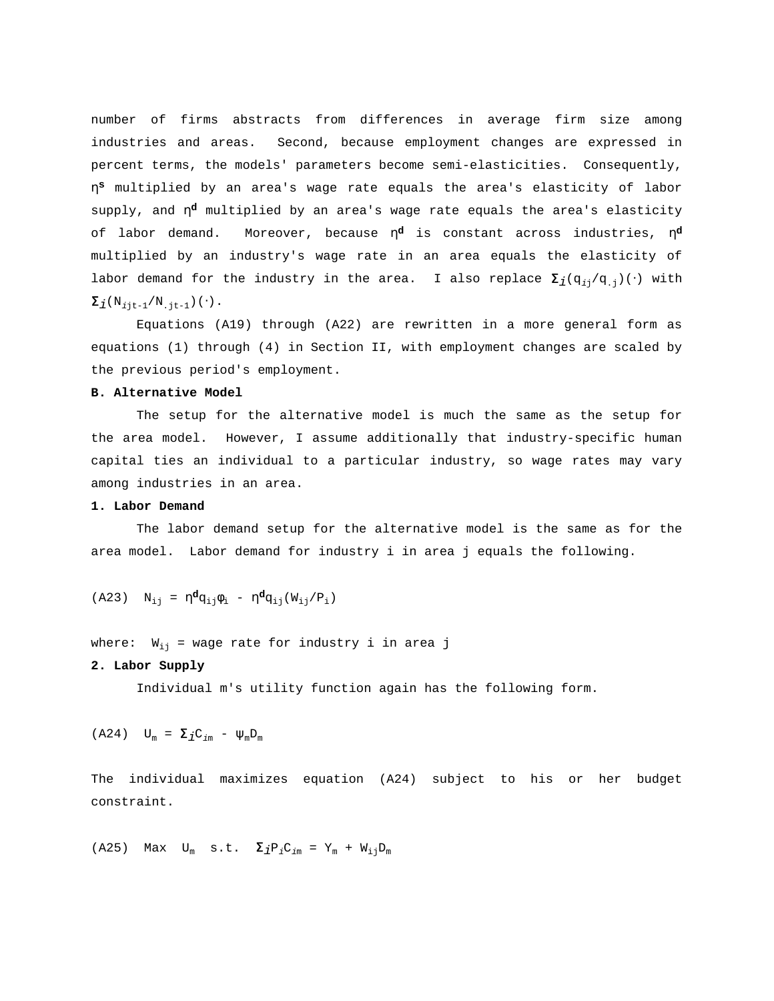number of firms abstracts from differences in average firm size among industries and areas. Second, because employment changes are expressed in percent terms, the models' parameters become semi-elasticities. Consequently, η**s** multiplied by an area's wage rate equals the area's elasticity of labor supply, and η**d** multiplied by an area's wage rate equals the area's elasticity of labor demand. Moreover, because η**d** is constant across industries, η**<sup>d</sup>** multiplied by an industry's wage rate in an area equals the elasticity of labor demand for the industry in the area. I also replace  $\Sigma_i(q_{ij}/q_{ij})\cdots$  with  $\Sigma_{i}$ (N<sub>ijt-1</sub>/N<sub>.jt-1</sub>)(·).

Equations (A19) through (A22) are rewritten in a more general form as equations (1) through (4) in Section II, with employment changes are scaled by the previous period's employment.

#### **B. Alternative Model**

The setup for the alternative model is much the same as the setup for the area model. However, I assume additionally that industry-specific human capital ties an individual to a particular industry, so wage rates may vary among industries in an area.

#### **1. Labor Demand**

The labor demand setup for the alternative model is the same as for the area model. Labor demand for industry i in area j equals the following.

(A23) 
$$
N_{ij} = \eta^{d} q_{ij} \phi_{i} - \eta^{d} q_{ij} (W_{ij}/P_{i})
$$

where:  $W_{ij}$  = wage rate for industry i in area j

#### **2. Labor Supply**

Individual m's utility function again has the following form.

$$
(A24) \tU_m = \Sigma_{\underline{i}} C_{\underline{i}m} - \Psi_m D_m
$$

The individual maximizes equation (A24) subject to his or her budget constraint.

$$
(A25) \quad Max \quad U_m \quad s.t. \quad \Sigma_{\dot{\mathbf{I}}} P_{\dot{\mathbf{I}}} C_{\dot{\mathbf{I}}^m} = Y_m + W_{\dot{\mathbf{I}}^{\dot{\mathbf{I}}}} D_m
$$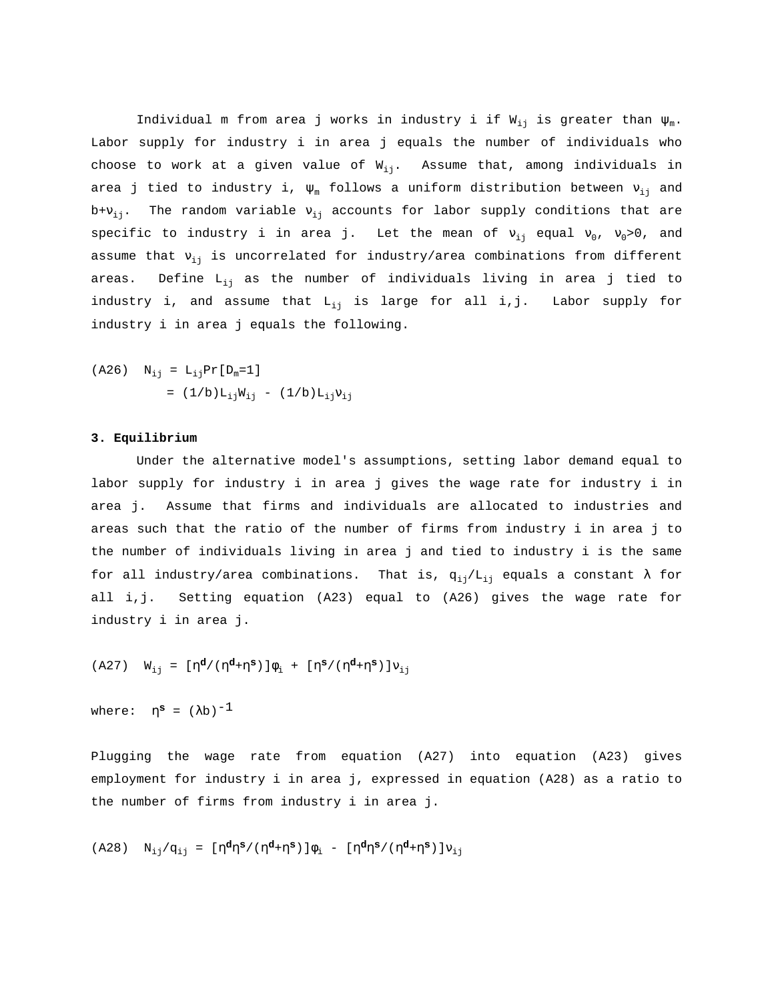Individual m from area j works in industry i if  $W_{i,j}$  is greater than  $\psi_m$ . Labor supply for industry i in area j equals the number of individuals who choose to work at a given value of  $W_{ij}$ . Assume that, among individuals in area j tied to industry i,  $\psi_m$  follows a uniform distribution between  $v_{i,j}$  and b+ $v_{i,j}$ . The random variable  $v_{i,j}$  accounts for labor supply conditions that are specific to industry i in area j. Let the mean of  $v_{i,j}$  equal  $v_0$ ,  $v_0 > 0$ , and assume that  $v_{i,j}$  is uncorrelated for industry/area combinations from different areas. Define L<sub>ij</sub> as the number of individuals living in area j tied to industry i, and assume that  $L_{i,j}$  is large for all i,j. Labor supply for industry i in area j equals the following.

(A26) 
$$
N_{ij} = L_{ij} Pr[D_m=1]
$$
  
= (1/b)  $L_{ij}W_{ij} - (1/b) L_{ij}V_{ij}$ 

#### **3. Equilibrium**

Under the alternative model's assumptions, setting labor demand equal to labor supply for industry i in area j gives the wage rate for industry i in area j. Assume that firms and individuals are allocated to industries and areas such that the ratio of the number of firms from industry i in area j to the number of individuals living in area j and tied to industry i is the same for all industry/area combinations. That is,  $q_{i,j}/L_{i,j}$  equals a constant  $\lambda$  for all i,j. Setting equation (A23) equal to (A26) gives the wage rate for industry i in area j.

$$
\text{(A27)} \quad \ W_{\text{i}\,\text{j}} \ = \ \ [\, \eta^{\text{d}} / \,(\, \eta^{\text{d}} + \eta^{\text{s}}) \,\,] \, \phi_{\text{i}} \ + \ \ [\, \eta^{\text{s}} / \,(\, \eta^{\text{d}} + \eta^{\text{s}}) \,\,] \, v_{\text{i}\,\text{j}}
$$

where:  $\eta^s = (\lambda b)^{-1}$ 

Plugging the wage rate from equation (A27) into equation (A23) gives employment for industry i in area j, expressed in equation (A28) as a ratio to the number of firms from industry i in area j.

$$
\text{(A28)} \quad \ \ \mathbb{N}_{\mathtt{i}\, \mathtt{j}} / \mathtt{q}_{\mathtt{i}\, \mathtt{j}} \,\, = \,\, \text{[} \, \eta^{\text{d}} \eta^{\text{g}} / \, (\, \eta^{\text{d}} \! + \! \eta^{\text{g}} \,) \, \text{]} \varphi_{\mathtt{i}} \ \, - \ \, \text{[} \, \eta^{\text{d}} \eta^{\text{g}} / \, (\, \eta^{\text{d}} \! + \! \eta^{\text{g}} \,) \, \text{]} \mathbf{V}_{\mathtt{i}\, \mathtt{j}}
$$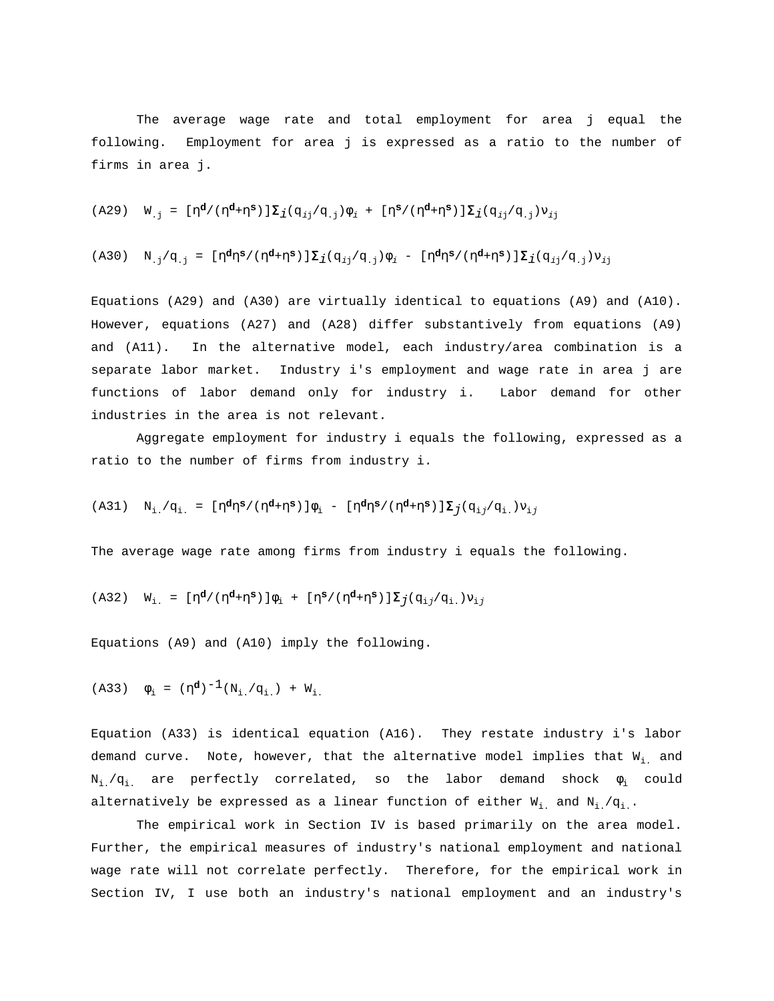The average wage rate and total employment for area j equal the following. Employment for area j is expressed as a ratio to the number of firms in area j.

$$
\text{(A29)} \quad \text{W}_{\cdot j} \ = \ [\, \eta^{\text{d}} / \, (\, \eta^{\text{d}} + \eta^{\text{s}} \, ) \, ] \Sigma_{\text{j}} \, (\, \text{q}_{\text{i} \, j} / \text{q}_{\text{-} \, j} \, ) \, \varphi_{\text{i}} \ + \ [\, \eta^{\text{s}} / \, (\, \eta^{\text{d}} + \eta^{\text{s}} \, ) \, ] \Sigma_{\text{j}} \, (\, \text{q}_{\text{i} \, j} / \text{q}_{\text{-} \, j} \, ) \nu_{\text{i} \, j}
$$

$$
\text{(A30)} \quad \text{N}_{\cdot j}/\text{q}_{\cdot j} \; = \; \text{[}\; \eta^{\text{d}} \eta^{\text{g}}/\,(\, \eta^{\text{d}} + \eta^{\text{g}}\,)\; \text{]} \nonumber \\ \Sigma_{\text{1}}\,(\, \text{q}_{\cdot j}/\text{q}_{\cdot j}\,)\, \varphi_{\text{1}} \; - \; \text{[}\; \eta^{\text{d}} \eta^{\text{g}}/\,(\, \eta^{\text{d}} + \eta^{\text{g}}\,)\; \text{]} \nonumber \\ \Sigma_{\text{1}}\,(\, \text{q}_{\cdot j}/\text{q}_{\cdot j}\,)\, \text{V}_{\text{1}}\,(\, \text{q}_{\cdot j}/\text{q}_{\cdot j}\,)\, \text{V}_{\text{2}}\,(\, \text{q}_{\cdot j}/\text{q}_{\cdot j}\,)\, \text{V}_{\text{3}}\,(\, \text{q}_{\cdot j}/\text{q}_{\cdot j}\,)\, \text{V}_{\text{4}}\,(\, \text{q}_{\cdot j}/\text{q}_{\cdot j}\,)\, \text{V}_{\text{5}}\,(\, \text{q}_{\cdot j}/\text{q}_{\cdot j}\,)\, \text{V}_{\text{6}}\,(\, \text{q}_{\cdot j}/\text{q}_{\cdot j}\,)\, \text{V}_{\text{7}}\,(\, \text{q}_{\cdot j}/\text{q}_{\cdot j}\,)\, \text{V}_{\text{8}}\,(\, \text{q}_{\cdot j}/\text{q}_{\cdot j}\,)\, \text{V}_{\text{9}}\,(\, \text{q}_{\cdot j}/\text{q}_{\cdot j}\,)\, \text{V}_{\text{10}}\,(\, \text{q}_{\cdot j}/\text{q}_{\cdot j}\,)\, \text{V}_{\text{11}}\,(\, \text{q}_{\cdot j}/\text{q}_{\cdot j}\,)\, \text{V}_{\text{12}}\,(\, \text{q}_{\cdot j}/\text{q}_{\cdot j}\,)\, \text{V}_{\text{13}}\,(\, \text{q}_{\cdot j}/\text{q}_{\cdot j}\,)\, \text{V}_{\text{14}}\,(\, \text{q}_{\cdot j}/\text{q}_{\cdot j}\,)\, \text{V}_{\text{15}}\,(\, \text{q}_{\cdot j}/\text{q}_{\cdot j}\,)\, \text{V}_{\text
$$

Equations (A29) and (A30) are virtually identical to equations (A9) and (A10). However, equations (A27) and (A28) differ substantively from equations (A9) and (A11). In the alternative model, each industry/area combination is a separate labor market. Industry i's employment and wage rate in area j are functions of labor demand only for industry i. Labor demand for other industries in the area is not relevant.

Aggregate employment for industry i equals the following, expressed as a ratio to the number of firms from industry i.

(A31) Ni./qi. = [η**d**η**s**/(η**d**+η**s**)]φi - [η**d**η**s**/(η**d**+η**s**)]Σj(qij/qi.)ν<sup>i</sup><sup>j</sup>

The average wage rate among firms from industry i equals the following.

$$
\text{(A32)} \quad \ W_{i.} \ = \ \ [\, \eta^{\bm{d}} / \, (\, \eta^{\bm{d}} + \eta^{\bm{s}}) \,\ ] \varphi_{i} \ + \ \ [\, \eta^{\bm{s}} / \, (\, \eta^{\bm{d}} + \eta^{\bm{s}}) \,\ ] \boldsymbol{\Sigma}_{\, \bm{j}} (\, \textbf{q}_{i \, \bm{j}} / \textbf{q}_{i \, \bm{l}} \, \,) \, \textbf{v}_{i \, \bm{j}}
$$

Equations (A9) and (A10) imply the following.

$$
\text{(A33)} \quad \ \ \, \phi_i \ = \ (\, \eta^{\bm{d}}\,)^{\, - \, 1}\, (\, N_{i_{\perp}}\,/\,q_{i_{\perp}}\,)\ \ + \ \, W_{i_{\perp}}
$$

Equation (A33) is identical equation (A16). They restate industry i's labor demand curve. Note, however, that the alternative model implies that  $W_i$  and  $N_i$ . are perfectly correlated, so the labor demand shock  $\phi_i$  could alternatively be expressed as a linear function of either  $W_{i}$  and  $N_{i}/q_{i}$ .

The empirical work in Section IV is based primarily on the area model. Further, the empirical measures of industry's national employment and national wage rate will not correlate perfectly. Therefore, for the empirical work in Section IV, I use both an industry's national employment and an industry's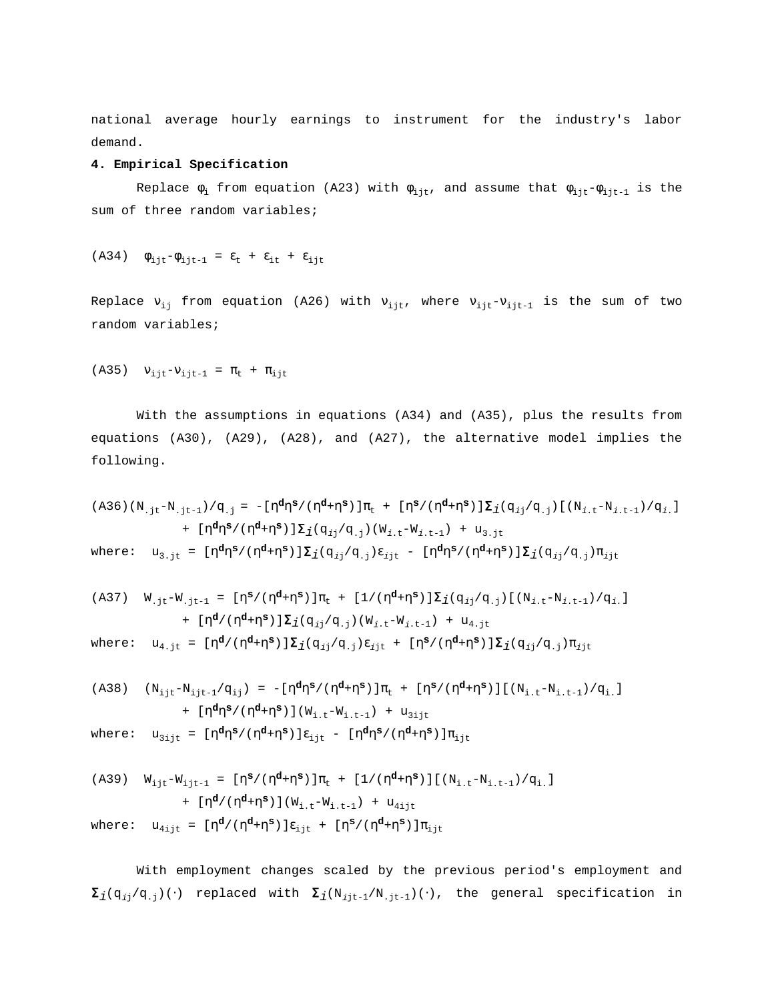national average hourly earnings to instrument for the industry's labor demand.

#### **4. Empirical Specification**

Replace  $\phi_i$  from equation (A23) with  $\phi_{i\,it}$ , and assume that  $\phi_{i\,it}$ - $\phi_{i\,it-1}$  is the sum of three random variables;

$$
(A34) \quad \phi_{ijt} - \phi_{ijt-1} = \varepsilon_t + \varepsilon_{it} + \varepsilon_{ijt}
$$

Replace  $v_{ij}$  from equation (A26) with  $v_{ijt}$ , where  $v_{ijt}-v_{ijt-1}$  is the sum of two random variables;

$$
(A35) \tV_{ijt} - V_{ijt-1} = \pi_t + \pi_{ijt}
$$

With the assumptions in equations (A34) and (A35), plus the results from equations (A30), (A29), (A28), and (A27), the alternative model implies the following.

$$
(A36)(N_{\text{.jt}}-N_{\text{.jt-1}})/q_{\text{.j}} = -[\eta^d \eta^s / (\eta^d + \eta^s) ]\pi_t + [\eta^s / (\eta^d + \eta^s) ]\Sigma_i(q_{ij}/q_{\text{.j}}) [ (N_{i\text{.t}}-N_{i\text{.t-1}}) /q_{\text{.j}} ]
$$
  
+ 
$$
[\eta^d \eta^s / (\eta^d + \eta^s) ]\Sigma_i(q_{ij}/q_{\text{.j}}) (N_{i\text{.t}}-N_{i\text{.t-1}}) + u_{3\text{.jt}}
$$
  
where: 
$$
u_{3\text{.jt}} = [\eta^d \eta^s / (\eta^d + \eta^s) ]\Sigma_i(q_{ij}/q_{\text{.j}}) \varepsilon_{ijt} - [\eta^d \eta^s / (\eta^d + \eta^s) ]\Sigma_i(q_{ij}/q_{\text{.j}}) \pi_{ijt}
$$

(A37)

\n
$$
W_{\text{.jt}} - W_{\text{.jt-1}} = \left[ \eta^{\mathbf{S}} / (\eta^{\mathbf{d}} + \eta^{\mathbf{S}}) \right] \pi_{\text{t}} + \left[ \frac{1}{(\eta^{\mathbf{d}} + \eta^{\mathbf{S}})} \right] \sum_{i} (q_{ij}/q_{\text{.j}}) \left[ (N_{i,\text{t}} - N_{i,\text{t-1}}) / q_{i} \right]
$$
\n
$$
+ \left[ \eta^{\mathbf{d}} / (\eta^{\mathbf{d}} + \eta^{\mathbf{S}}) \right] \sum_{i} (q_{ij}/q_{\text{.j}}) (W_{i,\text{t}} - W_{i,\text{t-1}}) + u_{4,\text{jt}}
$$

where:  $u_{4,jt} = [\eta^d/(\eta^d + \eta^s)]\Sigma_i(q_{ij}/q_{.j})\epsilon_{ijt} + [\eta^s/(\eta^d + \eta^s)]\Sigma_i(q_{ij}/q_{.j})\pi_{ijt}$ 

(A38) 
$$
(N_{ijt} - N_{ijt-1}/q_{ij}) = -[\eta^d \eta^s / (\eta^d + \eta^s)]\pi_t + [\eta^s / (\eta^d + \eta^s)][(N_{i,t} - N_{i,t-1})/q_{i,}]
$$

\n
$$
+ [\eta^d \eta^s / (\eta^d + \eta^s)][(N_{i,t} - N_{i,t-1}) + U_{3ijt}
$$

\nwhere: 
$$
u_{3ijt} = [\eta^d \eta^s / (\eta^d + \eta^s)]\epsilon_{ijt} - [\eta^d \eta^s / (\eta^d + \eta^s)]\pi_{ijt}
$$

(A39) 
$$
W_{ijt} - W_{ijt-1} = [\eta^s / (\eta^d + \eta^s)] \pi_t + [1 / (\eta^d + \eta^s)] [ (N_{i \cdot t} - N_{i \cdot t-1}) / q_i ]
$$

\n $+ [\eta^d / (\eta^d + \eta^s)] (W_{i \cdot t} - W_{i \cdot t-1}) + u_{4ijt}$ 

where:  $u_{4\text{i}j\text{t}} = [\eta^d/(\eta^d + \eta^s)]\epsilon_{\text{i}j\text{t}} + [\eta^s/(\eta^d + \eta^s)]\pi_{\text{i}j\text{t}}$ 

With employment changes scaled by the previous period's employment and  $\Sigma_j(q_{ij}/q_{.j})(\cdot)$  replaced with  $\Sigma_j(N_{ijt-1}/N_{.jt-1})(\cdot)$ , the general specification in